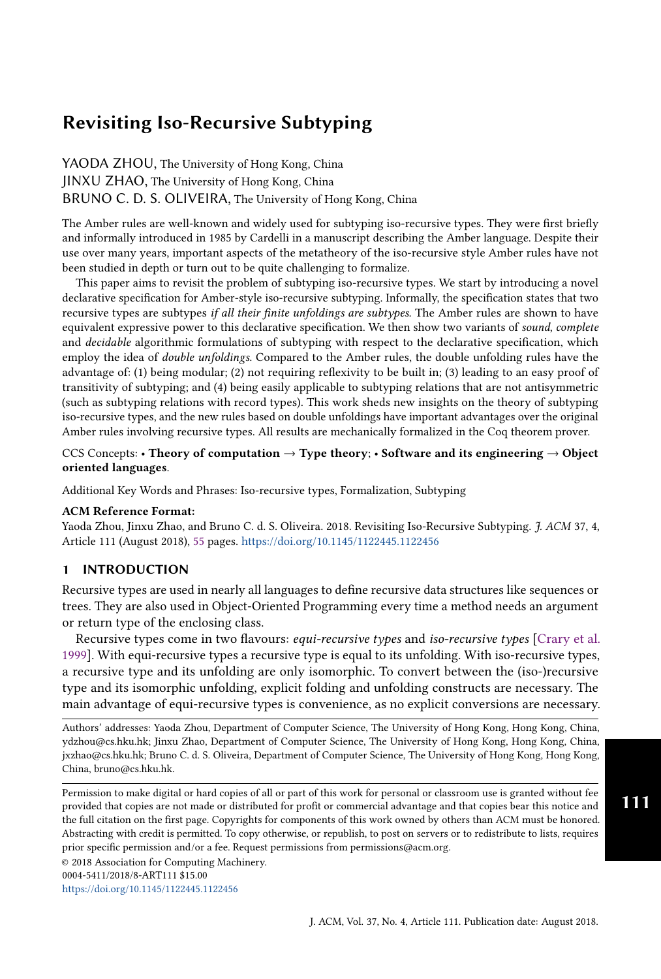<span id="page-0-0"></span>YAODA ZHOU, The University of Hong Kong, China JINXU ZHAO, The University of Hong Kong, China BRUNO C. D. S. OLIVEIRA, The University of Hong Kong, China

The Amber rules are well-known and widely used for subtyping iso-recursive types. They were first briefly and informally introduced in 1985 by Cardelli in a manuscript describing the Amber language. Despite their use over many years, important aspects of the metatheory of the iso-recursive style Amber rules have not been studied in depth or turn out to be quite challenging to formalize.

This paper aims to revisit the problem of subtyping iso-recursive types. We start by introducing a novel declarative specification for Amber-style iso-recursive subtyping. Informally, the specification states that two recursive types are subtypes if all their finite unfoldings are subtypes. The Amber rules are shown to have equivalent expressive power to this declarative specification. We then show two variants of sound, complete and *decidable* algorithmic formulations of subtyping with respect to the declarative specification, which employ the idea of double unfoldings. Compared to the Amber rules, the double unfolding rules have the advantage of: (1) being modular; (2) not requiring reflexivity to be built in; (3) leading to an easy proof of transitivity of subtyping; and (4) being easily applicable to subtyping relations that are not antisymmetric (such as subtyping relations with record types). This work sheds new insights on the theory of subtyping iso-recursive types, and the new rules based on double unfoldings have important advantages over the original Amber rules involving recursive types. All results are mechanically formalized in the Coq theorem prover.

## CCS Concepts: • Theory of computation  $\rightarrow$  Type theory; • Software and its engineering  $\rightarrow$  Object oriented languages.

Additional Key Words and Phrases: Iso-recursive types, Formalization, Subtyping

#### ACM Reference Format:

Yaoda Zhou, Jinxu Zhao, and Bruno C. d. S. Oliveira. 2018. Revisiting Iso-Recursive Subtyping. J. ACM 37, 4, Article 111 (August 2018), [55](#page-54-0) pages. <https://doi.org/10.1145/1122445.1122456>

## 1 INTRODUCTION

Recursive types are used in nearly all languages to define recursive data structures like sequences or trees. They are also used in Object-Oriented Programming every time a method needs an argument or return type of the enclosing class.

Recursive types come in two flavours: equi-recursive types and iso-recursive types [\[Crary et al.](#page-53-0) [1999\]](#page-53-0). With equi-recursive types a recursive type is equal to its unfolding. With iso-recursive types, a recursive type and its unfolding are only isomorphic. To convert between the (iso-)recursive type and its isomorphic unfolding, explicit folding and unfolding constructs are necessary. The main advantage of equi-recursive types is convenience, as no explicit conversions are necessary.

Authors' addresses: Yaoda Zhou, Department of Computer Science, The University of Hong Kong, Hong Kong, China, ydzhou@cs.hku.hk; Jinxu Zhao, Department of Computer Science, The University of Hong Kong, Hong Kong, China, jxzhao@cs.hku.hk; Bruno C. d. S. Oliveira, Department of Computer Science, The University of Hong Kong, Hong Kong, China, bruno@cs.hku.hk.

Permission to make digital or hard copies of all or part of this work for personal or classroom use is granted without fee provided that copies are not made or distributed for profit or commercial advantage and that copies bear this notice and the full citation on the first page. Copyrights for components of this work owned by others than ACM must be honored. Abstracting with credit is permitted. To copy otherwise, or republish, to post on servers or to redistribute to lists, requires prior specific permission and/or a fee. Request permissions from permissions@acm.org.

<https://doi.org/10.1145/1122445.1122456>

111

<sup>©</sup> 2018 Association for Computing Machinery.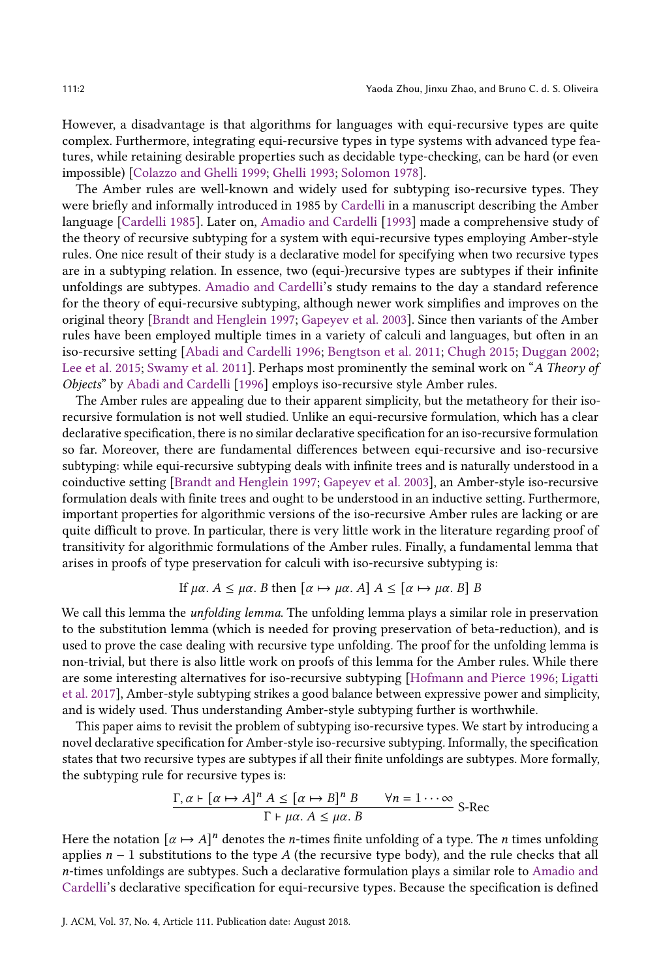However, a disadvantage is that algorithms for languages with equi-recursive types are quite complex. Furthermore, integrating equi-recursive types in type systems with advanced type features, while retaining desirable properties such as decidable type-checking, can be hard (or even impossible) [\[Colazzo and Ghelli](#page-53-1) [1999;](#page-53-1) [Ghelli](#page-53-2) [1993;](#page-53-2) [Solomon](#page-54-1) [1978\]](#page-54-1).

The Amber rules are well-known and widely used for subtyping iso-recursive types. They were briefly and informally introduced in 1985 by [Cardelli](#page-53-3) in a manuscript describing the Amber language [\[Cardelli](#page-53-3) [1985\]](#page-53-3). Later on, [Amadio and Cardelli](#page-52-0) [\[1993\]](#page-52-0) made a comprehensive study of the theory of recursive subtyping for a system with equi-recursive types employing Amber-style rules. One nice result of their study is a declarative model for specifying when two recursive types are in a subtyping relation. In essence, two (equi-)recursive types are subtypes if their infinite unfoldings are subtypes. [Amadio and Cardelli'](#page-52-0)s study remains to the day a standard reference for the theory of equi-recursive subtyping, although newer work simplifies and improves on the original theory [\[Brandt and Henglein](#page-53-4) [1997;](#page-53-4) [Gapeyev et al.](#page-53-5) [2003\]](#page-53-5). Since then variants of the Amber rules have been employed multiple times in a variety of calculi and languages, but often in an iso-recursive setting [\[Abadi and Cardelli](#page-52-1) [1996;](#page-52-1) [Bengtson et al.](#page-53-6) [2011;](#page-53-6) [Chugh](#page-53-7) [2015;](#page-53-7) [Duggan](#page-53-8) [2002;](#page-53-8) [Lee et al.](#page-53-9) [2015;](#page-53-9) [Swamy et al.](#page-54-2) [2011\]](#page-54-2). Perhaps most prominently the seminal work on "A Theory of Objects" by [Abadi and Cardelli](#page-52-1) [\[1996\]](#page-52-1) employs iso-recursive style Amber rules.

The Amber rules are appealing due to their apparent simplicity, but the metatheory for their isorecursive formulation is not well studied. Unlike an equi-recursive formulation, which has a clear declarative specification, there is no similar declarative specification for an iso-recursive formulation so far. Moreover, there are fundamental differences between equi-recursive and iso-recursive subtyping: while equi-recursive subtyping deals with infinite trees and is naturally understood in a coinductive setting [\[Brandt and Henglein](#page-53-4) [1997;](#page-53-4) [Gapeyev et al.](#page-53-5) [2003\]](#page-53-5), an Amber-style iso-recursive formulation deals with finite trees and ought to be understood in an inductive setting. Furthermore, important properties for algorithmic versions of the iso-recursive Amber rules are lacking or are quite difficult to prove. In particular, there is very little work in the literature regarding proof of transitivity for algorithmic formulations of the Amber rules. Finally, a fundamental lemma that arises in proofs of type preservation for calculi with iso-recursive subtyping is:

If 
$$
\mu\alpha
$$
.  $A \leq \mu\alpha$ . *B* then  $[\alpha \mapsto \mu\alpha$ . *A*]  $A \leq [\alpha \mapsto \mu\alpha$ . *B*] *B*

We call this lemma the *unfolding lemma*. The unfolding lemma plays a similar role in preservation to the substitution lemma (which is needed for proving preservation of beta-reduction), and is used to prove the case dealing with recursive type unfolding. The proof for the unfolding lemma is non-trivial, but there is also little work on proofs of this lemma for the Amber rules. While there are some interesting alternatives for iso-recursive subtyping [\[Hofmann and Pierce](#page-53-10) [1996;](#page-53-10) [Ligatti](#page-53-11) [et al.](#page-53-11) [2017\]](#page-53-11), Amber-style subtyping strikes a good balance between expressive power and simplicity, and is widely used. Thus understanding Amber-style subtyping further is worthwhile.

This paper aims to revisit the problem of subtyping iso-recursive types. We start by introducing a novel declarative specification for Amber-style iso-recursive subtyping. Informally, the specification states that two recursive types are subtypes if all their finite unfoldings are subtypes. More formally, the subtyping rule for recursive types is:

$$
\frac{\Gamma, \alpha \vdash [\alpha \mapsto A]^n A \leq [\alpha \mapsto B]^n B \qquad \forall n = 1 \cdots \infty}{\Gamma \vdash \mu \alpha. A \leq \mu \alpha. B} \text{ S-Rec}
$$

Here the notation  $\lbrack \alpha \mapsto A \rbrack^n$  denotes the *n*-times finite unfolding of a type. The *n* times unfolding applies  $n - 1$  substitutions to the type A (the recursive type body), and the rule checks that all -times unfoldings are subtypes. Such a declarative formulation plays a similar role to [Amadio and](#page-52-0) [Cardelli'](#page-52-0)s declarative specification for equi-recursive types. Because the specification is defined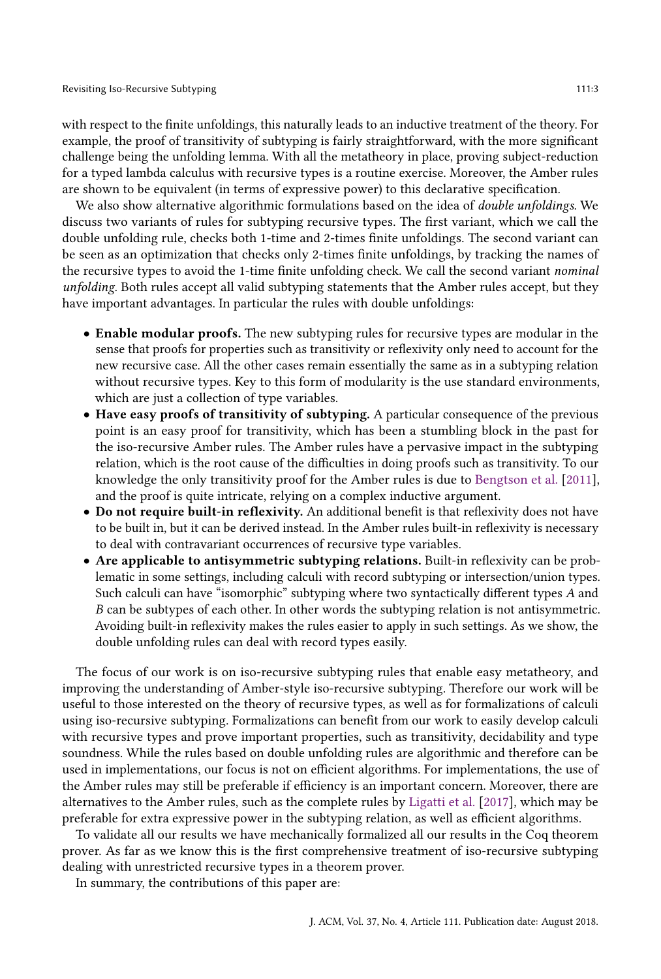with respect to the finite unfoldings, this naturally leads to an inductive treatment of the theory. For example, the proof of transitivity of subtyping is fairly straightforward, with the more significant challenge being the unfolding lemma. With all the metatheory in place, proving subject-reduction for a typed lambda calculus with recursive types is a routine exercise. Moreover, the Amber rules are shown to be equivalent (in terms of expressive power) to this declarative specification.

We also show alternative algorithmic formulations based on the idea of *double unfoldings*. We discuss two variants of rules for subtyping recursive types. The first variant, which we call the double unfolding rule, checks both 1-time and 2-times finite unfoldings. The second variant can be seen as an optimization that checks only 2-times finite unfoldings, by tracking the names of the recursive types to avoid the 1-time finite unfolding check. We call the second variant nominal unfolding. Both rules accept all valid subtyping statements that the Amber rules accept, but they have important advantages. In particular the rules with double unfoldings:

- Enable modular proofs. The new subtyping rules for recursive types are modular in the sense that proofs for properties such as transitivity or reflexivity only need to account for the new recursive case. All the other cases remain essentially the same as in a subtyping relation without recursive types. Key to this form of modularity is the use standard environments, which are just a collection of type variables.
- Have easy proofs of transitivity of subtyping. A particular consequence of the previous point is an easy proof for transitivity, which has been a stumbling block in the past for the iso-recursive Amber rules. The Amber rules have a pervasive impact in the subtyping relation, which is the root cause of the difficulties in doing proofs such as transitivity. To our knowledge the only transitivity proof for the Amber rules is due to [Bengtson et al.](#page-53-6) [\[2011\]](#page-53-6), and the proof is quite intricate, relying on a complex inductive argument.
- Do not require built-in reflexivity. An additional benefit is that reflexivity does not have to be built in, but it can be derived instead. In the Amber rules built-in reflexivity is necessary to deal with contravariant occurrences of recursive type variables.
- Are applicable to antisymmetric subtyping relations. Built-in reflexivity can be problematic in some settings, including calculi with record subtyping or intersection/union types. Such calculi can have "isomorphic" subtyping where two syntactically different types  $A$  and  $B$  can be subtypes of each other. In other words the subtyping relation is not antisymmetric. Avoiding built-in reflexivity makes the rules easier to apply in such settings. As we show, the double unfolding rules can deal with record types easily.

The focus of our work is on iso-recursive subtyping rules that enable easy metatheory, and improving the understanding of Amber-style iso-recursive subtyping. Therefore our work will be useful to those interested on the theory of recursive types, as well as for formalizations of calculi using iso-recursive subtyping. Formalizations can benefit from our work to easily develop calculi with recursive types and prove important properties, such as transitivity, decidability and type soundness. While the rules based on double unfolding rules are algorithmic and therefore can be used in implementations, our focus is not on efficient algorithms. For implementations, the use of the Amber rules may still be preferable if efficiency is an important concern. Moreover, there are alternatives to the Amber rules, such as the complete rules by [Ligatti et al.](#page-53-11) [\[2017\]](#page-53-11), which may be preferable for extra expressive power in the subtyping relation, as well as efficient algorithms.

To validate all our results we have mechanically formalized all our results in the Coq theorem prover. As far as we know this is the first comprehensive treatment of iso-recursive subtyping dealing with unrestricted recursive types in a theorem prover.

In summary, the contributions of this paper are: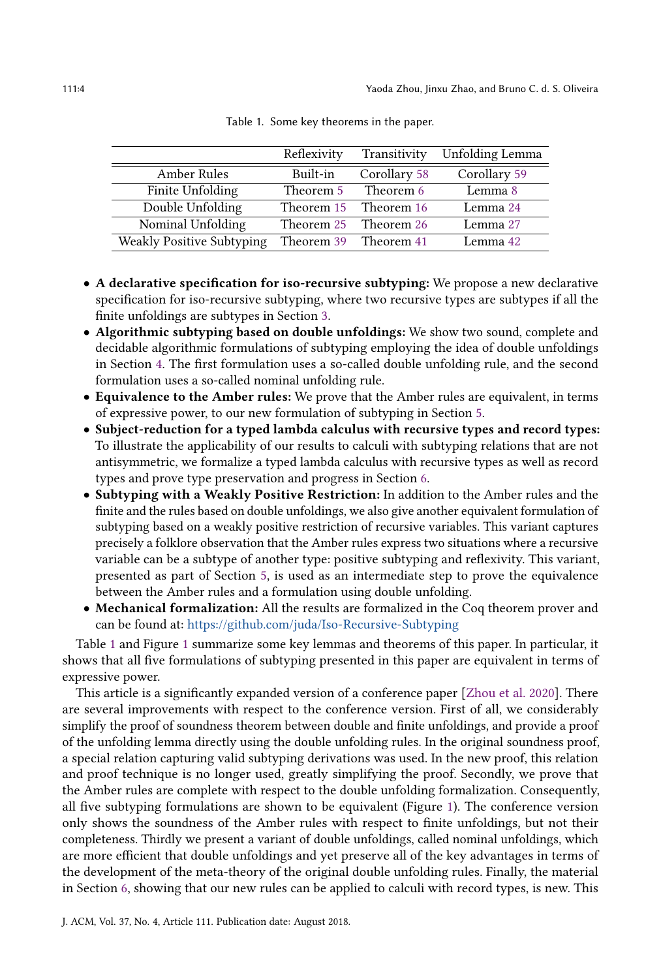<span id="page-3-0"></span>

|                           | Reflexivity           | Transitivity | <b>Unfolding Lemma</b> |
|---------------------------|-----------------------|--------------|------------------------|
| Amber Rules               | Built-in              | Corollary 58 | Corollary 59           |
| Finite Unfolding          | Theorem 5             | Theorem 6    | Lemma 8                |
| Double Unfolding          | Theorem 15            | Theorem 16   | Lemma 24               |
| Nominal Unfolding         | Theorem 25            | Theorem 26   | Lemma 27               |
| Weakly Positive Subtyping | Theorem 39 Theorem 41 |              | Lemma 42               |

Table 1. Some key theorems in the paper.

- A declarative specification for iso-recursive subtyping: We propose a new declarative specification for iso-recursive subtyping, where two recursive types are subtypes if all the finite unfoldings are subtypes in Section [3.](#page-16-0)
- Algorithmic subtyping based on double unfoldings: We show two sound, complete and decidable algorithmic formulations of subtyping employing the idea of double unfoldings in Section [4.](#page-22-0) The first formulation uses a so-called double unfolding rule, and the second formulation uses a so-called nominal unfolding rule.
- Equivalence to the Amber rules: We prove that the Amber rules are equivalent, in terms of expressive power, to our new formulation of subtyping in Section [5.](#page-31-0)
- Subject-reduction for a typed lambda calculus with recursive types and record types: To illustrate the applicability of our results to calculi with subtyping relations that are not antisymmetric, we formalize a typed lambda calculus with recursive types as well as record types and prove type preservation and progress in Section [6.](#page-40-2)
- Subtyping with a Weakly Positive Restriction: In addition to the Amber rules and the finite and the rules based on double unfoldings, we also give another equivalent formulation of subtyping based on a weakly positive restriction of recursive variables. This variant captures precisely a folklore observation that the Amber rules express two situations where a recursive variable can be a subtype of another type: positive subtyping and reflexivity. This variant, presented as part of Section [5,](#page-31-0) is used as an intermediate step to prove the equivalence between the Amber rules and a formulation using double unfolding.
- Mechanical formalization: All the results are formalized in the Coq theorem prover and can be found at: <https://github.com/juda/Iso-Recursive-Subtyping>

Table [1](#page-3-0) and Figure [1](#page-4-0) summarize some key lemmas and theorems of this paper. In particular, it shows that all five formulations of subtyping presented in this paper are equivalent in terms of expressive power.

This article is a significantly expanded version of a conference paper [\[Zhou et al.](#page-54-3) [2020\]](#page-54-3). There are several improvements with respect to the conference version. First of all, we considerably simplify the proof of soundness theorem between double and finite unfoldings, and provide a proof of the unfolding lemma directly using the double unfolding rules. In the original soundness proof, a special relation capturing valid subtyping derivations was used. In the new proof, this relation and proof technique is no longer used, greatly simplifying the proof. Secondly, we prove that the Amber rules are complete with respect to the double unfolding formalization. Consequently, all five subtyping formulations are shown to be equivalent (Figure [1\)](#page-4-0). The conference version only shows the soundness of the Amber rules with respect to finite unfoldings, but not their completeness. Thirdly we present a variant of double unfoldings, called nominal unfoldings, which are more efficient that double unfoldings and yet preserve all of the key advantages in terms of the development of the meta-theory of the original double unfolding rules. Finally, the material in Section [6,](#page-40-2) showing that our new rules can be applied to calculi with record types, is new. This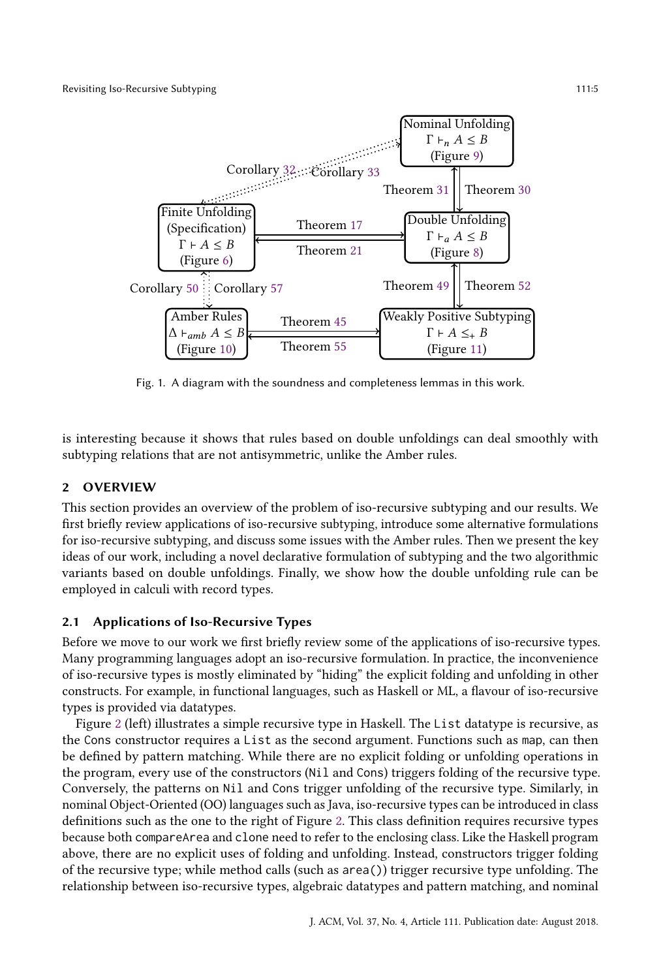<span id="page-4-0"></span>

Fig. 1. A diagram with the soundness and completeness lemmas in this work.

is interesting because it shows that rules based on double unfoldings can deal smoothly with subtyping relations that are not antisymmetric, unlike the Amber rules.

# <span id="page-4-1"></span>2 OVERVIEW

This section provides an overview of the problem of iso-recursive subtyping and our results. We first briefly review applications of iso-recursive subtyping, introduce some alternative formulations for iso-recursive subtyping, and discuss some issues with the Amber rules. Then we present the key ideas of our work, including a novel declarative formulation of subtyping and the two algorithmic variants based on double unfoldings. Finally, we show how the double unfolding rule can be employed in calculi with record types.

# 2.1 Applications of Iso-Recursive Types

Before we move to our work we first briefly review some of the applications of iso-recursive types. Many programming languages adopt an iso-recursive formulation. In practice, the inconvenience of iso-recursive types is mostly eliminated by "hiding" the explicit folding and unfolding in other constructs. For example, in functional languages, such as Haskell or ML, a flavour of iso-recursive types is provided via datatypes.

Figure [2](#page-5-0) (left) illustrates a simple recursive type in Haskell. The List datatype is recursive, as the Cons constructor requires a List as the second argument. Functions such as map, can then be defined by pattern matching. While there are no explicit folding or unfolding operations in the program, every use of the constructors (Nil and Cons) triggers folding of the recursive type. Conversely, the patterns on Nil and Cons trigger unfolding of the recursive type. Similarly, in nominal Object-Oriented (OO) languages such as Java, iso-recursive types can be introduced in class definitions such as the one to the right of Figure [2.](#page-5-0) This class definition requires recursive types because both compareArea and clone need to refer to the enclosing class. Like the Haskell program above, there are no explicit uses of folding and unfolding. Instead, constructors trigger folding of the recursive type; while method calls (such as area()) trigger recursive type unfolding. The relationship between iso-recursive types, algebraic datatypes and pattern matching, and nominal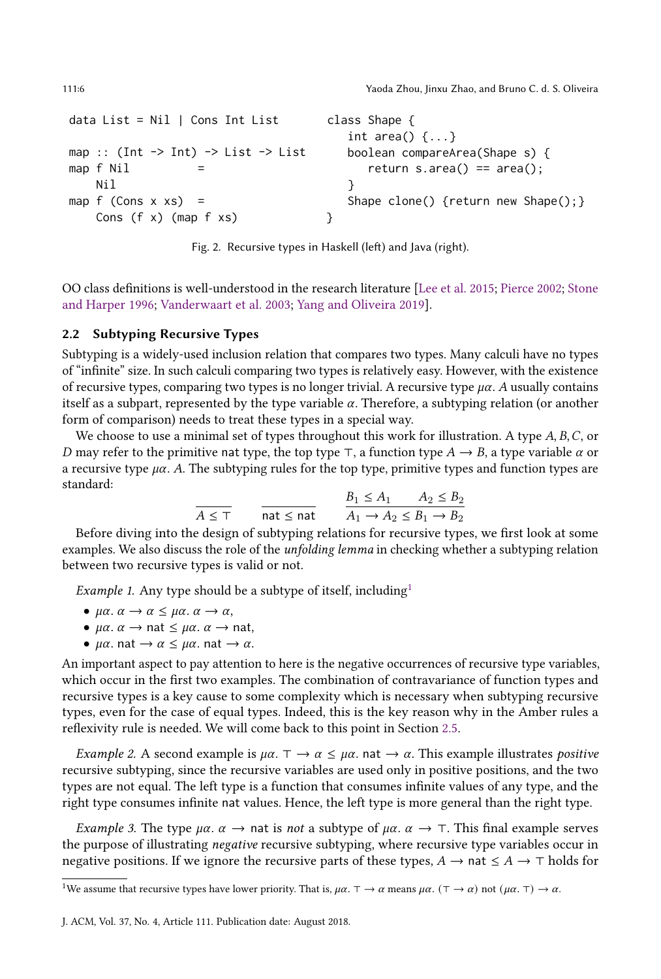```
data List = Nil | Cons Int List
map :: (Int \rightarrow Int) \rightarrow List \rightarrow List
map f NilNil
map f (Cons x xs) =
    Cons (f x) (map f xs)
                                            class Shape {
                                               int area() \{ \ldots \}boolean compareArea(Shape s) {
                                                   return s.area() == area();
                                               }
                                               Shape clone() {return new Shape(); }
                                            }
```
Fig. 2. Recursive types in Haskell (left) and Java (right).

OO class definitions is well-understood in the research literature [\[Lee et al.](#page-53-9) [2015;](#page-53-9) [Pierce](#page-53-12) [2002;](#page-53-12) [Stone](#page-54-4) [and Harper](#page-54-4) [1996;](#page-54-4) [Vanderwaart et al.](#page-54-5) [2003;](#page-54-5) [Yang and Oliveira](#page-54-6) [2019\]](#page-54-6).

## 2.2 Subtyping Recursive Types

Subtyping is a widely-used inclusion relation that compares two types. Many calculi have no types of "infinite" size. In such calculi comparing two types is relatively easy. However, with the existence of recursive types, comparing two types is no longer trivial. A recursive type  $\mu\alpha$ . A usually contains itself as a subpart, represented by the type variable  $\alpha$ . Therefore, a subtyping relation (or another form of comparison) needs to treat these types in a special way.

We choose to use a minimal set of types throughout this work for illustration. A type  $A, B, C$ , or D may refer to the primitive nat type, the top type ⊤, a function type  $A \rightarrow B$ , a type variable  $\alpha$  or a recursive type  $\mu\alpha$ . A. The subtyping rules for the top type, primitive types and function types are standard:

$$
\overline{A \leq \top} \qquad \frac{B_1 \leq A_1 \qquad A_2 \leq B_2}{\text{nat} \leq \text{nat}} \qquad \frac{B_1 \leq A_1 \qquad A_2 \leq B_2}{A_1 \to A_2 \leq B_1 \to B_2}
$$

Before diving into the design of subtyping relations for recursive types, we first look at some examples. We also discuss the role of the unfolding lemma in checking whether a subtyping relation between two recursive types is valid or not.

*Example [1](#page-5-1).* Any type should be a subtype of itself, including<sup>1</sup>

- $\mu \alpha$ .  $\alpha \rightarrow \alpha \leq \mu \alpha$ .  $\alpha \rightarrow \alpha$ ,
- $\mu \alpha$ .  $\alpha \rightarrow$  nat  $\leq \mu \alpha$ .  $\alpha \rightarrow$  nat,
- $\mu \alpha$ . nat  $\rightarrow \alpha \leq \mu \alpha$ . nat  $\rightarrow \alpha$ .

An important aspect to pay attention to here is the negative occurrences of recursive type variables, which occur in the first two examples. The combination of contravariance of function types and recursive types is a key cause to some complexity which is necessary when subtyping recursive types, even for the case of equal types. Indeed, this is the key reason why in the Amber rules a reflexivity rule is needed. We will come back to this point in Section [2.5.](#page-7-0)

Example 2. A second example is  $\mu\alpha$ .  $\tau \to \alpha \leq \mu\alpha$ . nat  $\to \alpha$ . This example illustrates positive recursive subtyping, since the recursive variables are used only in positive positions, and the two types are not equal. The left type is a function that consumes infinite values of any type, and the right type consumes infinite nat values. Hence, the left type is more general than the right type.

*Example 3.* The type  $\mu\alpha$ .  $\alpha$  → nat is *not* a subtype of  $\mu\alpha$ .  $\alpha$  → ⊤. This final example serves the purpose of illustrating negative recursive subtyping, where recursive type variables occur in negative positions. If we ignore the recursive parts of these types,  $A \rightarrow \text{nat} \leq A \rightarrow \text{†}$  holds for

<span id="page-5-1"></span><sup>&</sup>lt;sup>1</sup>We assume that recursive types have lower priority. That is,  $\mu\alpha$ .  $\top \rightarrow \alpha$  means  $\mu\alpha$ . ( $\top \rightarrow \alpha$ ) not ( $\mu\alpha$ .  $\top$ )  $\rightarrow \alpha$ .

J. ACM, Vol. 37, No. 4, Article 111. Publication date: August 2018.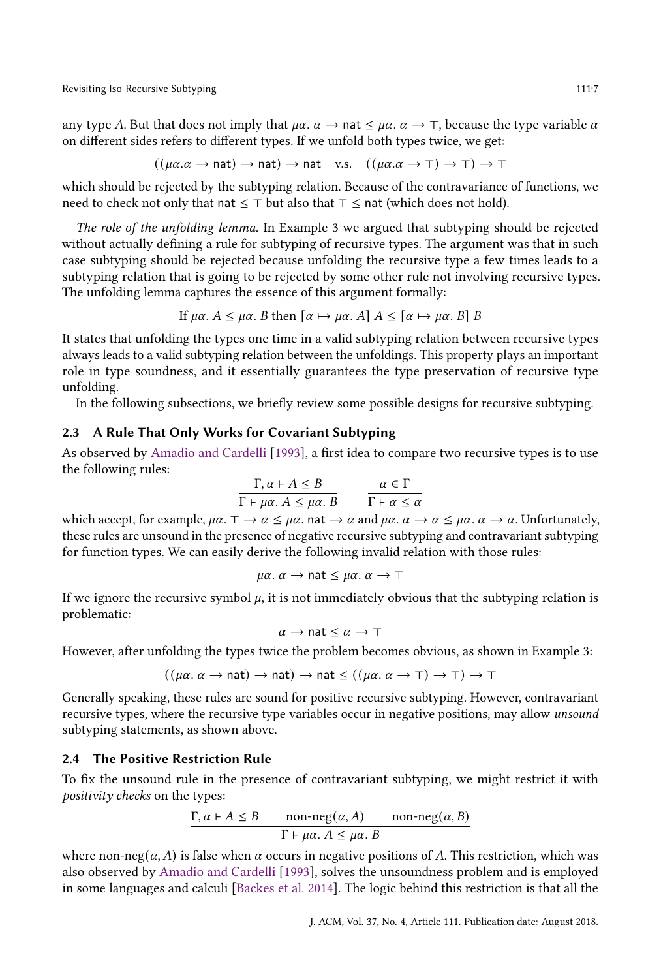any type A. But that does not imply that  $\mu\alpha$ .  $\alpha \rightarrow$  nat  $\leq \mu\alpha$ .  $\alpha \rightarrow$   $\top$ , because the type variable  $\alpha$ on different sides refers to different types. If we unfold both types twice, we get:

$$
((\mu\alpha.\alpha \to \text{nat}) \to \text{nat}) \to \text{nat} \text{ v.s. } ((\mu\alpha.\alpha \to \top) \to \top) \to \top
$$

which should be rejected by the subtyping relation. Because of the contravariance of functions, we need to check not only that nat  $\leq$  ⊤ but also that  $\top \leq$  nat (which does not hold).

The role of the unfolding lemma. In Example 3 we argued that subtyping should be rejected without actually defining a rule for subtyping of recursive types. The argument was that in such case subtyping should be rejected because unfolding the recursive type a few times leads to a subtyping relation that is going to be rejected by some other rule not involving recursive types. The unfolding lemma captures the essence of this argument formally:

If 
$$
\mu\alpha
$$
.  $A \leq \mu\alpha$ . *B* then  $[\alpha \mapsto \mu\alpha$ . *A*]  $A \leq [\alpha \mapsto \mu\alpha$ . *B*] *B*

It states that unfolding the types one time in a valid subtyping relation between recursive types always leads to a valid subtyping relation between the unfoldings. This property plays an important role in type soundness, and it essentially guarantees the type preservation of recursive type unfolding.

In the following subsections, we briefly review some possible designs for recursive subtyping.

## <span id="page-6-0"></span>2.3 A Rule That Only Works for Covariant Subtyping

As observed by [Amadio and Cardelli](#page-52-0) [\[1993\]](#page-52-0), a first idea to compare two recursive types is to use the following rules:

$$
\frac{\Gamma, \alpha \vdash A \leq B}{\Gamma \vdash \mu \alpha. A \leq \mu \alpha. B} \qquad \frac{\alpha \in \Gamma}{\Gamma \vdash \alpha \leq \alpha}
$$

which accept, for example,  $\mu\alpha$ .  $\top \to \alpha \leq \mu\alpha$ . nat  $\to \alpha$  and  $\mu\alpha$ .  $\alpha \to \alpha \leq \mu\alpha$ .  $\alpha \to \alpha$ . Unfortunately, these rules are unsound in the presence of negative recursive subtyping and contravariant subtyping for function types. We can easily derive the following invalid relation with those rules:

$$
\mu\alpha
$$
.  $\alpha \rightarrow$  nat  $\leq \mu\alpha$ .  $\alpha \rightarrow \top$ 

If we ignore the recursive symbol  $\mu$ , it is not immediately obvious that the subtyping relation is problematic:

$$
\alpha \to \text{nat} \leq \alpha \to \top
$$

However, after unfolding the types twice the problem becomes obvious, as shown in Example 3:

$$
((\mu\alpha.\ \alpha \rightarrow nat) \rightarrow nat) \rightarrow nat \le ((\mu\alpha.\ \alpha \rightarrow \top) \rightarrow \top) \rightarrow \top
$$

Generally speaking, these rules are sound for positive recursive subtyping. However, contravariant recursive types, where the recursive type variables occur in negative positions, may allow unsound subtyping statements, as shown above.

# <span id="page-6-1"></span>2.4 The Positive Restriction Rule

To fix the unsound rule in the presence of contravariant subtyping, we might restrict it with positivity checks on the types:

$$
\frac{\Gamma, \alpha \vdash A \le B \qquad \text{non-neg}(\alpha, A) \qquad \text{non-neg}(\alpha, B)}{\Gamma \vdash \mu \alpha. A \le \mu \alpha. B}
$$

where non-neg( $\alpha$ , A) is false when  $\alpha$  occurs in negative positions of A. This restriction, which was also observed by [Amadio and Cardelli](#page-52-0) [\[1993\]](#page-52-0), solves the unsoundness problem and is employed in some languages and calculi [\[Backes et al.](#page-53-13) [2014\]](#page-53-13). The logic behind this restriction is that all the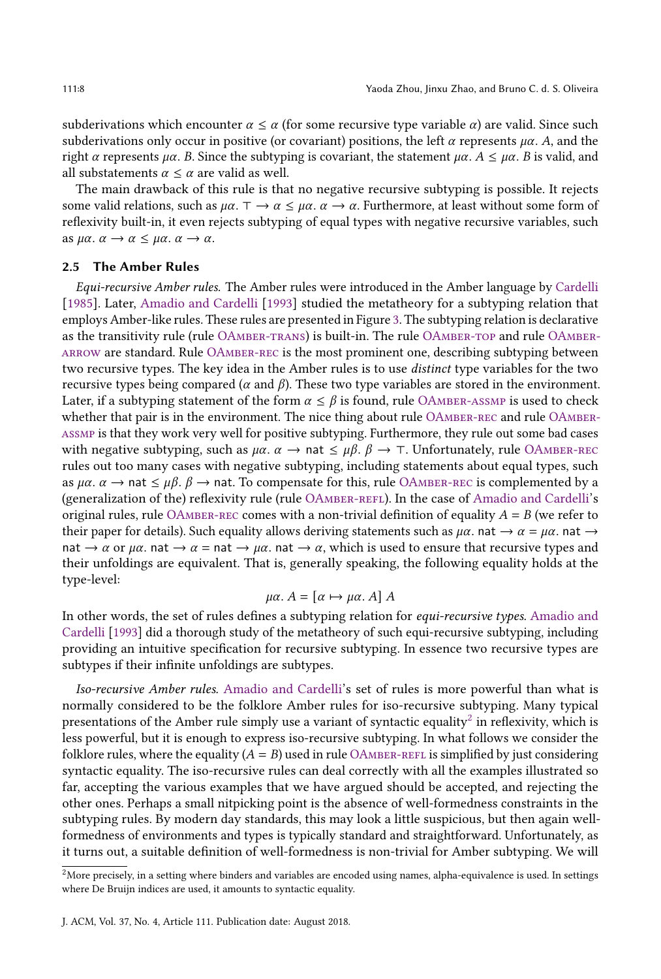subderivations which encounter  $\alpha \leq \alpha$  (for some recursive type variable  $\alpha$ ) are valid. Since such subderivations only occur in positive (or covariant) positions, the left  $\alpha$  represents  $\mu\alpha$ . A, and the right  $\alpha$  represents  $\mu\alpha$ . B. Since the subtyping is covariant, the statement  $\mu\alpha$ .  $A \leq \mu\alpha$ . B is valid, and all substatements  $\alpha \leq \alpha$  are valid as well.

The main drawback of this rule is that no negative recursive subtyping is possible. It rejects some valid relations, such as  $\mu\alpha$ .  $\tau \to \alpha \leq \mu\alpha$ .  $\alpha \to \alpha$ . Furthermore, at least without some form of reflexivity built-in, it even rejects subtyping of equal types with negative recursive variables, such as  $\mu \alpha$ .  $\alpha \rightarrow \alpha \leq \mu \alpha$ .  $\alpha \rightarrow \alpha$ .

### <span id="page-7-0"></span>2.5 The Amber Rules

Equi-recursive Amber rules. The Amber rules were introduced in the Amber language by [Cardelli](#page-53-3) [\[1985\]](#page-53-3). Later, [Amadio and Cardelli](#page-52-0) [\[1993\]](#page-52-0) studied the metatheory for a subtyping relation that employs Amber-like rules. These rules are presented in Figure [3.](#page-8-0) The subtyping relation is declarative as the transitivity rule (rule [OAmber-trans\)](#page-8-1) is built-in. The rule [OAmber-top](#page-8-2) and rule [OAmber](#page-8-3)[arrow](#page-8-3) are standard. Rule [OAmber-rec](#page-8-4) is the most prominent one, describing subtyping between two recursive types. The key idea in the Amber rules is to use distinct type variables for the two recursive types being compared ( $\alpha$  and  $\beta$ ). These two type variables are stored in the environment. Later, if a subtyping statement of the form  $\alpha \leq \beta$  is found, rule OAMBER-ASSMP is used to check whether that pair is in the environment. The nice thing about rule OAMBER-REC and rule OAMBER[assmp](#page-8-5) is that they work very well for positive subtyping. Furthermore, they rule out some bad cases with negative subtyping, such as  $\mu\alpha$ .  $\alpha \rightarrow$  nat  $\leq \mu\beta$ .  $\beta \rightarrow \tau$ . Unfortunately, rule OAMBER-REC rules out too many cases with negative subtyping, including statements about equal types, such as  $\mu\alpha$ .  $\alpha \to$  nat  $\leq \mu\beta$ .  $\beta \to$  nat. To compensate for this, rule OAMBER-REC is complemented by a (generalization of the) reflexivity rule (rule [OAmber-refl\)](#page-8-6). In the case of [Amadio and Cardelli'](#page-52-0)s original rules, rule OAMBER-REC comes with a non-trivial definition of equality  $A = B$  (we refer to their paper for details). Such equality allows deriving statements such as  $\mu\alpha$ . nat  $\rightarrow \alpha = \mu\alpha$ . nat  $\rightarrow$ nat  $\rightarrow \alpha$  or  $\mu\alpha$ . nat  $\rightarrow \alpha$  = nat  $\rightarrow \mu\alpha$ . nat  $\rightarrow \alpha$ , which is used to ensure that recursive types and their unfoldings are equivalent. That is, generally speaking, the following equality holds at the type-level:

$$
\mu\alpha. A = [\alpha \mapsto \mu\alpha. A] A
$$

In other words, the set of rules defines a subtyping relation for *equi-recursive types*. [Amadio and](#page-52-0) [Cardelli](#page-52-0) [\[1993\]](#page-52-0) did a thorough study of the metatheory of such equi-recursive subtyping, including providing an intuitive specification for recursive subtyping. In essence two recursive types are subtypes if their infinite unfoldings are subtypes.

<span id="page-7-2"></span>Iso-recursive Amber rules. [Amadio and Cardelli'](#page-52-0)s set of rules is more powerful than what is normally considered to be the folklore Amber rules for iso-recursive subtyping. Many typical presentations of the Amber rule simply use a variant of syntactic equality<sup>[2](#page-7-1)</sup> in reflexivity, which is less powerful, but it is enough to express iso-recursive subtyping. In what follows we consider the folklore rules, where the equality  $(A = B)$  used in rule OAMBER-REFL is simplified by just considering syntactic equality. The iso-recursive rules can deal correctly with all the examples illustrated so far, accepting the various examples that we have argued should be accepted, and rejecting the other ones. Perhaps a small nitpicking point is the absence of well-formedness constraints in the subtyping rules. By modern day standards, this may look a little suspicious, but then again wellformedness of environments and types is typically standard and straightforward. Unfortunately, as it turns out, a suitable definition of well-formedness is non-trivial for Amber subtyping. We will

<span id="page-7-1"></span> $2$ More precisely, in a setting where binders and variables are encoded using names, alpha-equivalence is used. In settings where De Bruijn indices are used, it amounts to syntactic equality.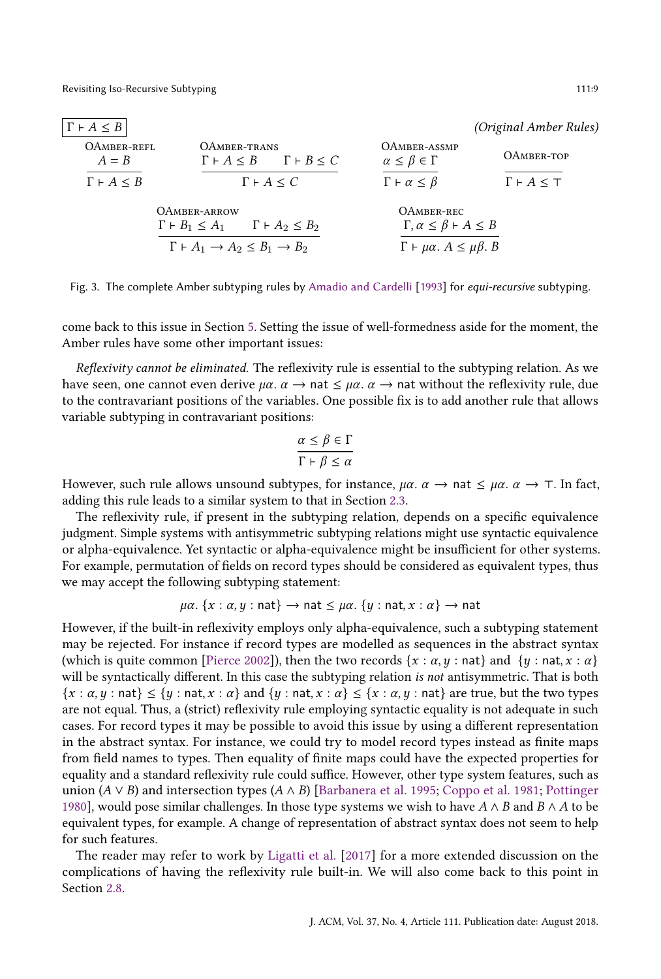<span id="page-8-6"></span><span id="page-8-1"></span><span id="page-8-0"></span>

| $\Gamma \vdash A \leq B$ |                                                                   |                                                     | <i>(Original Amber Rules)</i> |
|--------------------------|-------------------------------------------------------------------|-----------------------------------------------------|-------------------------------|
| OAMBER-REFL<br>$A = B$   | OAMBER-TRANS<br>$\Gamma \vdash A \leq B$ $\Gamma \vdash B \leq C$ | OAMBER-ASSMP<br>$\alpha \leq \beta \in \Gamma$      | OAMBER-TOP                    |
| $\Gamma \vdash A \leq B$ | $\Gamma \vdash A \leq C$                                          | $\Gamma \vdash \alpha \leq \beta$                   | $\Gamma \vdash A \leq \top$   |
|                          | OAMBER-ARROW                                                      | OAMBER-REC                                          |                               |
|                          | $\Gamma \vdash A_2 \leq B_2$<br>$\Gamma \vdash B_1 \leq A_1$      | $\Gamma, \alpha \leq \beta \vdash A \leq B$         |                               |
|                          | $\Gamma \vdash A_1 \rightarrow A_2 \leq B_1 \rightarrow B_2$      | $\Gamma \vdash \mu \alpha$ . $A \leq \mu \beta$ . B |                               |

<span id="page-8-3"></span>Fig. 3. The complete Amber subtyping rules by [Amadio and Cardelli](#page-52-0) [\[1993\]](#page-52-0) for equi-recursive subtyping.

come back to this issue in Section [5.](#page-31-0) Setting the issue of well-formedness aside for the moment, the Amber rules have some other important issues:

Reflexivity cannot be eliminated. The reflexivity rule is essential to the subtyping relation. As we have seen, one cannot even derive  $\mu\alpha$ .  $\alpha \rightarrow$  nat  $\leq \mu\alpha$ .  $\alpha \rightarrow$  nat without the reflexivity rule, due to the contravariant positions of the variables. One possible fix is to add another rule that allows variable subtyping in contravariant positions:

<span id="page-8-5"></span><span id="page-8-4"></span><span id="page-8-2"></span>
$$
\frac{\alpha \le \beta \in \Gamma}{\Gamma \vdash \beta \le \alpha}
$$

However, such rule allows unsound subtypes, for instance,  $\mu\alpha$ .  $\alpha \rightarrow \text{nat} \leq \mu\alpha$ .  $\alpha \rightarrow \tau$ . In fact, adding this rule leads to a similar system to that in Section [2.3.](#page-6-0)

The reflexivity rule, if present in the subtyping relation, depends on a specific equivalence judgment. Simple systems with antisymmetric subtyping relations might use syntactic equivalence or alpha-equivalence. Yet syntactic or alpha-equivalence might be insufficient for other systems. For example, permutation of fields on record types should be considered as equivalent types, thus we may accept the following subtyping statement:

$$
\mu\alpha
$$
. { $x : \alpha, y : \text{nat} \rightarrow \text{nat} \leq \mu\alpha$ . { $y : \text{nat}, x : \alpha$ }  $\rightarrow \text{nat}$ 

However, if the built-in reflexivity employs only alpha-equivalence, such a subtyping statement may be rejected. For instance if record types are modelled as sequences in the abstract syntax (which is quite common [\[Pierce](#page-53-12) [2002\]](#page-53-12)), then the two records  $\{x : \alpha, y : \text{nat}\}\$  and  $\{y : \text{nat}, x : \alpha\}$ will be syntactically different. In this case the subtyping relation is not antisymmetric. That is both  $\{x : \alpha, y : \text{nat}\}\leq \{y : \text{nat}, x : \alpha\}$  and  $\{y : \text{nat}, x : \alpha\} \leq \{x : \alpha, y : \text{nat}\}$  are true, but the two types are not equal. Thus, a (strict) reflexivity rule employing syntactic equality is not adequate in such cases. For record types it may be possible to avoid this issue by using a different representation in the abstract syntax. For instance, we could try to model record types instead as finite maps from field names to types. Then equality of finite maps could have the expected properties for equality and a standard reflexivity rule could suffice. However, other type system features, such as union  $(A \vee B)$  and intersection types  $(A \wedge B)$  [\[Barbanera et al.](#page-53-14) [1995;](#page-53-14) [Coppo et al.](#page-53-15) [1981;](#page-53-15) [Pottinger](#page-53-16) [1980\]](#page-53-16), would pose similar challenges. In those type systems we wish to have  $A \wedge B$  and  $B \wedge A$  to be equivalent types, for example. A change of representation of abstract syntax does not seem to help for such features.

The reader may refer to work by [Ligatti et al.](#page-53-11) [\[2017\]](#page-53-11) for a more extended discussion on the complications of having the reflexivity rule built-in. We will also come back to this point in Section [2.8.](#page-15-0)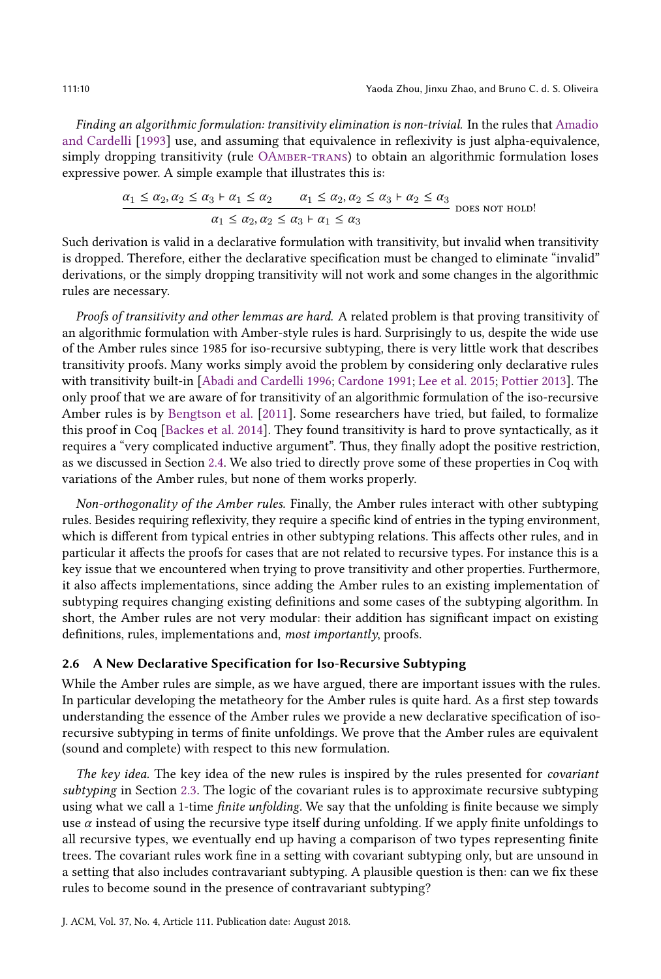Finding an algorithmic formulation: transitivity elimination is non-trivial. In the rules that [Amadio](#page-52-0) [and Cardelli](#page-52-0) [\[1993\]](#page-52-0) use, and assuming that equivalence in reflexivity is just alpha-equivalence, simply dropping transitivity (rule OAMBER-TRANS) to obtain an algorithmic formulation loses expressive power. A simple example that illustrates this is:

$$
\frac{\alpha_1 \le \alpha_2, \alpha_2 \le \alpha_3 + \alpha_1 \le \alpha_2 \qquad \alpha_1 \le \alpha_2, \alpha_2 \le \alpha_3 + \alpha_2 \le \alpha_3}{\alpha_1 \le \alpha_2, \alpha_2 \le \alpha_3 + \alpha_1 \le \alpha_3} \text{ does not hold!}
$$

Such derivation is valid in a declarative formulation with transitivity, but invalid when transitivity is dropped. Therefore, either the declarative specification must be changed to eliminate "invalid" derivations, or the simply dropping transitivity will not work and some changes in the algorithmic rules are necessary.

Proofs of transitivity and other lemmas are hard. A related problem is that proving transitivity of an algorithmic formulation with Amber-style rules is hard. Surprisingly to us, despite the wide use of the Amber rules since 1985 for iso-recursive subtyping, there is very little work that describes transitivity proofs. Many works simply avoid the problem by considering only declarative rules with transitivity built-in [\[Abadi and Cardelli](#page-52-1) [1996;](#page-52-1) [Cardone](#page-53-17) [1991;](#page-53-17) [Lee et al.](#page-53-9) [2015;](#page-53-9) [Pottier](#page-53-18) [2013\]](#page-53-18). The only proof that we are aware of for transitivity of an algorithmic formulation of the iso-recursive Amber rules is by [Bengtson et al.](#page-53-6) [\[2011\]](#page-53-6). Some researchers have tried, but failed, to formalize this proof in Coq [\[Backes et al.](#page-53-13) [2014\]](#page-53-13). They found transitivity is hard to prove syntactically, as it requires a "very complicated inductive argument". Thus, they finally adopt the positive restriction, as we discussed in Section [2.4.](#page-6-1) We also tried to directly prove some of these properties in Coq with variations of the Amber rules, but none of them works properly.

Non-orthogonality of the Amber rules. Finally, the Amber rules interact with other subtyping rules. Besides requiring reflexivity, they require a specific kind of entries in the typing environment, which is different from typical entries in other subtyping relations. This affects other rules, and in particular it affects the proofs for cases that are not related to recursive types. For instance this is a key issue that we encountered when trying to prove transitivity and other properties. Furthermore, it also affects implementations, since adding the Amber rules to an existing implementation of subtyping requires changing existing definitions and some cases of the subtyping algorithm. In short, the Amber rules are not very modular: their addition has significant impact on existing definitions, rules, implementations and, most importantly, proofs.

# 2.6 A New Declarative Specification for Iso-Recursive Subtyping

While the Amber rules are simple, as we have argued, there are important issues with the rules. In particular developing the metatheory for the Amber rules is quite hard. As a first step towards understanding the essence of the Amber rules we provide a new declarative specification of isorecursive subtyping in terms of finite unfoldings. We prove that the Amber rules are equivalent (sound and complete) with respect to this new formulation.

The key idea. The key idea of the new rules is inspired by the rules presented for *covariant* subtyping in Section [2.3.](#page-6-0) The logic of the covariant rules is to approximate recursive subtyping using what we call a 1-time *finite unfolding*. We say that the unfolding is finite because we simply use  $\alpha$  instead of using the recursive type itself during unfolding. If we apply finite unfoldings to all recursive types, we eventually end up having a comparison of two types representing finite trees. The covariant rules work fine in a setting with covariant subtyping only, but are unsound in a setting that also includes contravariant subtyping. A plausible question is then: can we fix these rules to become sound in the presence of contravariant subtyping?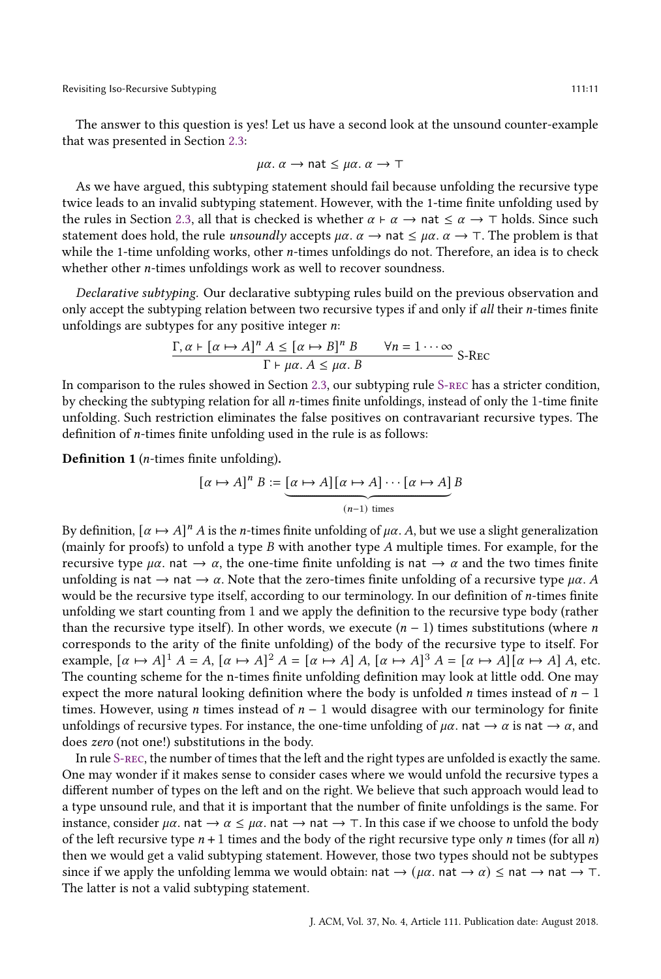Revisiting Iso-Recursive Subtyping 111:11 and the state of the state of the state of the state of the state of the state of the state of the state of the state of the state of the state of the state of the state of the sta

The answer to this question is yes! Let us have a second look at the unsound counter-example that was presented in Section [2.3:](#page-6-0)

$$
\mu\alpha
$$
.  $\alpha \rightarrow$  nat  $\leq \mu\alpha$ .  $\alpha \rightarrow \top$ 

As we have argued, this subtyping statement should fail because unfolding the recursive type twice leads to an invalid subtyping statement. However, with the 1-time finite unfolding used by the rules in Section [2.3,](#page-6-0) all that is checked is whether  $\alpha \vdash \alpha \rightarrow \text{nat} \leq \alpha \rightarrow \top$  holds. Since such statement does hold, the rule *unsoundly* accepts  $\mu \alpha$ .  $\alpha \rightarrow$  nat  $\leq \mu \alpha$ .  $\alpha \rightarrow$   $\top$ . The problem is that while the 1-time unfolding works, other *n*-times unfoldings do not. Therefore, an idea is to check whether other  $n$ -times unfoldings work as well to recover soundness.

Declarative subtyping. Our declarative subtyping rules build on the previous observation and only accept the subtyping relation between two recursive types if and only if all their  $n$ -times finite unfoldings are subtypes for any positive integer  $n$ .

$$
\frac{\Gamma, \alpha \vdash [\alpha \mapsto A]^n A \leq [\alpha \mapsto B]^n B \qquad \forall n = 1 \cdots \infty}{\Gamma \vdash \mu \alpha. A \leq \mu \alpha. B} \text{ S-Rec}
$$

In comparison to the rules showed in Section [2.3,](#page-6-0) our subtyping rule [S-rec](#page-17-1) has a stricter condition, by checking the subtyping relation for all  $n$ -times finite unfoldings, instead of only the 1-time finite unfolding. Such restriction eliminates the false positives on contravariant recursive types. The definition of  $n$ -times finite unfolding used in the rule is as follows:

<span id="page-10-0"></span>**Definition 1** (*n*-times finite unfolding).

$$
[\alpha \mapsto A]^n B := \underbrace{[\alpha \mapsto A][\alpha \mapsto A] \cdots [\alpha \mapsto A]}_{(n-1) \text{ times}} B
$$

By definition,  $[\alpha \mapsto A]^n A$  is the *n*-times finite unfolding of  $\mu\alpha$ . A, but we use a slight generalization (mainly for proofs) to unfold a type  $B$  with another type  $A$  multiple times. For example, for the recursive type  $\mu\alpha$ , nat  $\rightarrow \alpha$ , the one-time finite unfolding is nat  $\rightarrow \alpha$  and the two times finite unfolding is nat  $\rightarrow$  nat  $\rightarrow \alpha$ . Note that the zero-times finite unfolding of a recursive type  $\mu\alpha$ . A would be the recursive type itself, according to our terminology. In our definition of  $n$ -times finite unfolding we start counting from 1 and we apply the definition to the recursive type body (rather than the recursive type itself). In other words, we execute  $(n - 1)$  times substitutions (where *n* corresponds to the arity of the finite unfolding) of the body of the recursive type to itself. For example,  $[\alpha \mapsto A]^T A = A$ ,  $[\alpha \mapsto A]^T A = [\alpha \mapsto A] A$ ,  $[\alpha \mapsto A]^T A = [\alpha \mapsto A] [\alpha \mapsto A] A$ , etc. The counting scheme for the n-times finite unfolding definition may look at little odd. One may expect the more natural looking definition where the body is unfolded *n* times instead of  $n - 1$ times. However, using *n* times instead of  $n - 1$  would disagree with our terminology for finite unfoldings of recursive types. For instance, the one-time unfolding of  $\mu\alpha$ , nat  $\rightarrow \alpha$  is nat  $\rightarrow \alpha$ , and does zero (not one!) substitutions in the body.

In rule [S-rec,](#page-17-1) the number of times that the left and the right types are unfolded is exactly the same. One may wonder if it makes sense to consider cases where we would unfold the recursive types a different number of types on the left and on the right. We believe that such approach would lead to a type unsound rule, and that it is important that the number of finite unfoldings is the same. For instance, consider  $\mu\alpha$ . nat  $\rightarrow \alpha \leq \mu\alpha$ . nat  $\rightarrow \pi$ . In this case if we choose to unfold the body of the left recursive type  $n + 1$  times and the body of the right recursive type only n times (for all n) then we would get a valid subtyping statement. However, those two types should not be subtypes since if we apply the unfolding lemma we would obtain: nat  $\rightarrow (\mu \alpha)$ . nat  $\rightarrow \alpha$   $\leq$  nat  $\rightarrow$  nat  $\rightarrow \top$ . The latter is not a valid subtyping statement.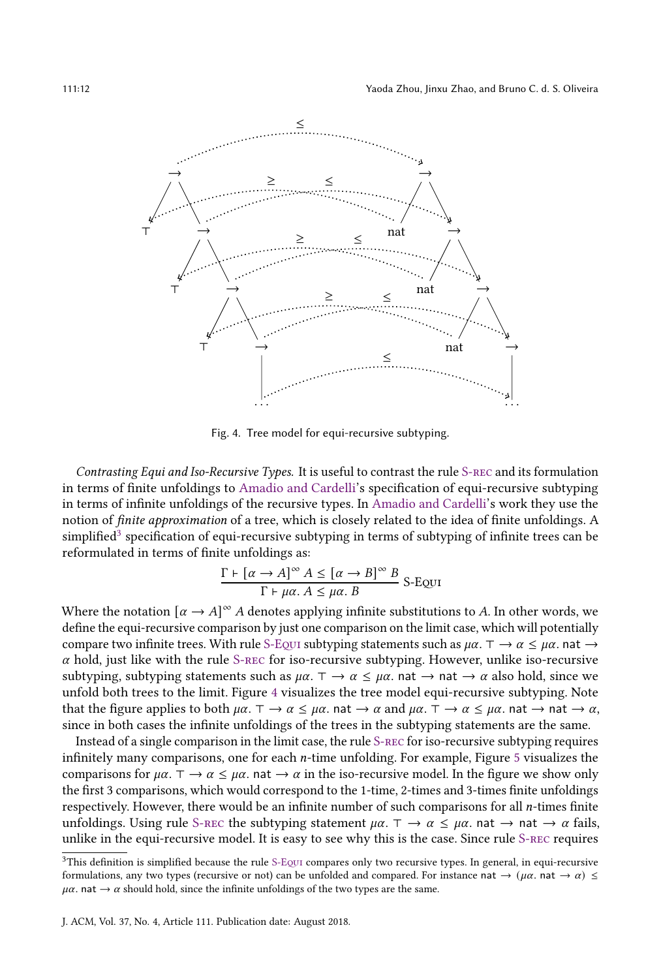<span id="page-11-1"></span>

Fig. 4. Tree model for equi-recursive subtyping.

Contrasting Equi and Iso-Recursive Types. It is useful to contrast the rule [S-rec](#page-17-1) and its formulation in terms of finite unfoldings to [Amadio and Cardelli'](#page-52-0)s specification of equi-recursive subtyping in terms of infinite unfoldings of the recursive types. In [Amadio and Cardelli'](#page-52-0)s work they use the notion of finite approximation of a tree, which is closely related to the idea of finite unfoldings. A simplified<sup>[3](#page-11-0)</sup> specification of equi-recursive subtyping in terms of subtyping of infinite trees can be reformulated in terms of finite unfoldings as:

$$
\frac{\Gamma \vdash [\alpha \to A]^{\infty} A \leq [\alpha \to B]^{\infty} B}{\Gamma \vdash \mu \alpha. A \leq \mu \alpha. B}
$$
 S-EQUI

Where the notation  $[\alpha \rightarrow A]^{\infty}$  A denotes applying infinite substitutions to A. In other words, we define the equi-recursive comparison by just one comparison on the limit case, which will potentially compare two infinite trees. With rule S-Equi subtyping statements such as  $\mu\alpha$ .  $\tau \to \alpha \leq \mu\alpha$ . nat  $\to$  $\alpha$  hold, just like with the rule S-REC for iso-recursive subtyping. However, unlike iso-recursive subtyping, subtyping statements such as  $\mu\alpha$ .  $\tau \to \alpha \leq \mu\alpha$ . nat  $\to$  nat  $\to \alpha$  also hold, since we unfold both trees to the limit. Figure [4](#page-11-1) visualizes the tree model equi-recursive subtyping. Note that the figure applies to both  $\mu\alpha$ .  $\top \rightarrow \alpha \leq \mu\alpha$ . nat  $\rightarrow \alpha$  and  $\mu\alpha$ .  $\top \rightarrow \alpha \leq \mu\alpha$ . nat  $\rightarrow \alpha$ , since in both cases the infinite unfoldings of the trees in the subtyping statements are the same.

Instead of a single comparison in the limit case, the rule [S-rec](#page-17-1) for iso-recursive subtyping requires infinitely many comparisons, one for each  $n$ -time unfolding. For example, Figure [5](#page-12-0) visualizes the comparisons for  $\mu\alpha$ .  $\tau \to \alpha \leq \mu\alpha$ . nat  $\to \alpha$  in the iso-recursive model. In the figure we show only the first 3 comparisons, which would correspond to the 1-time, 2-times and 3-times finite unfoldings respectively. However, there would be an infinite number of such comparisons for all *n*-times finite unfoldings. Using rule [S-rec](#page-17-1) the subtyping statement  $\mu\alpha$ .  $\tau \to \alpha \leq \mu\alpha$ . nat  $\to \alpha$  fails, unlike in the equi-recursive model. It is easy to see why this is the case. Since rule [S-rec](#page-17-1) requires

<span id="page-11-0"></span> $3$ This definition is simplified because the rule S-EQUI compares only two recursive types. In general, in equi-recursive formulations, any two types (recursive or not) can be unfolded and compared. For instance nat  $\rightarrow (\mu \alpha \cdot n \alpha \rightarrow \alpha) \leq$  $\mu \alpha$ . nat  $\rightarrow \alpha$  should hold, since the infinite unfoldings of the two types are the same.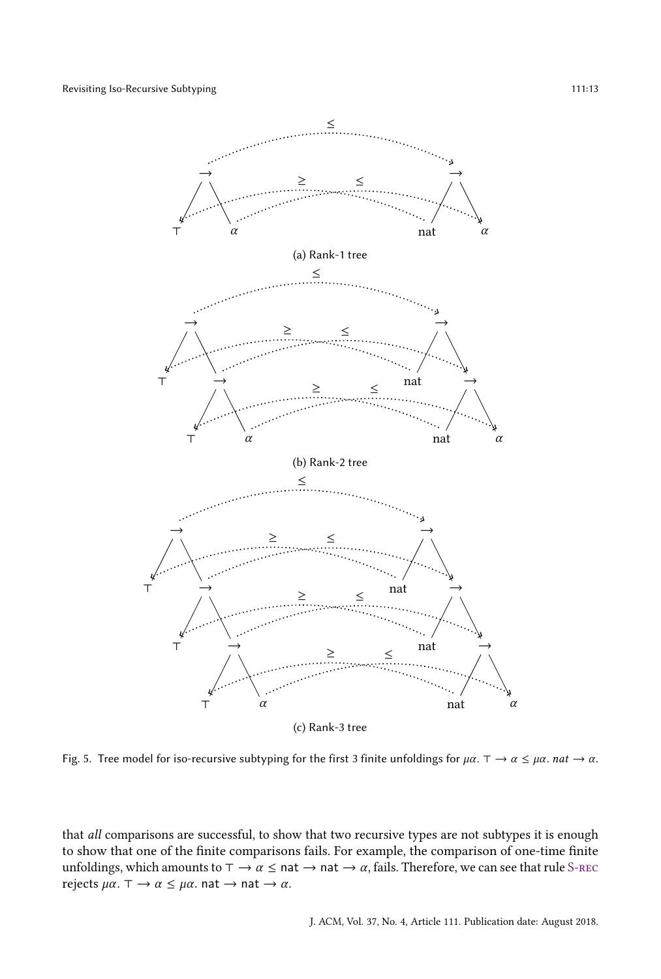<span id="page-12-0"></span>

Fig. 5. Tree model for iso-recursive subtyping for the first 3 finite unfoldings for  $\mu\alpha$ .  $\tau \to \alpha \leq \mu\alpha$ .  $nat \to \alpha$ .

that all comparisons are successful, to show that two recursive types are not subtypes it is enough to show that one of the finite comparisons fails. For example, the comparison of one-time finite unfoldings, which amounts to  $\tau \to \alpha \leq \text{nat} \to \text{nat} \to \alpha$ , fails. Therefore, we can see that rule S-REC rejects  $\mu\alpha$ .  $\tau \to \alpha \leq \mu\alpha$ . nat  $\to$  nat  $\to \alpha$ .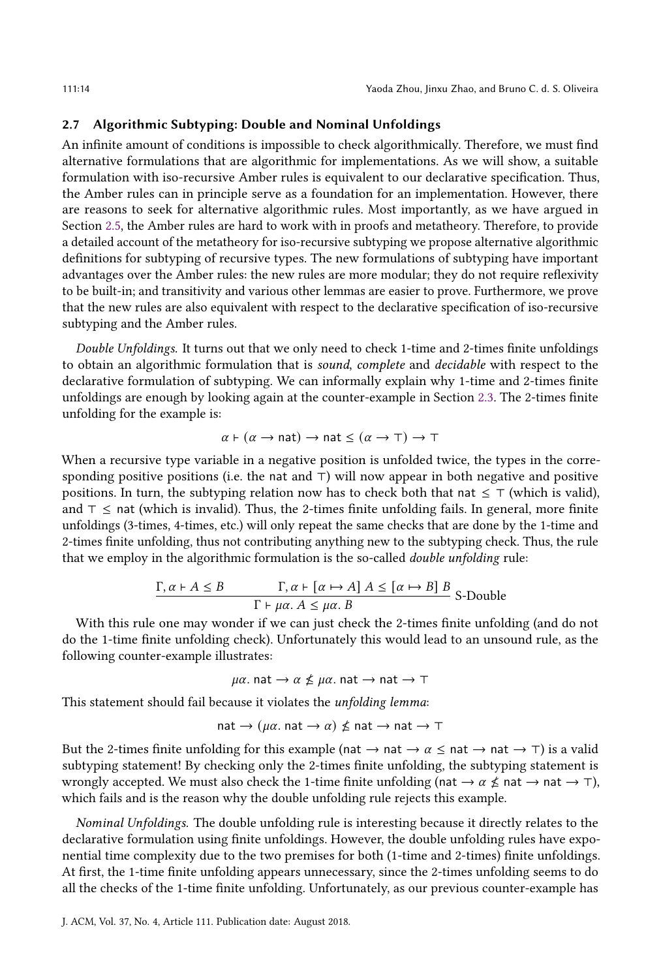#### <span id="page-13-0"></span>2.7 Algorithmic Subtyping: Double and Nominal Unfoldings

An infinite amount of conditions is impossible to check algorithmically. Therefore, we must find alternative formulations that are algorithmic for implementations. As we will show, a suitable formulation with iso-recursive Amber rules is equivalent to our declarative specification. Thus, the Amber rules can in principle serve as a foundation for an implementation. However, there are reasons to seek for alternative algorithmic rules. Most importantly, as we have argued in Section [2.5,](#page-7-0) the Amber rules are hard to work with in proofs and metatheory. Therefore, to provide a detailed account of the metatheory for iso-recursive subtyping we propose alternative algorithmic definitions for subtyping of recursive types. The new formulations of subtyping have important advantages over the Amber rules: the new rules are more modular; they do not require reflexivity to be built-in; and transitivity and various other lemmas are easier to prove. Furthermore, we prove that the new rules are also equivalent with respect to the declarative specification of iso-recursive subtyping and the Amber rules.

Double Unfoldings. It turns out that we only need to check 1-time and 2-times finite unfoldings to obtain an algorithmic formulation that is sound, complete and decidable with respect to the declarative formulation of subtyping. We can informally explain why 1-time and 2-times finite unfoldings are enough by looking again at the counter-example in Section [2.3.](#page-6-0) The 2-times finite unfolding for the example is:

$$
\alpha \vdash (\alpha \rightarrow nat) \rightarrow nat \leq (\alpha \rightarrow \top) \rightarrow \top
$$

When a recursive type variable in a negative position is unfolded twice, the types in the corresponding positive positions (i.e. the nat and ⊤) will now appear in both negative and positive positions. In turn, the subtyping relation now has to check both that nat  $\leq \top$  (which is valid), and ⊤ ≤ nat (which is invalid). Thus, the 2-times finite unfolding fails. In general, more finite unfoldings (3-times, 4-times, etc.) will only repeat the same checks that are done by the 1-time and 2-times finite unfolding, thus not contributing anything new to the subtyping check. Thus, the rule that we employ in the algorithmic formulation is the so-called double unfolding rule:

$$
\frac{\Gamma, \alpha \vdash A \le B \qquad \Gamma, \alpha \vdash [\alpha \mapsto A] A \le [\alpha \mapsto B] B}{\Gamma \vdash \mu\alpha. A \le \mu\alpha. B}
$$
S-Double

With this rule one may wonder if we can just check the 2-times finite unfolding (and do not do the 1-time finite unfolding check). Unfortunately this would lead to an unsound rule, as the following counter-example illustrates:

$$
\mu\alpha
$$
. nat  $\rightarrow \alpha \nleq \mu\alpha$ . nat  $\rightarrow$  nat  $\rightarrow \top$ 

This statement should fail because it violates the unfolding lemma:

$$
nat \rightarrow (\mu \alpha. nat \rightarrow \alpha) \nleq nat \rightarrow nat \rightarrow \top
$$

But the 2-times finite unfolding for this example (nat  $\rightarrow$  nat  $\rightarrow \alpha \leq$  nat  $\rightarrow \pi$ ) is a valid subtyping statement! By checking only the 2-times finite unfolding, the subtyping statement is wrongly accepted. We must also check the 1-time finite unfolding (nat  $\rightarrow \alpha \nleq n$ at  $\rightarrow$  nat  $\rightarrow$  ⊤), which fails and is the reason why the double unfolding rule rejects this example.

Nominal Unfoldings. The double unfolding rule is interesting because it directly relates to the declarative formulation using finite unfoldings. However, the double unfolding rules have exponential time complexity due to the two premises for both (1-time and 2-times) finite unfoldings. At first, the 1-time finite unfolding appears unnecessary, since the 2-times unfolding seems to do all the checks of the 1-time finite unfolding. Unfortunately, as our previous counter-example has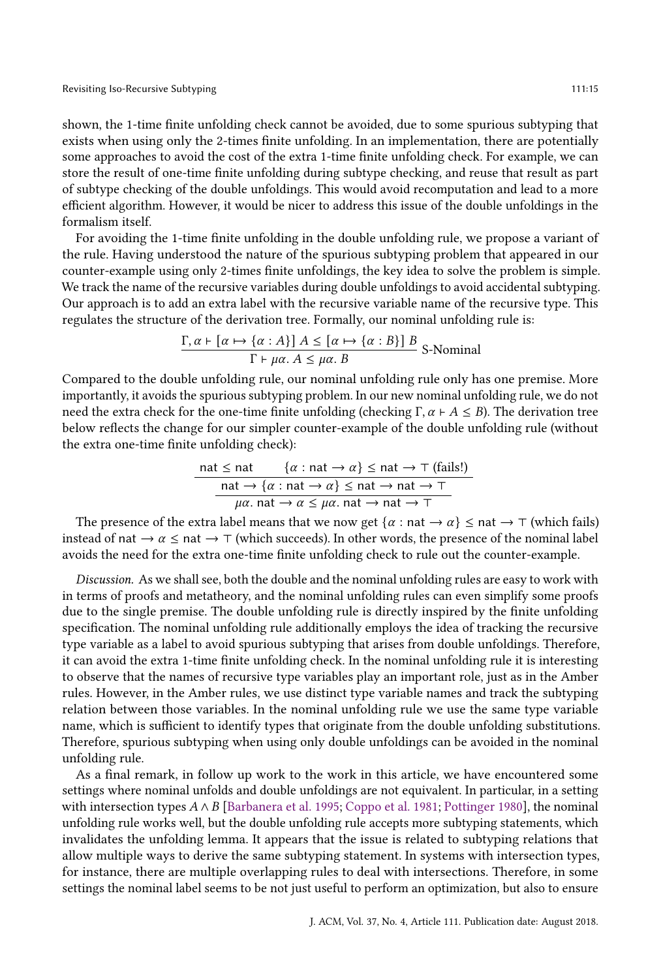shown, the 1-time finite unfolding check cannot be avoided, due to some spurious subtyping that exists when using only the 2-times finite unfolding. In an implementation, there are potentially some approaches to avoid the cost of the extra 1-time finite unfolding check. For example, we can store the result of one-time finite unfolding during subtype checking, and reuse that result as part of subtype checking of the double unfoldings. This would avoid recomputation and lead to a more efficient algorithm. However, it would be nicer to address this issue of the double unfoldings in the formalism itself.

For avoiding the 1-time finite unfolding in the double unfolding rule, we propose a variant of the rule. Having understood the nature of the spurious subtyping problem that appeared in our counter-example using only 2-times finite unfoldings, the key idea to solve the problem is simple. We track the name of the recursive variables during double unfoldings to avoid accidental subtyping. Our approach is to add an extra label with the recursive variable name of the recursive type. This regulates the structure of the derivation tree. Formally, our nominal unfolding rule is:

$$
\frac{\Gamma, \alpha \vdash [\alpha \mapsto \{\alpha : A\}]\ A \leq [\alpha \mapsto \{\alpha : B\}]\ B}{\Gamma \vdash \mu\alpha.\ A \leq \mu\alpha.\ B}
$$
S-Nominal

Compared to the double unfolding rule, our nominal unfolding rule only has one premise. More importantly, it avoids the spurious subtyping problem. In our new nominal unfolding rule, we do not need the extra check for the one-time finite unfolding (checking Γ,  $\alpha \vdash A \leq B$ ). The derivation tree below reflects the change for our simpler counter-example of the double unfolding rule (without the extra one-time finite unfolding check):

$$
\begin{array}{rcl}\n\text{nat} \leq \text{nat} & \{ \alpha : \text{nat} \to \alpha \} \leq \text{nat} \to \top \text{ (fails!)} \\
\hline\n\text{nat} \to \{ \alpha : \text{nat} \to \alpha \} \leq \text{nat} \to \text{nat} \to \top \\
\hline\n\mu\alpha. \text{nat} \to \alpha \leq \mu\alpha. \text{nat} \to \text{nat} \to \top\n\end{array}
$$

The presence of the extra label means that we now get  $\{\alpha : \text{nat} \to \alpha\} \leq \text{nat} \to \top$  (which fails) instead of nat  $\rightarrow \alpha \leq$  nat  $\rightarrow \top$  (which succeeds). In other words, the presence of the nominal label avoids the need for the extra one-time finite unfolding check to rule out the counter-example.

Discussion. As we shall see, both the double and the nominal unfolding rules are easy to work with in terms of proofs and metatheory, and the nominal unfolding rules can even simplify some proofs due to the single premise. The double unfolding rule is directly inspired by the finite unfolding specification. The nominal unfolding rule additionally employs the idea of tracking the recursive type variable as a label to avoid spurious subtyping that arises from double unfoldings. Therefore, it can avoid the extra 1-time finite unfolding check. In the nominal unfolding rule it is interesting to observe that the names of recursive type variables play an important role, just as in the Amber rules. However, in the Amber rules, we use distinct type variable names and track the subtyping relation between those variables. In the nominal unfolding rule we use the same type variable name, which is sufficient to identify types that originate from the double unfolding substitutions. Therefore, spurious subtyping when using only double unfoldings can be avoided in the nominal unfolding rule.

As a final remark, in follow up work to the work in this article, we have encountered some settings where nominal unfolds and double unfoldings are not equivalent. In particular, in a setting with intersection types  $A \wedge B$  [\[Barbanera et al.](#page-53-14) [1995;](#page-53-14) [Coppo et al.](#page-53-15) [1981;](#page-53-15) [Pottinger](#page-53-16) [1980\]](#page-53-16), the nominal unfolding rule works well, but the double unfolding rule accepts more subtyping statements, which invalidates the unfolding lemma. It appears that the issue is related to subtyping relations that allow multiple ways to derive the same subtyping statement. In systems with intersection types, for instance, there are multiple overlapping rules to deal with intersections. Therefore, in some settings the nominal label seems to be not just useful to perform an optimization, but also to ensure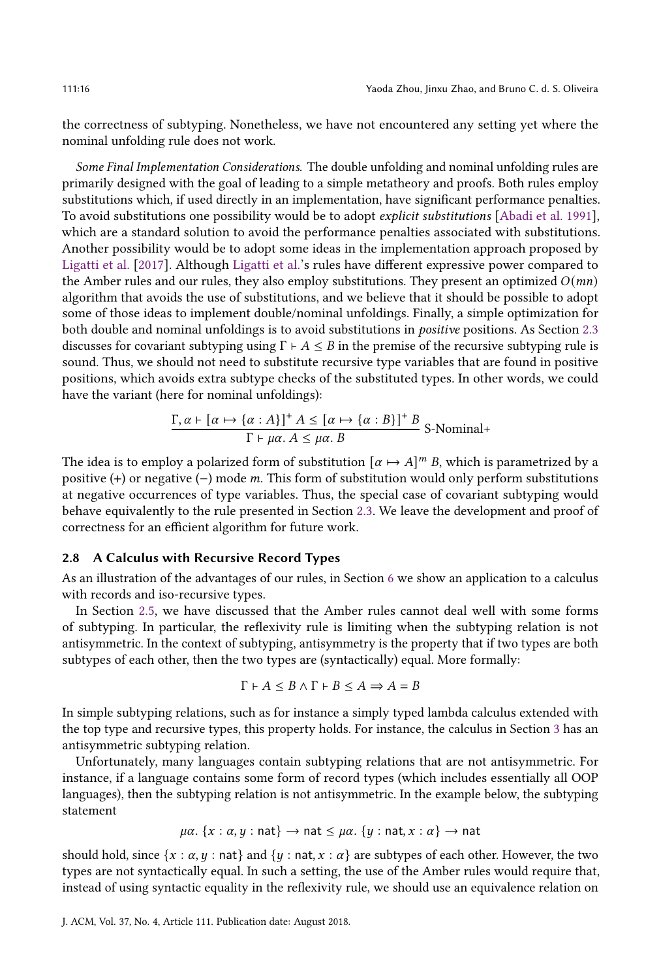the correctness of subtyping. Nonetheless, we have not encountered any setting yet where the nominal unfolding rule does not work.

Some Final Implementation Considerations. The double unfolding and nominal unfolding rules are primarily designed with the goal of leading to a simple metatheory and proofs. Both rules employ substitutions which, if used directly in an implementation, have significant performance penalties. To avoid substitutions one possibility would be to adopt explicit substitutions [\[Abadi et al.](#page-52-2) [1991\]](#page-52-2), which are a standard solution to avoid the performance penalties associated with substitutions. Another possibility would be to adopt some ideas in the implementation approach proposed by [Ligatti et al.](#page-53-11) [\[2017\]](#page-53-11). Although [Ligatti et al.'](#page-53-11)s rules have different expressive power compared to the Amber rules and our rules, they also employ substitutions. They present an optimized  $O(mn)$ algorithm that avoids the use of substitutions, and we believe that it should be possible to adopt some of those ideas to implement double/nominal unfoldings. Finally, a simple optimization for both double and nominal unfoldings is to avoid substitutions in positive positions. As Section [2.3](#page-6-0) discusses for covariant subtyping using  $\Gamma \vdash A \leq B$  in the premise of the recursive subtyping rule is sound. Thus, we should not need to substitute recursive type variables that are found in positive positions, which avoids extra subtype checks of the substituted types. In other words, we could have the variant (here for nominal unfoldings):

$$
\frac{\Gamma, \alpha \vdash [\alpha \mapsto \{\alpha : A\}]^{+} A \leq [\alpha \mapsto \{\alpha : B\}]^{+} B}{\Gamma \vdash \mu \alpha. A \leq \mu \alpha. B}
$$
S-Nominal+

The idea is to employ a polarized form of substitution  $\lbrack \alpha \mapsto A \rbrack^m B$ , which is parametrized by a positive (+) or negative (-) mode  $m$ . This form of substitution would only perform substitutions at negative occurrences of type variables. Thus, the special case of covariant subtyping would behave equivalently to the rule presented in Section [2.3.](#page-6-0) We leave the development and proof of correctness for an efficient algorithm for future work.

## <span id="page-15-0"></span>2.8 A Calculus with Recursive Record Types

As an illustration of the advantages of our rules, in Section [6](#page-40-2) we show an application to a calculus with records and iso-recursive types.

In Section [2.5,](#page-7-2) we have discussed that the Amber rules cannot deal well with some forms of subtyping. In particular, the reflexivity rule is limiting when the subtyping relation is not antisymmetric. In the context of subtyping, antisymmetry is the property that if two types are both subtypes of each other, then the two types are (syntactically) equal. More formally:

$$
\Gamma \vdash A \leq B \land \Gamma \vdash B \leq A \Rightarrow A = B
$$

In simple subtyping relations, such as for instance a simply typed lambda calculus extended with the top type and recursive types, this property holds. For instance, the calculus in Section [3](#page-16-0) has an antisymmetric subtyping relation.

Unfortunately, many languages contain subtyping relations that are not antisymmetric. For instance, if a language contains some form of record types (which includes essentially all OOP languages), then the subtyping relation is not antisymmetric. In the example below, the subtyping statement

$$
\mu\alpha
$$
.  $\{x : \alpha, y : \text{nat}\}\rightarrow \text{nat} \leq \mu\alpha$ .  $\{y : \text{nat}, x : \alpha\}\rightarrow \text{nat}$ 

should hold, since  $\{x : \alpha, y : \text{nat}\}\$  and  $\{y : \text{nat}, x : \alpha\}$  are subtypes of each other. However, the two types are not syntactically equal. In such a setting, the use of the Amber rules would require that, instead of using syntactic equality in the reflexivity rule, we should use an equivalence relation on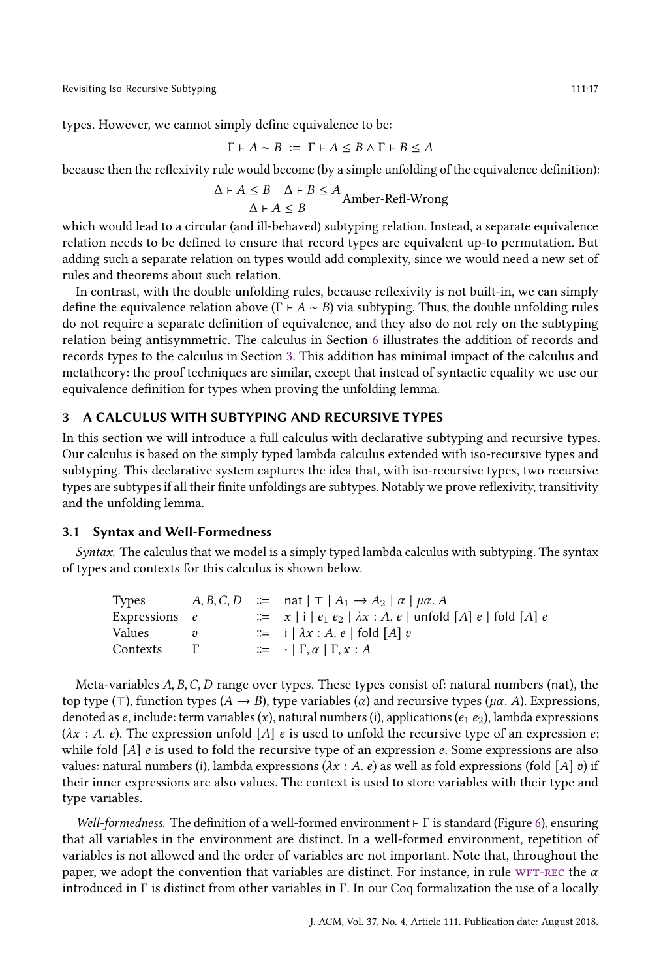types. However, we cannot simply define equivalence to be:

$$
\Gamma \vdash A \sim B \; := \; \Gamma \vdash A \leq B \land \Gamma \vdash B \leq A
$$

because then the reflexivity rule would become (by a simple unfolding of the equivalence definition):

$$
\frac{\Delta + A \leq B \quad \Delta + B \leq A}{\Delta + A \leq B}
$$
Amber-Refl-Wrong

which would lead to a circular (and ill-behaved) subtyping relation. Instead, a separate equivalence relation needs to be defined to ensure that record types are equivalent up-to permutation. But adding such a separate relation on types would add complexity, since we would need a new set of rules and theorems about such relation.

In contrast, with the double unfolding rules, because reflexivity is not built-in, we can simply define the equivalence relation above  $(\Gamma \vdash A \sim B)$  via subtyping. Thus, the double unfolding rules do not require a separate definition of equivalence, and they also do not rely on the subtyping relation being antisymmetric. The calculus in Section [6](#page-40-2) illustrates the addition of records and records types to the calculus in Section [3.](#page-16-0) This addition has minimal impact of the calculus and metatheory: the proof techniques are similar, except that instead of syntactic equality we use our equivalence definition for types when proving the unfolding lemma.

#### <span id="page-16-0"></span>3 A CALCULUS WITH SUBTYPING AND RECURSIVE TYPES

In this section we will introduce a full calculus with declarative subtyping and recursive types. Our calculus is based on the simply typed lambda calculus extended with iso-recursive types and subtyping. This declarative system captures the idea that, with iso-recursive types, two recursive types are subtypes if all their finite unfoldings are subtypes. Notably we prove reflexivity, transitivity and the unfolding lemma.

## <span id="page-16-1"></span>3.1 Syntax and Well-Formedness

Syntax. The calculus that we model is a simply typed lambda calculus with subtyping. The syntax of types and contexts for this calculus is shown below.

| Types           |  | $A, B, C, D \cong$ nat $  \top   A_1 \rightarrow A_2   \alpha   \mu \alpha$ . |
|-----------------|--|-------------------------------------------------------------------------------|
| Expressions $e$ |  | $\equiv x  i  e_1 e_2   \lambda x : A e  $ unfold [A] e   fold [A] e          |
| Values          |  | $\equiv$ i   $\lambda x : A. e$   fold   A   v                                |
| Contexts        |  | $\equiv$ $\cdot$   $\Gamma, \alpha$   $\Gamma, x : A$                         |

Meta-variables  $A, B, C, D$  range over types. These types consist of: natural numbers (nat), the top type (⊤), function types  $(A \rightarrow B)$ , type variables  $(\alpha)$  and recursive types  $(\mu \alpha, A)$ . Expressions, denoted as  $e$ , include: term variables  $(x)$ , natural numbers (i), applications  $(e_1 \, e_2)$ , lambda expressions  $(\lambda x : A, e)$ . The expression unfold [A] e is used to unfold the recursive type of an expression e; while fold  $[A]$  e is used to fold the recursive type of an expression e. Some expressions are also values: natural numbers (i), lambda expressions ( $\lambda x : A$ . e) as well as fold expressions (fold [A] v) if their inner expressions are also values. The context is used to store variables with their type and type variables.

Well-formedness. The definition of a well-formed environment  $\vdash \Gamma$  is standard (Figure [6\)](#page-17-0), ensuring that all variables in the environment are distinct. In a well-formed environment, repetition of variables is not allowed and the order of variables are not important. Note that, throughout the paper, we adopt the convention that variables are distinct. For instance, in rule WFT-REC the  $\alpha$ introduced in Γ is distinct from other variables in Γ. In our Coq formalization the use of a locally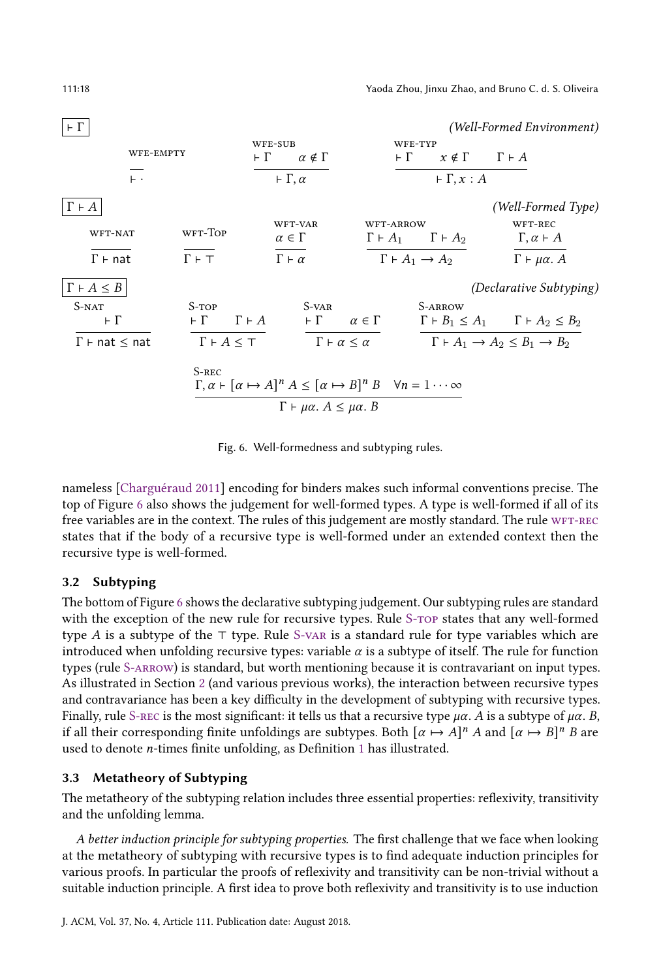<span id="page-17-7"></span><span id="page-17-6"></span><span id="page-17-0"></span>

<span id="page-17-9"></span><span id="page-17-8"></span><span id="page-17-5"></span><span id="page-17-4"></span><span id="page-17-3"></span><span id="page-17-2"></span><span id="page-17-1"></span>Fig. 6. Well-formedness and subtyping rules.

<span id="page-17-10"></span>nameless [\[Charguéraud](#page-53-19) [2011\]](#page-53-19) encoding for binders makes such informal conventions precise. The top of Figure [6](#page-17-0) also shows the judgement for well-formed types. A type is well-formed if all of its free variables are in the context. The rules of this judgement are mostly standard. The rule WFT-REC states that if the body of a recursive type is well-formed under an extended context then the recursive type is well-formed.

## 3.2 Subtyping

The bottom of Figure [6](#page-17-0) shows the declarative subtyping judgement. Our subtyping rules are standard with the exception of the new rule for recursive types. Rule S-TOP states that any well-formed type A is a subtype of the ⊤ type. Rule [S-var](#page-17-4) is a standard rule for type variables which are introduced when unfolding recursive types: variable  $\alpha$  is a subtype of itself. The rule for function types (rule [S-arrow\)](#page-17-5) is standard, but worth mentioning because it is contravariant on input types. As illustrated in Section [2](#page-4-1) (and various previous works), the interaction between recursive types and contravariance has been a key difficulty in the development of subtyping with recursive types. Finally, rule S-REC is the most significant: it tells us that a recursive type  $\mu\alpha$ . A is a subtype of  $\mu\alpha$ . B, if all their corresponding finite unfoldings are subtypes. Both  $\lbrack \alpha \mapsto A \rbrack^n A$  and  $\lbrack \alpha \mapsto B \rbrack^n B$  are used to denote *n*-times finite unfolding, as Definition [1](#page-10-0) has illustrated.

# 3.3 Metatheory of Subtyping

The metatheory of the subtyping relation includes three essential properties: reflexivity, transitivity and the unfolding lemma.

A better induction principle for subtyping properties. The first challenge that we face when looking at the metatheory of subtyping with recursive types is to find adequate induction principles for various proofs. In particular the proofs of reflexivity and transitivity can be non-trivial without a suitable induction principle. A first idea to prove both reflexivity and transitivity is to use induction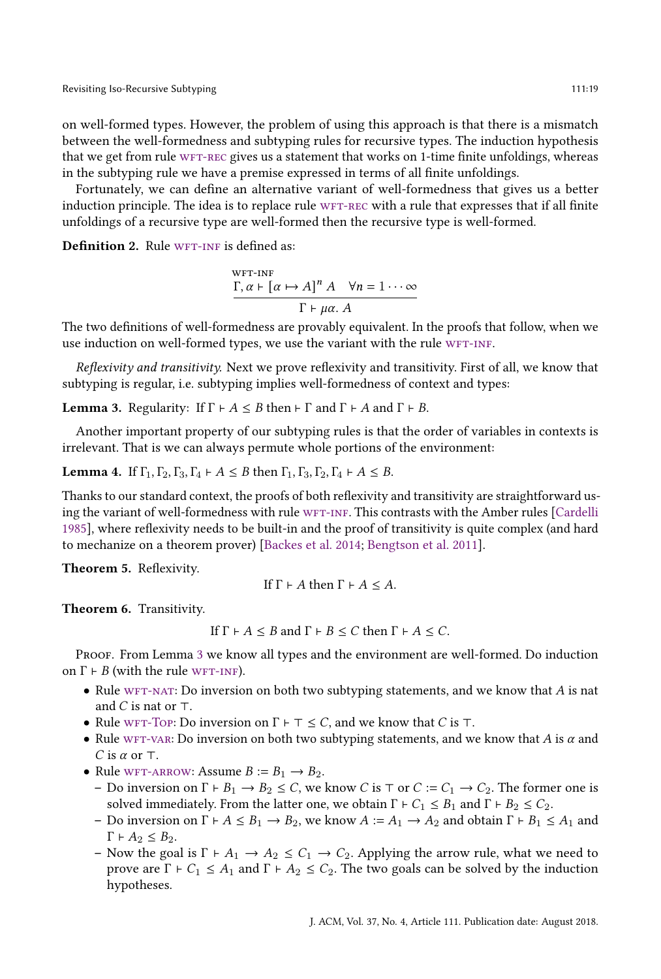on well-formed types. However, the problem of using this approach is that there is a mismatch between the well-formedness and subtyping rules for recursive types. The induction hypothesis that we get from rule WFT-REC gives us a statement that works on 1-time finite unfoldings, whereas in the subtyping rule we have a premise expressed in terms of all finite unfoldings.

Fortunately, we can define an alternative variant of well-formedness that gives us a better induction principle. The idea is to replace rule WFT-REC with a rule that expresses that if all finite unfoldings of a recursive type are well-formed then the recursive type is well-formed.

<span id="page-18-5"></span>Definition 2. Rule WFT-INF is defined as:

<span id="page-18-2"></span>
$$
\frac{\Gamma, \alpha \vdash [\alpha \mapsto A]^n A \quad \forall n = 1 \cdots \infty}{\Gamma \vdash \mu \alpha. A}
$$

The two definitions of well-formedness are provably equivalent. In the proofs that follow, when we use induction on well-formed types, we use the variant with the rule WFT-INF.

Reflexivity and transitivity. Next we prove reflexivity and transitivity. First of all, we know that subtyping is regular, i.e. subtyping implies well-formedness of context and types:

<span id="page-18-3"></span>**Lemma 3.** Regularity: If  $\Gamma \vdash A \leq B$  then  $\vdash \Gamma$  and  $\Gamma \vdash A$  and  $\Gamma \vdash B$ .

Another important property of our subtyping rules is that the order of variables in contexts is irrelevant. That is we can always permute whole portions of the environment:

<span id="page-18-4"></span>**Lemma 4.** If  $\Gamma_1, \Gamma_2, \Gamma_3, \Gamma_4 \vdash A \leq B$  then  $\Gamma_1, \Gamma_3, \Gamma_2, \Gamma_4 \vdash A \leq B$ .

Thanks to our standard context, the proofs of both reflexivity and transitivity are straightforward us-ing the variant of well-formedness with rule WFT-INF. This contrasts with the Amber rules [\[Cardelli](#page-53-3) [1985\]](#page-53-3), where reflexivity needs to be built-in and the proof of transitivity is quite complex (and hard to mechanize on a theorem prover) [\[Backes et al.](#page-53-13) [2014;](#page-53-13) [Bengtson et al.](#page-53-6) [2011\]](#page-53-6).

<span id="page-18-0"></span>Theorem 5. Reflexivity.

If 
$$
\Gamma \vdash A
$$
 then  $\Gamma \vdash A \leq A$ .

<span id="page-18-1"></span>Theorem 6. Transitivity.

If  $\Gamma \vdash A \leq B$  and  $\Gamma \vdash B \leq C$  then  $\Gamma \vdash A \leq C$ .

Proof. From Lemma [3](#page-18-3) we know all types and the environment are well-formed. Do induction on  $\Gamma$   $\vdash$  *B* (with the rule WFT-INF).

- Rule WFT-NAT: Do inversion on both two subtyping statements, and we know that  $A$  is nat and  $C$  is nat or  $\top$ .
- Rule wFT-Top: Do inversion on  $\Gamma \vdash \top \leq C$ , and we know that C is  $\top$ .
- Rule WFT-VAR: Do inversion on both two subtyping statements, and we know that A is  $\alpha$  and C is  $\alpha$  or  $\top$ .
- Rule wFT-ARROW: Assume  $B := B_1 \rightarrow B_2$ .
	- Do inversion on  $\Gamma \vdash B_1 \to B_2 \leq C$ , we know *C* is ⊤ or  $C := C_1 \to C_2$ . The former one is solved immediately. From the latter one, we obtain  $\Gamma \vdash C_1 \leq B_1$  and  $\Gamma \vdash B_2 \leq C_2$ .
	- Do inversion on  $\Gamma \vdash A \leq B_1 \rightarrow B_2$ , we know  $A := A_1 \rightarrow A_2$  and obtain  $\Gamma \vdash B_1 \leq A_1$  and  $\Gamma \vdash A_2 \leq B_2.$
	- Now the goal is  $\Gamma \vdash A_1 \rightarrow A_2 \leq C_1 \rightarrow C_2$ . Applying the arrow rule, what we need to prove are  $\Gamma \vdash C_1 \leq A_1$  and  $\Gamma \vdash A_2 \leq C_2$ . The two goals can be solved by the induction hypotheses.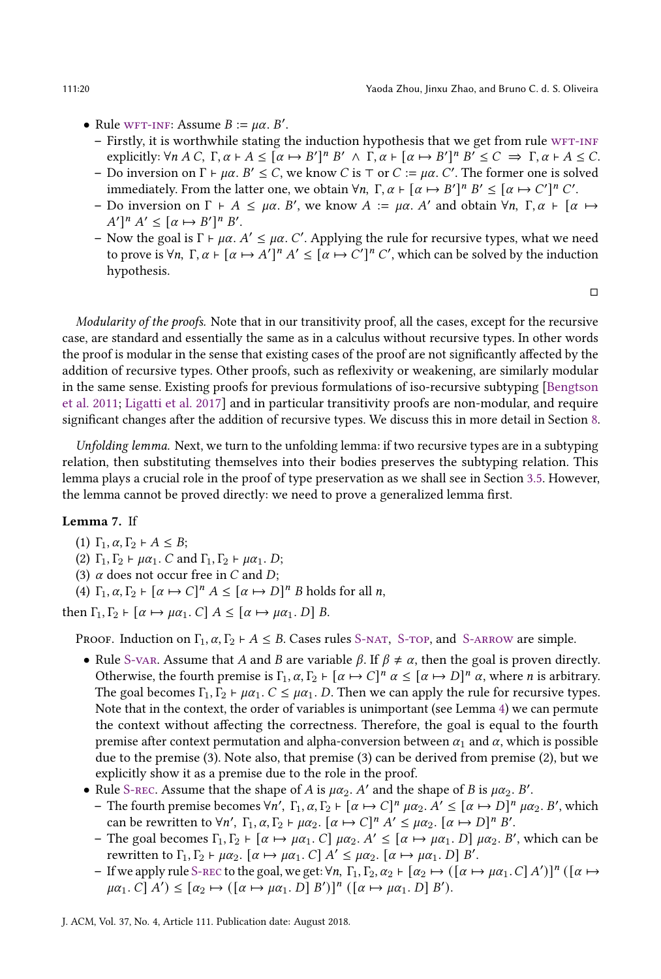- Rule wFT-INF: Assume  $B := \mu \alpha$ . B'.
	- $-$  Firstly, it is worthwhile stating the induction hypothesis that we get from rule WFT-INF explicitly:  $\forall n \ A \ C, \ \Gamma, \alpha \vdash A \leq [\alpha \mapsto B']^n \ B' \ \wedge \ \Gamma, \alpha \vdash [\alpha \mapsto B']^n \ B' \leq C \ \Rightarrow \ \Gamma, \alpha \vdash A \leq C.$
	- Do inversion on Γ ⊢ μα. B'  $\leq C$ , we know C is ⊤ or C := μα. C'. The former one is solved immediately. From the latter one, we obtain  $\forall n, \Gamma, \alpha \vdash [\alpha \mapsto B']^n B' \leq [\alpha \mapsto C']^n C'.$
	- Do inversion on Γ +  $A \leq \mu \alpha$ . B', we know  $A := \mu \alpha$ . A' and obtain  $\forall n, \Gamma, \alpha \vdash [\alpha \mapsto \alpha]$  $A' \rbrack^n A' \leq \lbrack \alpha \mapsto B' \rbrack^n B'.$
	- Now the goal is  $\Gamma \vdash \mu \alpha$ . *A'* ≤  $\mu \alpha$ . *C'*. Applying the rule for recursive types, what we need to prove is  $\forall n, \Gamma, \alpha \vdash [\alpha \mapsto A']^n A' \leq [\alpha \mapsto C']^n C'$ , which can be solved by the induction hypothesis.

□

Modularity of the proofs. Note that in our transitivity proof, all the cases, except for the recursive case, are standard and essentially the same as in a calculus without recursive types. In other words the proof is modular in the sense that existing cases of the proof are not significantly affected by the addition of recursive types. Other proofs, such as reflexivity or weakening, are similarly modular in the same sense. Existing proofs for previous formulations of iso-recursive subtyping [\[Bengtson](#page-53-6) [et al.](#page-53-6) [2011;](#page-53-6) [Ligatti et al.](#page-53-11) [2017\]](#page-53-11) and in particular transitivity proofs are non-modular, and require significant changes after the addition of recursive types. We discuss this in more detail in Section [8.](#page-48-0)

Unfolding lemma. Next, we turn to the unfolding lemma: if two recursive types are in a subtyping relation, then substituting themselves into their bodies preserves the subtyping relation. This lemma plays a crucial role in the proof of type preservation as we shall see in Section [3.5.](#page-20-1) However, the lemma cannot be proved directly: we need to prove a generalized lemma first.

#### <span id="page-19-0"></span>Lemma 7. If

- (1)  $\Gamma_1, \alpha, \Gamma_2 \vdash A \leq B;$
- (2)  $\Gamma_1, \Gamma_2 \vdash \mu \alpha_1$ . C and  $\Gamma_1, \Gamma_2 \vdash \mu \alpha_1$ . D;
- (3)  $\alpha$  does not occur free in  $C$  and  $D$ ;
- (4)  $\Gamma_1, \alpha, \Gamma_2 \vdash [\alpha \mapsto C]^n A \leq [\alpha \mapsto D]^n B$  holds for all *n*,

then  $\Gamma_1, \Gamma_2 \vdash [\alpha \mapsto \mu \alpha_1, C]$   $A \leq [\alpha \mapsto \mu \alpha_1, D]$  B.

PROOF. Induction on  $\Gamma_1$ ,  $\alpha$ ,  $\Gamma_2$  + A  $\leq$  B. Cases rules S-NAT, S-TOP, and S-ARROW are simple.

- Rule [S-var.](#page-17-4) Assume that A and B are variable  $\beta$ . If  $\beta \neq \alpha$ , then the goal is proven directly. Otherwise, the fourth premise is  $\Gamma_1, \alpha, \Gamma_2 \vdash [\alpha \mapsto C]^n \alpha \leq [\alpha \mapsto D]^n \alpha$ , where *n* is arbitrary. The goal becomes  $\Gamma_1, \Gamma_2 \vdash \mu \alpha_1$ .  $C \leq \mu \alpha_1$ . D. Then we can apply the rule for recursive types. Note that in the context, the order of variables is unimportant (see Lemma [4\)](#page-18-4) we can permute the context without affecting the correctness. Therefore, the goal is equal to the fourth premise after context permutation and alpha-conversion between  $\alpha_1$  and  $\alpha$ , which is possible due to the premise (3). Note also, that premise (3) can be derived from premise (2), but we explicitly show it as a premise due to the role in the proof.
- Rule S-REC. Assume that the shape of A is  $\mu \alpha_2$ . A' and the shape of B is  $\mu \alpha_2$ . B'.
	- The fourth premise becomes  $\forall n'$ ,  $\Gamma_1$ ,  $\alpha$ ,  $\Gamma_2 \vdash [\alpha \mapsto C]^n$   $\mu \alpha_2$ .  $A' \leq [\alpha \mapsto D]^n$   $\mu \alpha_2$ . B', which can be rewritten to  $\forall n'$ ,  $\Gamma_1$ ,  $\alpha$ ,  $\Gamma_2$   $\vdash \mu \alpha_2$ .  $\lbrack \alpha \mapsto C \rbrack^n A' \leq \mu \alpha_2$ .  $\lbrack \alpha \mapsto D \rbrack^n B'$ .
	- The goal becomes  $\Gamma_1, \Gamma_2 \vdash [\alpha \mapsto \mu \alpha_1]$ .  $C] \mu \alpha_2$ .  $A' \leq [\alpha \mapsto \mu \alpha_1]$ .  $D] \mu \alpha_2$ .  $B'$ , which can be rewritten to  $\Gamma_1, \Gamma_2 \vdash \mu \alpha_2$ .  $[\alpha \mapsto \mu \alpha_1]$ .  $C]$   $A' \leq \mu \alpha_2$ .  $[\alpha \mapsto \mu \alpha_1]$ .  $D]$   $B'$ .
	- If we apply rule S-REC to the goal, we get:  $\forall n, \Gamma_1, \Gamma_2, \alpha_2 \vdash [\alpha_2 \mapsto ([\alpha \mapsto \mu \alpha_1.C] A')]^n ([\alpha \mapsto \alpha_2 \mapsto [T(\alpha_1 \mapsto \mu \alpha_2 \mapsto T(\alpha_1 \mapsto \mu \alpha_2 \mapsto T(\alpha_2 \mapsto \alpha_1 \mapsto \alpha_2 \mapsto T(\alpha_1 \mapsto \alpha_2 \mapsto T(\alpha_2 \mapsto \alpha_1 \mapsto \alpha_2 \mapsto T(\alpha_1 \mapsto \alpha_2 \mapsto T(\alpha_2 \$  $\mu\alpha_1$ .  $C[A'] \leq [\alpha_2 \mapsto ([\alpha \mapsto \mu\alpha_1, D] B')]^n ([\alpha \mapsto \mu\alpha_1, D] B').$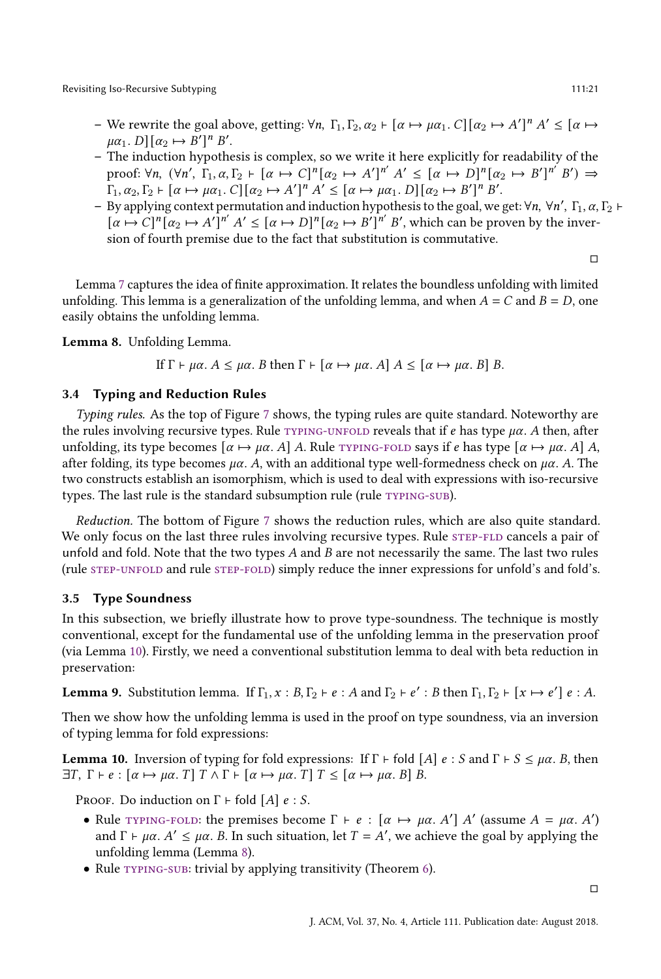- We rewrite the goal above, getting:  $\forall n, \Gamma_1, \Gamma_2, \alpha_2 \vdash [\alpha \mapsto \mu \alpha_1] \ldots C][\alpha_2 \mapsto A']^n A' \leq [\alpha \mapsto \alpha_2]$  $\mu\alpha_1$ .  $D\left[(\alpha_2 \mapsto B'\right]^n B'.$
- The induction hypothesis is complex, so we write it here explicitly for readability of the proof:  $\forall n, \ (\forall n', \ \Gamma_1, \alpha, \Gamma_2 \vdash [\alpha \mapsto C]^n [\alpha_2 \mapsto A']^{n'} A' \leq [\alpha \mapsto D]^n [\alpha_2 \mapsto B']^{n'} B' \Rightarrow$  $\Gamma_1, \alpha_2, \Gamma_2 \vdash [\alpha \mapsto \mu \alpha_1] \cdot C] [\alpha_2 \mapsto A']^n A' \leq [\alpha \mapsto \mu \alpha_1] \cdot D] [\alpha_2 \mapsto B']^n B'.$
- By applying context permutation and induction hypothesis to the goal, we get:  $\forall n$ ,  $\forall n'$ ,  $\Gamma_1$ ,  $\alpha$ ,  $\Gamma_2$  +  $[\alpha \mapsto C]^n [\alpha_2 \mapsto A']^{n'} A' \leq [\alpha \mapsto D]^n [\alpha_2 \mapsto B']^{n'} B'$ , which can be proven by the inversion of fourth premise due to the fact that substitution is commutative.

□

Lemma [7](#page-19-0) captures the idea of finite approximation. It relates the boundless unfolding with limited unfolding. This lemma is a generalization of the unfolding lemma, and when  $A = C$  and  $B = D$ , one easily obtains the unfolding lemma.

<span id="page-20-0"></span>Lemma 8. Unfolding Lemma.

If 
$$
\Gamma \vdash \mu \alpha
$$
.  $A \leq \mu \alpha$ . *B* then  $\Gamma \vdash [\alpha \mapsto \mu \alpha, A] \land \leq [\alpha \mapsto \mu \alpha, B] \land B$ .

#### <span id="page-20-3"></span>3.4 Typing and Reduction Rules

Typing rules. As the top of Figure [7](#page-21-0) shows, the typing rules are quite standard. Noteworthy are the rules involving recursive types. Rule  $TYPING-UNFOLD$  reveals that if  $e$  has type  $\mu\alpha$ . A then, after unfolding, its type becomes  $[\alpha \mapsto \mu \alpha, A]$  A. Rule [typing-fold](#page-21-2) says if e has type  $[\alpha \mapsto \mu \alpha, A]$  A. after folding, its type becomes  $\mu\alpha$ . A, with an additional type well-formedness check on  $\mu\alpha$ . A. The two constructs establish an isomorphism, which is used to deal with expressions with iso-recursive types. The last rule is the standard subsumption rule (rule TYPING-SUB).

Reduction. The bottom of Figure [7](#page-21-0) shows the reduction rules, which are also quite standard. We only focus on the last three rules involving recursive types. Rule STEP-FLD cancels a pair of unfold and fold. Note that the two types  $A$  and  $B$  are not necessarily the same. The last two rules (rule [step-unfold](#page-21-5) and rule [step-fold\)](#page-21-6) simply reduce the inner expressions for unfold's and fold's.

#### <span id="page-20-1"></span>3.5 Type Soundness

In this subsection, we briefly illustrate how to prove type-soundness. The technique is mostly conventional, except for the fundamental use of the unfolding lemma in the preservation proof (via Lemma [10\)](#page-20-2). Firstly, we need a conventional substitution lemma to deal with beta reduction in preservation:

**Lemma 9.** Substitution lemma. If  $\Gamma_1$ ,  $x : B$ ,  $\Gamma_2$   $\vdash$   $e : A$  and  $\Gamma_2$   $\vdash$   $e' : B$  then  $\Gamma_1$ ,  $\Gamma_2$   $\vdash$   $[x \mapsto e']$   $e : A$ .

Then we show how the unfolding lemma is used in the proof on type soundness, via an inversion of typing lemma for fold expressions:

<span id="page-20-2"></span>**Lemma 10.** Inversion of typing for fold expressions: If  $\Gamma \vdash$  fold  $[A]$   $e : S$  and  $\Gamma \vdash S \leq \mu \alpha$ . B, then  $\exists T, \Gamma \vdash e : [\alpha \mapsto \mu\alpha, T] \top \wedge \Gamma \vdash [\alpha \mapsto \mu\alpha, T] \top \leq [\alpha \mapsto \mu\alpha, B] B.$ 

PROOF. Do induction on  $\Gamma$  ⊢ fold [A]  $e : S$ .

- Rule TYPING-FOLD: the premises become  $\Gamma \vdash e : [\alpha \mapsto \mu \alpha, A']$  A' (assume  $A = \mu \alpha, A'$ ) and  $\Gamma \vdash \mu \alpha$ .  $A' \leq \mu \alpha$ . B. In such situation, let  $T = A'$ , we achieve the goal by applying the unfolding lemma (Lemma [8\)](#page-20-0).
- Rule TYPING-SUB: trivial by applying transitivity (Theorem [6\)](#page-18-1).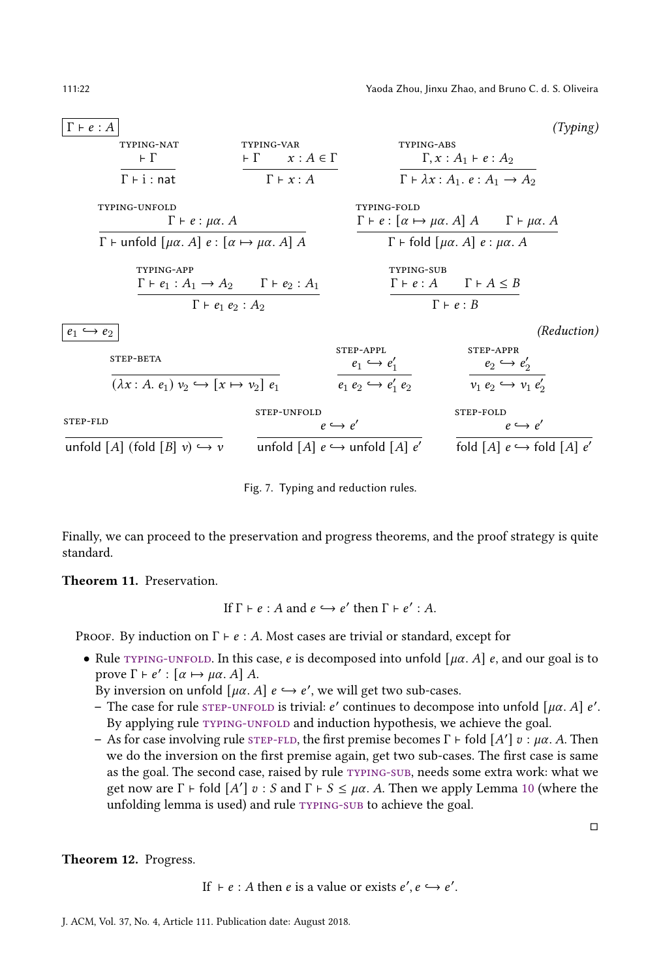<span id="page-21-1"></span><span id="page-21-0"></span>

| $\Gamma \vdash e : A$                                                             |                                                     |                                                                               |                                                                                         | (Typing) |
|-----------------------------------------------------------------------------------|-----------------------------------------------------|-------------------------------------------------------------------------------|-----------------------------------------------------------------------------------------|----------|
| TYPING-NAT<br>$\vdash \Gamma$                                                     | TYPING-VAR<br>$\vdash \Gamma \qquad x:A \in \Gamma$ | TYPING-ABS                                                                    | $\Gamma, x:A_1 \vdash e:A_2$                                                            |          |
| $\Gamma$ + i : nat                                                                | $\Gamma \vdash x : A$                               |                                                                               | $\Gamma \vdash \lambda x : A_1 \ldots e : A_1 \rightarrow A_2$                          |          |
| TYPING-UNFOLD<br>$\Gamma \vdash e : \mu \alpha$ . A                               |                                                     | <b>TYPING-FOLD</b>                                                            | $\Gamma \vdash e : [\alpha \mapsto \mu \alpha. A] A \qquad \Gamma \vdash \mu \alpha. A$ |          |
| $\Gamma$ + unfold $[\mu\alpha, A]$ e : $[\alpha \mapsto \mu\alpha, A]$ A          |                                                     |                                                                               | $\Gamma$ + fold $[\mu\alpha, A]$ e : $\mu\alpha$ . A                                    |          |
| TYPING-APP<br>$\Gamma \vdash e_1 : A_1 \rightarrow A_2$ $\Gamma \vdash e_2 : A_1$ |                                                     | <b>TYPING-SUB</b>                                                             | $\Gamma \vdash e : A \qquad \Gamma \vdash A \leq B$                                     |          |
| $\Gamma \vdash e_1 \ e_2 : A_2$                                                   |                                                     |                                                                               | $\Gamma \vdash e : B$                                                                   |          |
| $e_1 \hookrightarrow e_2$                                                         |                                                     |                                                                               | (Reduction)                                                                             |          |
| STEP-BETA<br>$(\lambda x : A, e_1) v_2 \hookrightarrow [x \mapsto v_2] e_1$       |                                                     | STEP-APPL<br>$e_1 \hookrightarrow e'_1$<br>$e_1 e_2 \hookrightarrow e'_1 e_2$ | STEP-APPR<br>$e_2 \hookrightarrow e'_2$<br>$v_1 e_2 \hookrightarrow v_1 e'_2$           |          |
| STEP-FLD                                                                          | STEP-UNFOLD                                         | $e \hookrightarrow e'$                                                        | STEP-FOLD<br>$e \hookrightarrow e'$                                                     |          |
| unfold [A] (fold [B] $v$ ) $\hookrightarrow$ v                                    |                                                     | unfold [A] $e \hookrightarrow$ unfold [A] $e'$                                | fold [A] $e \hookrightarrow$ fold [A] $e'$                                              |          |

<span id="page-21-6"></span><span id="page-21-5"></span><span id="page-21-3"></span><span id="page-21-2"></span>Fig. 7. Typing and reduction rules.

<span id="page-21-4"></span>Finally, we can proceed to the preservation and progress theorems, and the proof strategy is quite standard.

<span id="page-21-7"></span>Theorem 11. Preservation.

If 
$$
\Gamma \vdash e : A
$$
 and  $e \hookrightarrow e'$  then  $\Gamma \vdash e' : A$ .

PROOF. By induction on  $\Gamma \vdash e : A$ . Most cases are trivial or standard, except for

• Rule TYPING-UNFOLD. In this case, e is decomposed into unfold  $[\mu \alpha, A]$  e, and our goal is to prove  $\Gamma \vdash e' : [\alpha \mapsto \mu \alpha. A] A$ .

By inversion on unfold  $[\mu\alpha.\ A]\ e\hookrightarrow e',$  we will get two sub-cases.

- The case for rule STEP-UNFOLD is trivial: e' continues to decompose into unfold [ $\mu\alpha$ . A] e'. By applying rule TYPING-UNFOLD and induction hypothesis, we achieve the goal.
- As for case involving rule sTEP-FLD, the first premise becomes Γ ⊦ fold [A']  $v : \mu\alpha$ . A. Then we do the inversion on the first premise again, get two sub-cases. The first case is same as the goal. The second case, raised by rule [typing-sub,](#page-21-3) needs some extra work: what we get now are  $\Gamma \vdash$  fold  $[A'] v : S$  and  $\Gamma \vdash S \leq \mu \alpha$ . A. Then we apply Lemma [10](#page-20-2) (where the unfolding lemma is used) and rule [typing-sub](#page-21-3) to achieve the goal.

□

<span id="page-21-8"></span>Theorem 12. Progress.

If  $\vdash e : A$  then  $e$  is a value or exists  $e', e \hookrightarrow e'$ .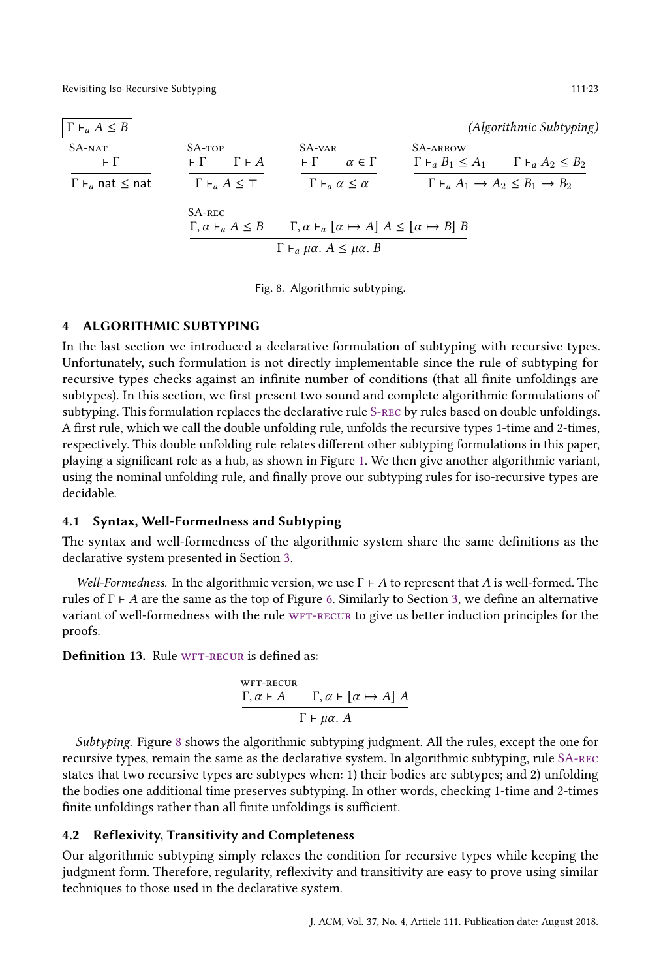<span id="page-22-1"></span>

| $\Gamma \vdash_a A \leq B$      |                                                        |                                                                                 |          | (Algorithmic Subtyping)                                        |
|---------------------------------|--------------------------------------------------------|---------------------------------------------------------------------------------|----------|----------------------------------------------------------------|
| $SA-NAT$<br>$\vdash$ $\Gamma$   | SA-TOP<br>$\Gamma \vdash A$<br>⊢ F -                   | SA-var<br>$\vdash \Gamma$<br>$\alpha \in \Gamma$                                | SA-ARROW | $\Gamma \vdash_a B_1 \leq A_1$ $\Gamma \vdash_a A_2 \leq B_2$  |
| $\Gamma\vdash_a$ nat $\leq$ nat | $\Gamma \vdash_{a} A \leq \top$                        | $\Gamma \vdash_{\alpha} \alpha \leq \alpha$                                     |          | $\Gamma \vdash_a A_1 \rightarrow A_2 \leq B_1 \rightarrow B_2$ |
|                                 | $S$ A-REC<br>$\Gamma, \alpha \vdash_{\alpha} A \leq B$ | $\Gamma, \alpha \vdash_{\alpha} [\alpha \mapsto A] A \leq [\alpha \mapsto B] B$ |          |                                                                |
|                                 |                                                        | $\Gamma \vdash_a \mu \alpha$ . $A \leq \mu \alpha$ . B                          |          |                                                                |

<span id="page-22-5"></span><span id="page-22-4"></span><span id="page-22-3"></span>Fig. 8. Algorithmic subtyping.

# <span id="page-22-0"></span>4 ALGORITHMIC SUBTYPING

In the last section we introduced a declarative formulation of subtyping with recursive types. Unfortunately, such formulation is not directly implementable since the rule of subtyping for recursive types checks against an infinite number of conditions (that all finite unfoldings are subtypes). In this section, we first present two sound and complete algorithmic formulations of subtyping. This formulation replaces the declarative rule [S-rec](#page-17-1) by rules based on double unfoldings. A first rule, which we call the double unfolding rule, unfolds the recursive types 1-time and 2-times, respectively. This double unfolding rule relates different other subtyping formulations in this paper, playing a significant role as a hub, as shown in Figure [1.](#page-4-0) We then give another algorithmic variant, using the nominal unfolding rule, and finally prove our subtyping rules for iso-recursive types are decidable.

#### 4.1 Syntax, Well-Formedness and Subtyping

The syntax and well-formedness of the algorithmic system share the same definitions as the declarative system presented in Section [3.](#page-16-0)

Well-Formedness. In the algorithmic version, we use  $\Gamma \vdash A$  to represent that A is well-formed. The rules of  $\Gamma \vdash A$  are the same as the top of Figure [6.](#page-17-0) Similarly to Section [3,](#page-16-0) we define an alternative variant of well-formedness with the rule WFT-RECUR to give us better induction principles for the proofs.

<span id="page-22-6"></span>Definition 13. Rule WFT-RECUR is defined as:

<span id="page-22-2"></span>
$$
\frac{\Gamma, \alpha \vdash A \qquad \Gamma, \alpha \vdash [\alpha \mapsto A] A}{\Gamma \vdash \mu \alpha. A}
$$

Subtyping. Figure [8](#page-22-1) shows the algorithmic subtyping judgment. All the rules, except the one for recursive types, remain the same as the declarative system. In algorithmic subtyping, rule [SA-rec](#page-22-3) states that two recursive types are subtypes when: 1) their bodies are subtypes; and 2) unfolding the bodies one additional time preserves subtyping. In other words, checking 1-time and 2-times finite unfoldings rather than all finite unfoldings is sufficient.

## 4.2 Reflexivity, Transitivity and Completeness

Our algorithmic subtyping simply relaxes the condition for recursive types while keeping the judgment form. Therefore, regularity, reflexivity and transitivity are easy to prove using similar techniques to those used in the declarative system.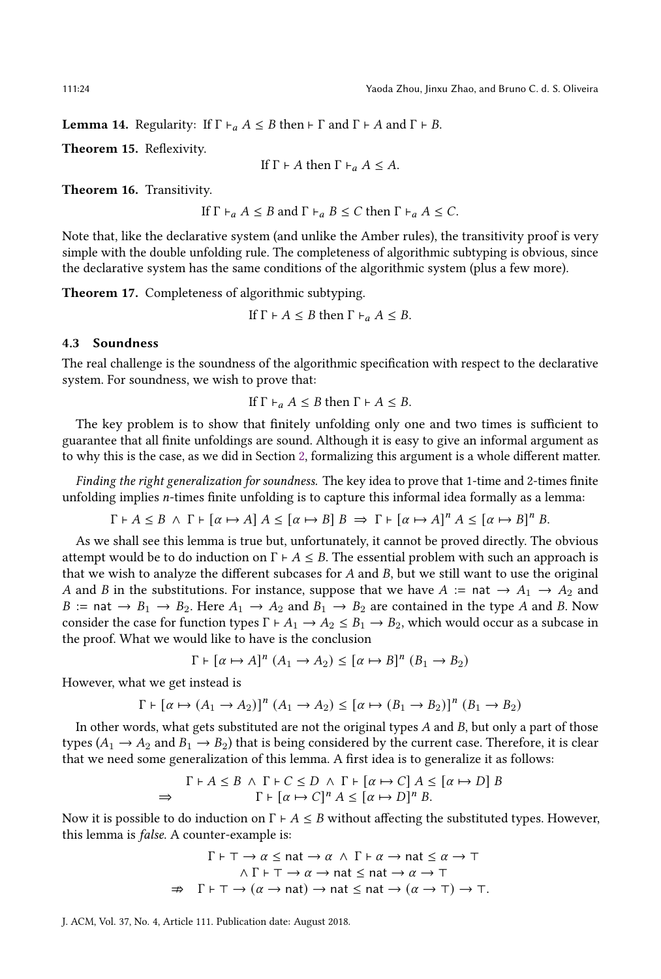**Lemma 14.** Regularity: If  $\Gamma \vdash_a A \leq B$  then  $\vdash \Gamma$  and  $\Gamma \vdash A$  and  $\Gamma \vdash B$ .

<span id="page-23-0"></span>Theorem 15. Reflexivity.

If 
$$
\Gamma \vdash A
$$
 then  $\Gamma \vdash_a A \leq A$ .

<span id="page-23-1"></span>Theorem 16. Transitivity.

If 
$$
\Gamma \vdash_a A \leq B
$$
 and  $\Gamma \vdash_a B \leq C$  then  $\Gamma \vdash_a A \leq C$ .

Note that, like the declarative system (and unlike the Amber rules), the transitivity proof is very simple with the double unfolding rule. The completeness of algorithmic subtyping is obvious, since the declarative system has the same conditions of the algorithmic system (plus a few more).

<span id="page-23-2"></span>Theorem 17. Completeness of algorithmic subtyping.

If 
$$
\Gamma \vdash A \leq B
$$
 then  $\Gamma \vdash_a A \leq B$ .

## <span id="page-23-3"></span>4.3 Soundness

The real challenge is the soundness of the algorithmic specification with respect to the declarative system. For soundness, we wish to prove that:

If 
$$
\Gamma \vdash_a A \leq B
$$
 then  $\Gamma \vdash A \leq B$ .

The key problem is to show that finitely unfolding only one and two times is sufficient to guarantee that all finite unfoldings are sound. Although it is easy to give an informal argument as to why this is the case, as we did in Section [2,](#page-4-1) formalizing this argument is a whole different matter.

Finding the right generalization for soundness. The key idea to prove that 1-time and 2-times finite unfolding implies  $n$ -times finite unfolding is to capture this informal idea formally as a lemma:

$$
\Gamma \vdash A \leq B \ \land \ \Gamma \vdash [\alpha \mapsto A] \ A \leq [\alpha \mapsto B] \ B \ \Rightarrow \ \Gamma \vdash [\alpha \mapsto A]^n \ A \leq [\alpha \mapsto B]^n \ B.
$$

As we shall see this lemma is true but, unfortunately, it cannot be proved directly. The obvious attempt would be to do induction on  $\Gamma \vdash A \leq B$ . The essential problem with such an approach is that we wish to analyze the different subcases for  $A$  and  $B$ , but we still want to use the original A and B in the substitutions. For instance, suppose that we have  $A := \text{nat} \rightarrow A_1 \rightarrow A_2$  and  $B := \text{nat} \rightarrow B_1 \rightarrow B_2$ . Here  $A_1 \rightarrow A_2$  and  $B_1 \rightarrow B_2$  are contained in the type A and B. Now consider the case for function types  $\Gamma \vdash A_1 \rightarrow A_2 \leq B_1 \rightarrow B_2$ , which would occur as a subcase in the proof. What we would like to have is the conclusion

$$
\Gamma \vdash [\alpha \mapsto A]^n (A_1 \to A_2) \leq [\alpha \mapsto B]^n (B_1 \to B_2)
$$

However, what we get instead is

$$
\Gamma \vdash [\alpha \mapsto (A_1 \rightarrow A_2)]^n (A_1 \rightarrow A_2) \leq [\alpha \mapsto (B_1 \rightarrow B_2)]^n (B_1 \rightarrow B_2)
$$

In other words, what gets substituted are not the original types  $A$  and  $B$ , but only a part of those types ( $A_1 \rightarrow A_2$  and  $B_1 \rightarrow B_2$ ) that is being considered by the current case. Therefore, it is clear that we need some generalization of this lemma. A first idea is to generalize it as follows:

$$
\Gamma \vdash A \leq B \ \land \ \Gamma \vdash C \leq D \ \land \ \Gamma \vdash [\alpha \mapsto C] \ A \leq [\alpha \mapsto D] \ B
$$
  
\n
$$
\Rightarrow \qquad \qquad \Gamma \vdash [\alpha \mapsto C]^n \ A \leq [\alpha \mapsto D]^n \ B.
$$

Now it is possible to do induction on  $\Gamma \vdash A \leq B$  without affecting the substituted types. However, this lemma is false. A counter-example is:

$$
\Gamma \vdash \top \to \alpha \leq \text{nat} \to \alpha \ \land \ \Gamma \vdash \alpha \to \text{nat} \leq \alpha \to \top
$$
  
 
$$
\land \ \Gamma \vdash \top \to \alpha \to \text{nat} \leq \text{nat} \to \alpha \to \top
$$
  

$$
\Rightarrow \ \Gamma \vdash \top \to (\alpha \to \text{nat}) \to \text{nat} \leq \text{nat} \to (\alpha \to \top) \to \top.
$$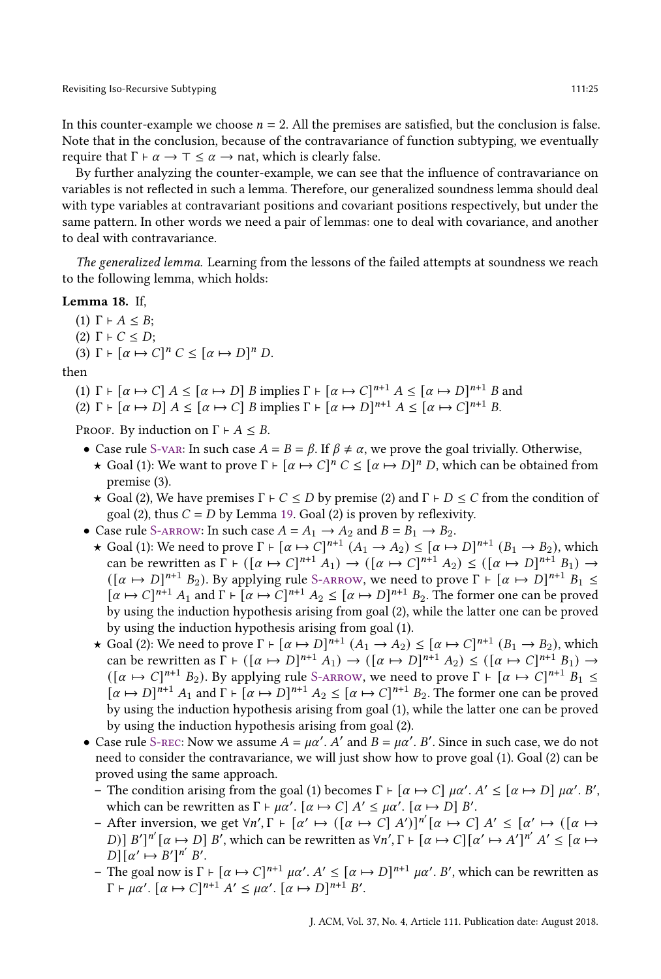In this counter-example we choose  $n = 2$ . All the premises are satisfied, but the conclusion is false. Note that in the conclusion, because of the contravariance of function subtyping, we eventually require that  $\Gamma \vdash \alpha \rightarrow \top \leq \alpha \rightarrow$  nat, which is clearly false.

By further analyzing the counter-example, we can see that the influence of contravariance on variables is not reflected in such a lemma. Therefore, our generalized soundness lemma should deal with type variables at contravariant positions and covariant positions respectively, but under the same pattern. In other words we need a pair of lemmas: one to deal with covariance, and another to deal with contravariance.

The generalized lemma. Learning from the lessons of the failed attempts at soundness we reach to the following lemma, which holds:

### <span id="page-24-0"></span>Lemma 18. If,

(1)  $\Gamma \vdash A \leq B$ ; (2)  $\Gamma$   $\vdash$   $C \leq D$ ; (3)  $\Gamma \vdash [\alpha \mapsto C]^n C \leq [\alpha \mapsto D]^n D$ .

#### then

- (1)  $\Gamma \vdash [\alpha \mapsto C]$   $A \leq [\alpha \mapsto D]$  B implies  $\Gamma \vdash [\alpha \mapsto C]^{n+1}$   $A \leq [\alpha \mapsto D]^{n+1}$  B and
- (2)  $\Gamma \vdash [\alpha \mapsto D] A \leq [\alpha \mapsto C] B$  implies  $\Gamma \vdash [\alpha \mapsto D]^{n+1} A \leq [\alpha \mapsto C]^{n+1} B$ .

PROOF. By induction on  $\Gamma \vdash A \leq B$ .

- Case rule S-van: In such case  $A = B = \beta$ . If  $\beta \neq \alpha$ , we prove the goal trivially. Otherwise,
	- **★** Goal (1): We want to prove  $\Gamma \vdash [\alpha \mapsto C]^n C \leq [\alpha \mapsto D]^n D$ , which can be obtained from premise (3).
	- $\star$  Goal (2), We have premises  $\Gamma \vdash C \leq D$  by premise (2) and  $\Gamma \vdash D \leq C$  from the condition of goal (2), thus  $C = D$  by Lemma [19.](#page-25-1) Goal (2) is proven by reflexivity.
- Case rule S-ARROW: In such case  $A = A_1 \rightarrow A_2$  and  $B = B_1 \rightarrow B_2$ .
	- ★ Goal (1): We need to prove  $\Gamma \vdash [\alpha \mapsto C]^{n+1}$   $(A_1 \rightarrow A_2) \leq [\alpha \mapsto D]^{n+1}$   $(B_1 \rightarrow B_2)$ , which can be rewritten as  $\Gamma \vdash ([\alpha \mapsto C]^{n+1} A_1) \rightarrow ([\alpha \mapsto C]^{n+1} A_2) \leq ([\alpha \mapsto D]^{n+1} B_1) \rightarrow$  $([\alpha \mapsto D]^{n+1} B_2)$ . By applying rule S-ARROW, we need to prove  $\Gamma \vdash [\alpha \mapsto D]^{n+1} B_1 \leq$  $[\alpha \mapsto C]^{n+1}$   $A_1$  and  $\Gamma \vdash [\alpha \mapsto C]^{n+1}$   $A_2 \leq [\alpha \mapsto D]^{n+1}$   $B_2$ . The former one can be proved by using the induction hypothesis arising from goal (2), while the latter one can be proved by using the induction hypothesis arising from goal (1).
	- $\star$  Goal (2): We need to prove  $\Gamma \vdash [\alpha \mapsto D]^{n+1}$   $(A_1 \rightarrow A_2)$  ≤  $[\alpha \mapsto C]^{n+1}$   $(B_1 \rightarrow B_2)$ , which can be rewritten as  $\Gamma \vdash ([\alpha \mapsto D]^{n+1} A_1) \rightarrow ([\alpha \mapsto D]^{n+1} A_2) \leq ([\alpha \mapsto C]^{n+1} B_1) \rightarrow$  $([\alpha \mapsto C]^{n+1} B_2)$ . By applying rule S-ARROW, we need to prove  $\Gamma \vdash [\alpha \mapsto C]^{n+1} B_1 \leq$  $[\alpha \mapsto D]^{n+1} A_1$  and  $\Gamma \vdash [\alpha \mapsto D]^{n+1} A_2 \leq [\alpha \mapsto C]^{n+1} B_2$ . The former one can be proved by using the induction hypothesis arising from goal (1), while the latter one can be proved by using the induction hypothesis arising from goal (2).
- Case rule S-REC: Now we assume  $A = \mu \alpha'$ . A' and  $B = \mu \alpha'$ . B'. Since in such case, we do not need to consider the contravariance, we will just show how to prove goal (1). Goal (2) can be proved using the same approach.
	- The condition arising from the goal (1) becomes  $\Gamma \vdash [\alpha \mapsto C] \mu \alpha'. A' \leq [\alpha \mapsto D] \mu \alpha'. B',$ which can be rewritten as  $\Gamma \vdash \mu \alpha'$ .  $[\alpha \mapsto C] A' \leq \mu \alpha'$ .  $[\alpha \mapsto D] B'$ .
	- $\vdash$  After inversion, we get  $\forall n', \Gamma \vdash [\alpha' \mapsto ([\alpha \mapsto C] A')]^{n'}[\alpha \mapsto C] A' \leq [\alpha' \mapsto ([\alpha \mapsto C] A']^{n'}[\alpha \mapsto C]$ D)] B']"  $[\alpha \mapsto D]$  B', which can be rewritten as  $\forall n', \Gamma \vdash [\alpha \mapsto C][\alpha' \mapsto A']^{n'}$   $A' \leq [\alpha \mapsto \alpha'']^{n'}$  $D\left[\alpha' \mapsto B'\right]^{n'} B'.$
	- The goal now is Γ ⊦  $[α \mapsto C]^{n+1}$  μα'.  $A' \leq [α \mapsto D]^{n+1}$  μα'. B', which can be rewritten as  $\Gamma \vdash \mu \alpha'. \left[ \alpha \mapsto C \right]^{n+1} A' \leq \mu \alpha'. \left[ \alpha \mapsto D \right]^{n+1} B'.$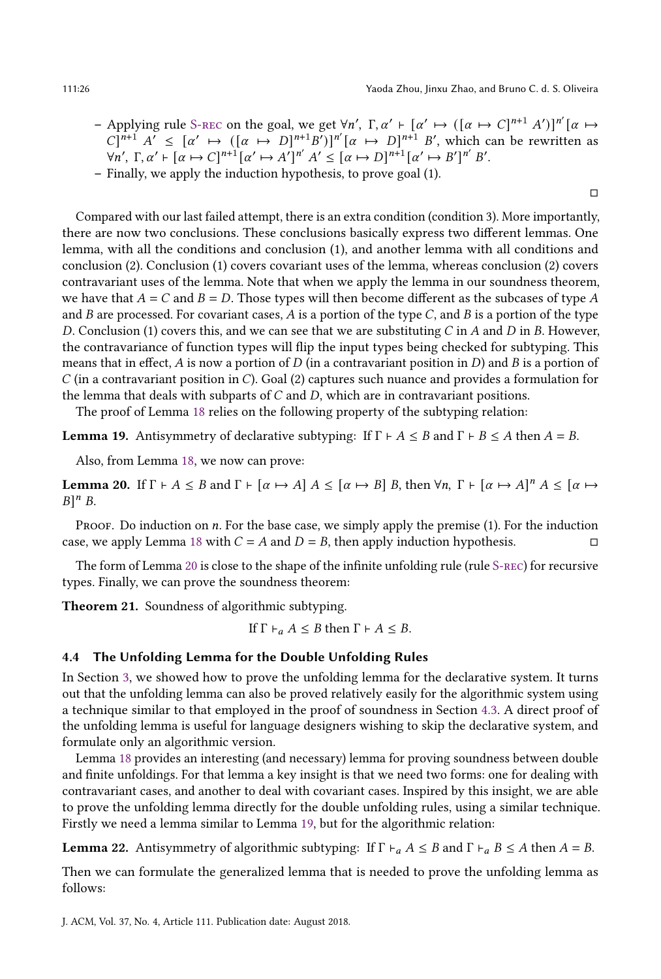□

- $\rightarrow$  Applying rule S-REC on the goal, we get  $\forall n'$ ,  $\Gamma, \alpha' \vdash [\alpha' \mapsto ([\alpha \mapsto C]^{n+1} A')]^{n'}[\alpha \mapsto$  $C^{n+1}$   $A' \leq [\alpha' \mapsto ([\alpha \mapsto D]^{n+1}B')]^{n'} [\alpha \mapsto D]^{n+1} B'$ , which can be rewritten as  $\forall n', \Gamma, \alpha' \vdash [\alpha \mapsto C]^{n+1} [\alpha' \mapsto A']^{n'} A' \leq [\alpha \mapsto D]^{n+1} [\alpha' \mapsto B']^{n'} B'.$
- Finally, we apply the induction hypothesis, to prove goal (1).

Compared with our last failed attempt, there is an extra condition (condition 3). More importantly, there are now two conclusions. These conclusions basically express two different lemmas. One lemma, with all the conditions and conclusion (1), and another lemma with all conditions and conclusion (2). Conclusion (1) covers covariant uses of the lemma, whereas conclusion (2) covers contravariant uses of the lemma. Note that when we apply the lemma in our soundness theorem, we have that  $A = C$  and  $B = D$ . Those types will then become different as the subcases of type A and  $B$  are processed. For covariant cases,  $A$  is a portion of the type  $C$ , and  $B$  is a portion of the type D. Conclusion (1) covers this, and we can see that we are substituting  $C$  in  $A$  and  $D$  in  $B$ . However, the contravariance of function types will flip the input types being checked for subtyping. This means that in effect, A is now a portion of  $D$  (in a contravariant position in  $D$ ) and  $B$  is a portion of  $C$  (in a contravariant position in C). Goal (2) captures such nuance and provides a formulation for the lemma that deals with subparts of  $C$  and  $D$ , which are in contravariant positions.

The proof of Lemma [18](#page-24-0) relies on the following property of the subtyping relation:

<span id="page-25-1"></span>**Lemma 19.** Antisymmetry of declarative subtyping: If  $\Gamma \vdash A \leq B$  and  $\Gamma \vdash B \leq A$  then  $A = B$ .

Also, from Lemma [18,](#page-24-0) we now can prove:

<span id="page-25-2"></span>**Lemma 20.** If  $\Gamma \vdash A \leq B$  and  $\Gamma \vdash [\alpha \mapsto A]$   $A \leq [\alpha \mapsto B]$  B, then  $\forall n, \Gamma \vdash [\alpha \mapsto A]^n$   $A \leq [\alpha \mapsto A]$  $B$ <sup>n</sup> B.

PROOF. Do induction on  $n$ . For the base case, we simply apply the premise (1). For the induction case, we apply Lemma [18](#page-24-0) with  $C = A$  and  $D = B$ , then apply induction hypothesis.

The form of Lemma [20](#page-25-2) is close to the shape of the infinite unfolding rule (rule [S-rec\)](#page-17-1) for recursive types. Finally, we can prove the soundness theorem:

<span id="page-25-0"></span>Theorem 21. Soundness of algorithmic subtyping.

If  $\Gamma \vdash_a A \leq B$  then  $\Gamma \vdash A \leq B$ .

## 4.4 The Unfolding Lemma for the Double Unfolding Rules

In Section [3,](#page-16-0) we showed how to prove the unfolding lemma for the declarative system. It turns out that the unfolding lemma can also be proved relatively easily for the algorithmic system using a technique similar to that employed in the proof of soundness in Section [4.3.](#page-23-3) A direct proof of the unfolding lemma is useful for language designers wishing to skip the declarative system, and formulate only an algorithmic version.

Lemma [18](#page-24-0) provides an interesting (and necessary) lemma for proving soundness between double and finite unfoldings. For that lemma a key insight is that we need two forms: one for dealing with contravariant cases, and another to deal with covariant cases. Inspired by this insight, we are able to prove the unfolding lemma directly for the double unfolding rules, using a similar technique. Firstly we need a lemma similar to Lemma [19,](#page-25-1) but for the algorithmic relation:

<span id="page-25-3"></span>**Lemma 22.** Antisymmetry of algorithmic subtyping: If  $\Gamma \vdash_a A \leq B$  and  $\Gamma \vdash_a B \leq A$  then  $A = B$ .

<span id="page-25-4"></span>Then we can formulate the generalized lemma that is needed to prove the unfolding lemma as follows: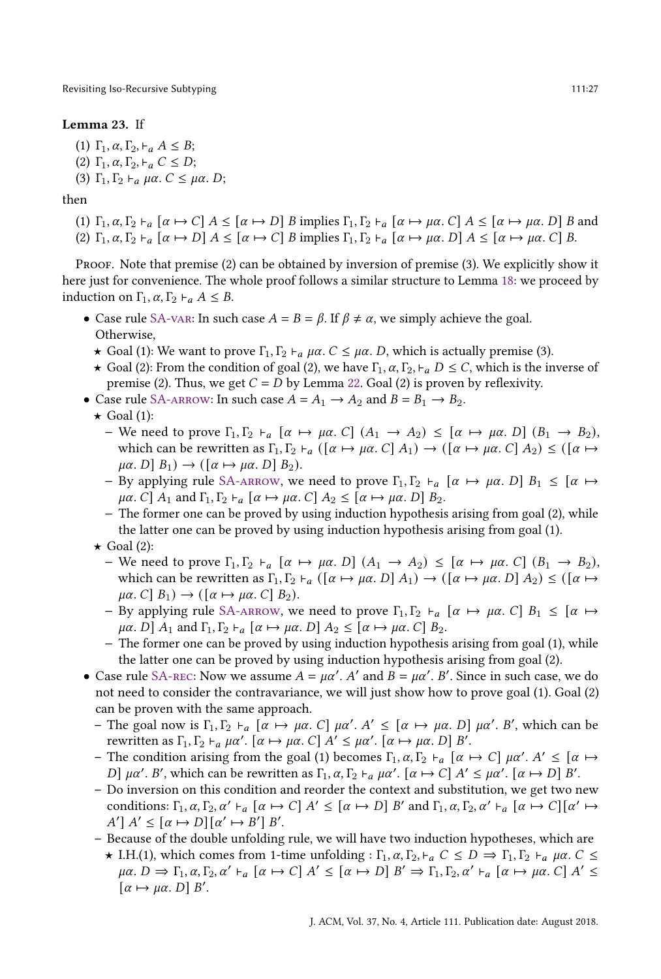## Lemma 23. If

(1)  $\Gamma_1, \alpha, \Gamma_2, \vdash_{\alpha} A \leq B;$ (2) Γ<sub>1</sub>,  $\alpha$ , Γ<sub>2</sub>,  $\vdash$ <sub>a</sub>  $C \leq D$ ;

(3)  $\Gamma_1, \Gamma_2 \vdash_a \mu \alpha$ .  $C \leq \mu \alpha$ . D;

#### then

(1) Γ<sub>1</sub>,  $\alpha$ , Γ<sub>2</sub>  $\vdash$ <sub>a</sub> [ $\alpha \mapsto C$ ]  $A \leq [\alpha \mapsto D]$  B implies Γ<sub>1</sub>, Γ<sub>2</sub>  $\vdash$ <sub>a</sub> [ $\alpha \mapsto \mu\alpha$ . *C*]  $A \leq [\alpha \mapsto \mu\alpha, D]$  B and (2)  $\Gamma_1, \alpha, \Gamma_2 \vdash_{\alpha} [\alpha \mapsto D]$   $A \leq [\alpha \mapsto C]$  B implies  $\Gamma_1, \Gamma_2 \vdash_{\alpha} [\alpha \mapsto \mu \alpha, D]$   $A \leq [\alpha \mapsto \mu \alpha, C]$  B.

Proof. Note that premise (2) can be obtained by inversion of premise (3). We explicitly show it here just for convenience. The whole proof follows a similar structure to Lemma [18:](#page-24-0) we proceed by induction on  $\Gamma_1$ ,  $\alpha$ ,  $\Gamma_2$   $\vdash_{\alpha}$   $A \leq B$ .

- Case rule [SA-var:](#page-22-4) In such case  $A = B = \beta$ . If  $\beta \neq \alpha$ , we simply achieve the goal. Otherwise,
	- $\star$  Goal (1): We want to prove  $\Gamma_1, \Gamma_2 \vdash_a \mu \alpha$ .  $C \leq \mu \alpha$ . D, which is actually premise (3).
	- $\star$  Goal (2): From the condition of goal (2), we have  $\Gamma_1$ ,  $\alpha$ ,  $\Gamma_2$ ,  $\vdash_{a} D \leq C$ , which is the inverse of premise (2). Thus, we get  $C = D$  by Lemma [22.](#page-25-3) Goal (2) is proven by reflexivity.
- Case rule SA-ARROW: In such case  $A = A_1 \rightarrow A_2$  and  $B = B_1 \rightarrow B_2$ .
	- $\star$  Goal (1):
		- − We need to prove Γ<sub>1</sub>, Γ<sub>2</sub> ⊦<sub>a</sub> [α  $\mapsto$  μα. C] (A<sub>1</sub>  $\rightarrow$  A<sub>2</sub>) ≤ [α  $\mapsto$  μα. D] (B<sub>1</sub>  $\rightarrow$  B<sub>2</sub>), which can be rewritten as  $\Gamma_1, \Gamma_2 \vdash_{\alpha} (\lbrack \alpha \mapsto \mu \alpha, C \rbrack A_1) \rightarrow (\lbrack \alpha \mapsto \mu \alpha, C \rbrack A_2) \leq (\lbrack \alpha \mapsto \alpha, C \rbrack)$  $\mu\alpha$ .  $D|B_1$   $\rightarrow$   $([\alpha \mapsto \mu\alpha, D]B_2)$ .
		- − By applying rule [SA-arrow,](#page-22-5) we need to prove  $\Gamma_1, \Gamma_2 \vdash_{\alpha} [\alpha \mapsto \mu \alpha, D] B_1 \leq [\alpha \mapsto \alpha]$  $\mu\alpha$ . C]  $A_1$  and  $\Gamma_1, \Gamma_2 \vdash_{\alpha} [\alpha \mapsto \mu\alpha]$ . C]  $A_2 \leq [\alpha \mapsto \mu\alpha]$ . D]  $B_2$ .
		- − The former one can be proved by using induction hypothesis arising from goal (2), while the latter one can be proved by using induction hypothesis arising from goal (1).
	- $\star$  Goal (2):
		- − We need to prove  $\Gamma_1, \Gamma_2 \vdash_{\alpha} [\alpha \mapsto \mu \alpha, D]$   $(A_1 \rightarrow A_2) \leq [\alpha \mapsto \mu \alpha, C]$   $(B_1 \rightarrow B_2)$ , which can be rewritten as  $\Gamma_1, \Gamma_2 \vdash_{\alpha} (\lbrack \alpha \mapsto \mu \alpha, D \rbrack A_1) \rightarrow (\lbrack \alpha \mapsto \mu \alpha, D \rbrack A_2) \leq (\lbrack \alpha \mapsto \alpha, D \rbrack)$  $\mu\alpha$ . C[ B<sub>1</sub>)  $\rightarrow$  ([ $\alpha \mapsto \mu\alpha$ . C[ B<sub>2</sub>).
		- − By applying rule [SA-arrow,](#page-22-5) we need to prove  $\Gamma_1, \Gamma_2 \vdash_{\alpha} [\alpha \mapsto \mu\alpha]$ .  $C[\beta_1 \leq [\alpha \mapsto \alpha]$  $\mu\alpha$ . D]  $A_1$  and  $\Gamma_1, \Gamma_2 \vdash_{\alpha} [\alpha \mapsto \mu\alpha]$ .  $D]$   $A_2 \leq [\alpha \mapsto \mu\alpha]$ .  $C]$   $B_2$ .
		- − The former one can be proved by using induction hypothesis arising from goal (1), while the latter one can be proved by using induction hypothesis arising from goal (2).
- Case rule SA-REC: Now we assume  $A = \mu \alpha'$ . A' and  $B = \mu \alpha'$ . B'. Since in such case, we do not need to consider the contravariance, we will just show how to prove goal (1). Goal (2) can be proven with the same approach.
	- The goal now is Γ<sub>1</sub>, Γ<sub>2</sub> ⊦<sub>α</sub> [α → μα. C] μα'. A' ≤ [α → μα. D] μα'. B', which can be rewritten as  $\Gamma_1, \Gamma_2 \vdash_{\alpha} \mu \alpha'. [\alpha \mapsto \mu \alpha, C]$   $A' \leq \mu \alpha'. [\alpha \mapsto \mu \alpha, D]$   $B'.$
	- The condition arising from the goal (1) becomes  $\Gamma_1, \alpha, \Gamma_2 \vdash_{\alpha} [\alpha \mapsto C] \mu \alpha'. A' \leq [\alpha \mapsto C] \mu \alpha'.$ D]  $\mu\alpha'$ . B', which can be rewritten as  $\Gamma_1$ ,  $\alpha$ ,  $\Gamma_2 \vdash_{\alpha} \mu\alpha'$ .  $\alpha \mapsto C$ ]  $A' \leq \mu\alpha'$ .  $\alpha \mapsto D$ ]  $B'$ .
	- Do inversion on this condition and reorder the context and substitution, we get two new conditions:  $\Gamma_1, \alpha, \Gamma_2, \alpha' \vdash_{a} [\alpha \mapsto C] A' \leq [\alpha \mapsto D] B'$  and  $\Gamma_1, \alpha, \Gamma_2, \alpha' \vdash_{a} [\alpha \mapsto C] [\alpha' \mapsto$  $A' \mid A' \leq [\alpha \mapsto D] [\alpha' \mapsto B'] B'.$
	- Because of the double unfolding rule, we will have two induction hypotheses, which are
		- $\star$  I.H.(1), which comes from 1-time unfolding :  $\Gamma_1$ ,  $\alpha$ ,  $\Gamma_2$ ,  $\vdash_{a}$   $C \leq D \Rightarrow \Gamma_1$ ,  $\Gamma_2$   $\vdash_{a}$   $\mu\alpha$ .  $C \leq$  $\mu\alpha. D \Rightarrow \Gamma_1, \alpha, \Gamma_2, \alpha' \vdash_{a} [\alpha \mapsto C] A' \leq [\alpha \mapsto D] B' \Rightarrow \Gamma_1, \Gamma_2, \alpha' \vdash_{a} [\alpha \mapsto \mu\alpha. C] A' \leq$  $\lbrack \alpha \mapsto \mu \alpha. D \rbrack B'.$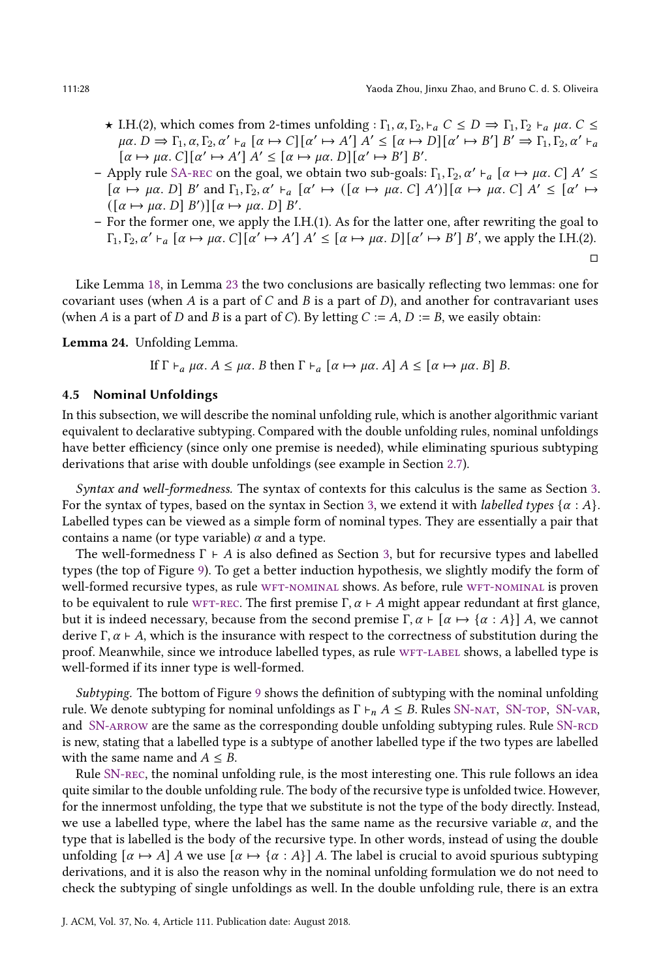- $\star$  I.H.(2), which comes from 2-times unfolding :  $\Gamma_1$ ,  $\alpha$ ,  $\Gamma_2$ ,  $\vdash_{\alpha}$   $C \leq D \Rightarrow \Gamma_1$ ,  $\Gamma_2 \vdash_{\alpha} \mu \alpha$ .  $C \leq$  $\mu\alpha. D \Rightarrow \Gamma_1, \alpha, \Gamma_2, \alpha' \vdash_{a} [\alpha \mapsto C] [\alpha' \mapsto A'] A' \leq [\alpha \mapsto D] [\alpha' \mapsto B'] B' \Rightarrow \Gamma_1, \Gamma_2, \alpha' \vdash_{a} D$  $\lceil \alpha \mapsto \mu \alpha \cdot C \rceil \lceil \alpha' \mapsto A' \rceil A' \leq \lceil \alpha \mapsto \mu \alpha \cdot D \rceil \lceil \alpha' \mapsto B' \rceil B'.$
- Apply rule SA-REC on the goal, we obtain two sub-goals: Γ<sub>1</sub>, Γ<sub>2</sub>, α' ⊦<sub>a</sub> [α → μα. C] A' ≤  $[\alpha \mapsto \mu\alpha, D]$  B' and  $\Gamma_1, \Gamma_2, \alpha' \vdash_{a} [\alpha' \mapsto ([\alpha \mapsto \mu\alpha, C] \ A')] [\alpha \mapsto \mu\alpha, C]$   $A' \leq [\alpha' \mapsto$  $([\alpha \mapsto \mu \alpha, D] B')] [\alpha \mapsto \mu \alpha, D] B'.$
- For the former one, we apply the I.H.(1). As for the latter one, after rewriting the goal to  $\Gamma_1, \Gamma_2, \alpha' \vdash_{a} [\alpha \mapsto \mu \alpha, C][\alpha' \mapsto A'] \ A' \leq [\alpha \mapsto \mu \alpha, D][\alpha' \mapsto B'] \ B'$ , we apply the I.H.(2). □

Like Lemma [18,](#page-24-0) in Lemma [23](#page-25-4) the two conclusions are basically reflecting two lemmas: one for covariant uses (when A is a part of  $C$  and  $B$  is a part of  $D$ ), and another for contravariant uses (when A is a part of D and B is a part of C). By letting  $C := A$ ,  $D := B$ , we easily obtain:

<span id="page-27-0"></span>Lemma 24. Unfolding Lemma.

If 
$$
\Gamma \vdash_a \mu \alpha
$$
.  $A \leq \mu \alpha$ . *B* then  $\Gamma \vdash_a [\alpha \mapsto \mu \alpha]$ . *A*]  $A \leq [\alpha \mapsto \mu \alpha]$ . *B*] *B*.

#### <span id="page-27-1"></span>4.5 Nominal Unfoldings

In this subsection, we will describe the nominal unfolding rule, which is another algorithmic variant equivalent to declarative subtyping. Compared with the double unfolding rules, nominal unfoldings have better efficiency (since only one premise is needed), while eliminating spurious subtyping derivations that arise with double unfoldings (see example in Section [2.7\)](#page-13-0).

Syntax and well-formedness. The syntax of contexts for this calculus is the same as Section [3.](#page-16-0) For the syntax of types, based on the syntax in Section [3,](#page-16-0) we extend it with *labelled types*  $\{\alpha : A\}$ . Labelled types can be viewed as a simple form of nominal types. They are essentially a pair that contains a name (or type variable)  $\alpha$  and a type.

The well-formedness  $\Gamma \vdash A$  is also defined as Section [3,](#page-16-0) but for recursive types and labelled types (the top of Figure [9\)](#page-28-3). To get a better induction hypothesis, we slightly modify the form of well-formed recursive types, as rule WFT-NOMINAL shows. As before, rule WFT-NOMINAL is proven to be equivalent to rule WFT-REC. The first premise  $\Gamma, \alpha \vdash A$  might appear redundant at first glance, but it is indeed necessary, because from the second premise  $\Gamma, \alpha \vdash [\alpha \mapsto {\alpha : A}]$  A, we cannot derive  $\Gamma, \alpha \vdash A$ , which is the insurance with respect to the correctness of substitution during the proof. Meanwhile, since we introduce labelled types, as rule WFT-LABEL shows, a labelled type is well-formed if its inner type is well-formed.

Subtyping. The bottom of Figure [9](#page-28-3) shows the definition of subtyping with the nominal unfolding rule. We denote subtyping for nominal unfoldings as  $\Gamma \vdash_n A \leq B$ . Rules SN-NAT, SN-TOP, SN-VAR, and SN-ARROW are the same as the corresponding double unfolding subtyping rules. Rule SN-RCD is new, stating that a labelled type is a subtype of another labelled type if the two types are labelled with the same name and  $A \leq B$ .

Rule [SN-rec,](#page-28-8) the nominal unfolding rule, is the most interesting one. This rule follows an idea quite similar to the double unfolding rule. The body of the recursive type is unfolded twice. However, for the innermost unfolding, the type that we substitute is not the type of the body directly. Instead, we use a labelled type, where the label has the same name as the recursive variable  $\alpha$ , and the type that is labelled is the body of the recursive type. In other words, instead of using the double unfolding  $[\alpha \mapsto A]$  A we use  $[\alpha \mapsto {\alpha : A}]$  A. The label is crucial to avoid spurious subtyping derivations, and it is also the reason why in the nominal unfolding formulation we do not need to check the subtyping of single unfoldings as well. In the double unfolding rule, there is an extra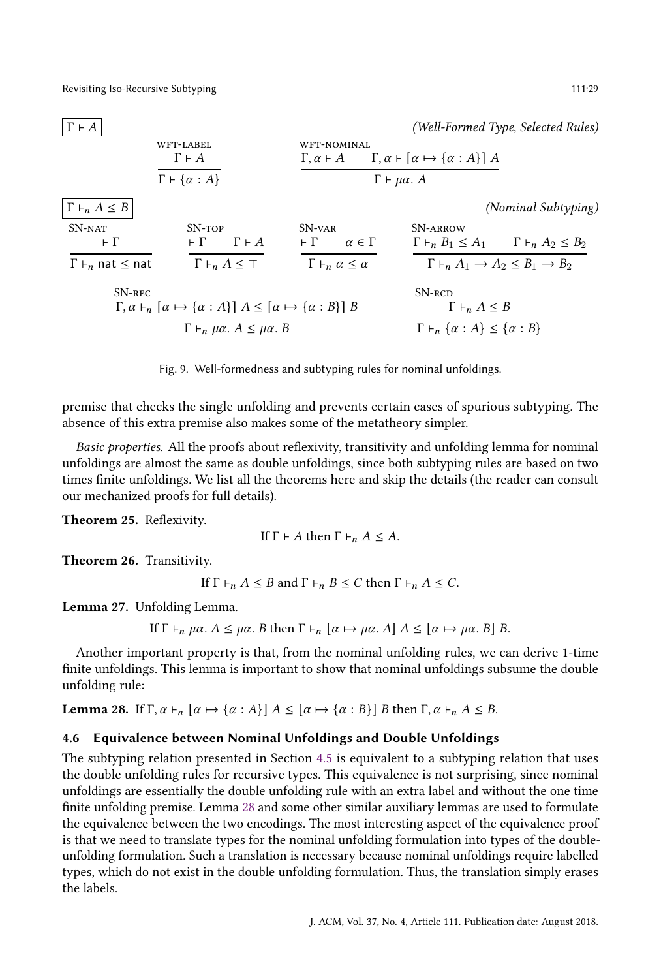<span id="page-28-6"></span><span id="page-28-5"></span><span id="page-28-3"></span>

#### <span id="page-28-8"></span><span id="page-28-4"></span>Fig. 9. Well-formedness and subtyping rules for nominal unfoldings.

premise that checks the single unfolding and prevents certain cases of spurious subtyping. The absence of this extra premise also makes some of the metatheory simpler.

Basic properties. All the proofs about reflexivity, transitivity and unfolding lemma for nominal unfoldings are almost the same as double unfoldings, since both subtyping rules are based on two times finite unfoldings. We list all the theorems here and skip the details (the reader can consult our mechanized proofs for full details).

<span id="page-28-0"></span>Theorem 25. Reflexivity.

If 
$$
\Gamma \vdash A
$$
 then  $\Gamma \vdash_n A \leq A$ .

<span id="page-28-1"></span>Theorem 26. Transitivity.

If  $\Gamma \vdash_n A \leq B$  and  $\Gamma \vdash_n B \leq C$  then  $\Gamma \vdash_n A \leq C$ .

<span id="page-28-2"></span>Lemma 27. Unfolding Lemma.

If 
$$
\Gamma \vdash_n \mu \alpha
$$
.  $A \leq \mu \alpha$ . *B* then  $\Gamma \vdash_n [\alpha \mapsto \mu \alpha, A] A \leq [\alpha \mapsto \mu \alpha, B] B$ .

Another important property is that, from the nominal unfolding rules, we can derive 1-time finite unfoldings. This lemma is important to show that nominal unfoldings subsume the double unfolding rule:

<span id="page-28-9"></span>Lemma 28. If  $\Gamma, \alpha \vdash_n [\alpha \mapsto {\alpha : A}] A \leq [\alpha \mapsto {\alpha : B}] B$  then  $\Gamma, \alpha \vdash_n A \leq B$ .

## 4.6 Equivalence between Nominal Unfoldings and Double Unfoldings

The subtyping relation presented in Section [4.5](#page-27-1) is equivalent to a subtyping relation that uses the double unfolding rules for recursive types. This equivalence is not surprising, since nominal unfoldings are essentially the double unfolding rule with an extra label and without the one time finite unfolding premise. Lemma [28](#page-28-9) and some other similar auxiliary lemmas are used to formulate the equivalence between the two encodings. The most interesting aspect of the equivalence proof is that we need to translate types for the nominal unfolding formulation into types of the doubleunfolding formulation. Such a translation is necessary because nominal unfoldings require labelled types, which do not exist in the double unfolding formulation. Thus, the translation simply erases the labels.

<span id="page-28-7"></span>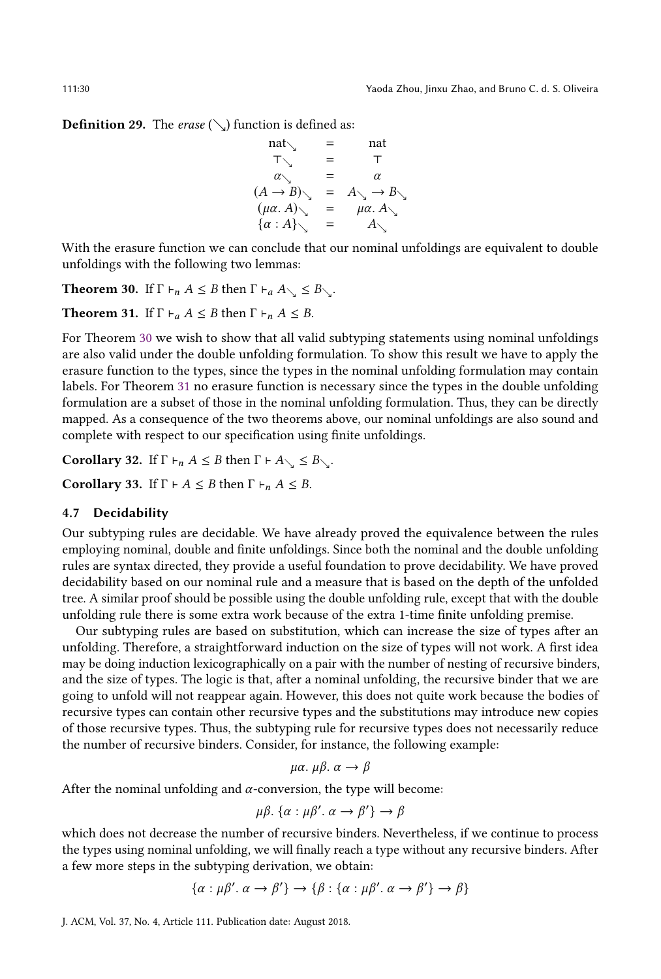**Definition 29.** The erase  $(\searrow)$  function is defined as:

$$
\begin{array}{rcl}\n\text{nat}\n\searrow & = & \text{nat} \\
\top \searrow & = & \top \\
\alpha \searrow & = & \alpha \\
(A \rightarrow B) \searrow & = & A \searrow \rightarrow B \searrow \\
(\mu \alpha. A) \searrow & = & \mu \alpha. A \searrow \\
\{\alpha : A \searrow & = & A \searrow\n\end{array}
$$

With the erasure function we can conclude that our nominal unfoldings are equivalent to double unfoldings with the following two lemmas:

<span id="page-29-0"></span>**Theorem 30.** If  $\Gamma \vdash_n A \leq B$  then  $\Gamma \vdash_a A \subseteq B \subseteq \Gamma$ .

<span id="page-29-1"></span>**Theorem 31.** If  $\Gamma \vdash_a A \leq B$  then  $\Gamma \vdash_n A \leq B$ .

For Theorem [30](#page-29-0) we wish to show that all valid subtyping statements using nominal unfoldings are also valid under the double unfolding formulation. To show this result we have to apply the erasure function to the types, since the types in the nominal unfolding formulation may contain labels. For Theorem [31](#page-29-1) no erasure function is necessary since the types in the double unfolding formulation are a subset of those in the nominal unfolding formulation. Thus, they can be directly mapped. As a consequence of the two theorems above, our nominal unfoldings are also sound and complete with respect to our specification using finite unfoldings.

<span id="page-29-2"></span>Corollary 32. If  $\Gamma \vdash_n A \leq B$  then  $\Gamma \vdash A \subseteq B \subseteq \Gamma$ .

<span id="page-29-3"></span>Corollary 33. If  $\Gamma \vdash A \leq B$  then  $\Gamma \vdash_n A \leq B$ .

# 4.7 Decidability

Our subtyping rules are decidable. We have already proved the equivalence between the rules employing nominal, double and finite unfoldings. Since both the nominal and the double unfolding rules are syntax directed, they provide a useful foundation to prove decidability. We have proved decidability based on our nominal rule and a measure that is based on the depth of the unfolded tree. A similar proof should be possible using the double unfolding rule, except that with the double unfolding rule there is some extra work because of the extra 1-time finite unfolding premise.

Our subtyping rules are based on substitution, which can increase the size of types after an unfolding. Therefore, a straightforward induction on the size of types will not work. A first idea may be doing induction lexicographically on a pair with the number of nesting of recursive binders, and the size of types. The logic is that, after a nominal unfolding, the recursive binder that we are going to unfold will not reappear again. However, this does not quite work because the bodies of recursive types can contain other recursive types and the substitutions may introduce new copies of those recursive types. Thus, the subtyping rule for recursive types does not necessarily reduce the number of recursive binders. Consider, for instance, the following example:

$$
\mu\alpha.\ \mu\beta.\ \alpha \to \beta
$$

After the nominal unfolding and  $\alpha$ -conversion, the type will become:

$$
\mu\beta. \{\alpha : \mu\beta'. \alpha \to \beta' \} \to \beta
$$

which does not decrease the number of recursive binders. Nevertheless, if we continue to process the types using nominal unfolding, we will finally reach a type without any recursive binders. After a few more steps in the subtyping derivation, we obtain:

$$
\{\alpha : \mu\beta'. \alpha \to \beta'\} \to \{\beta : \{\alpha : \mu\beta'. \alpha \to \beta'\} \to \beta\}
$$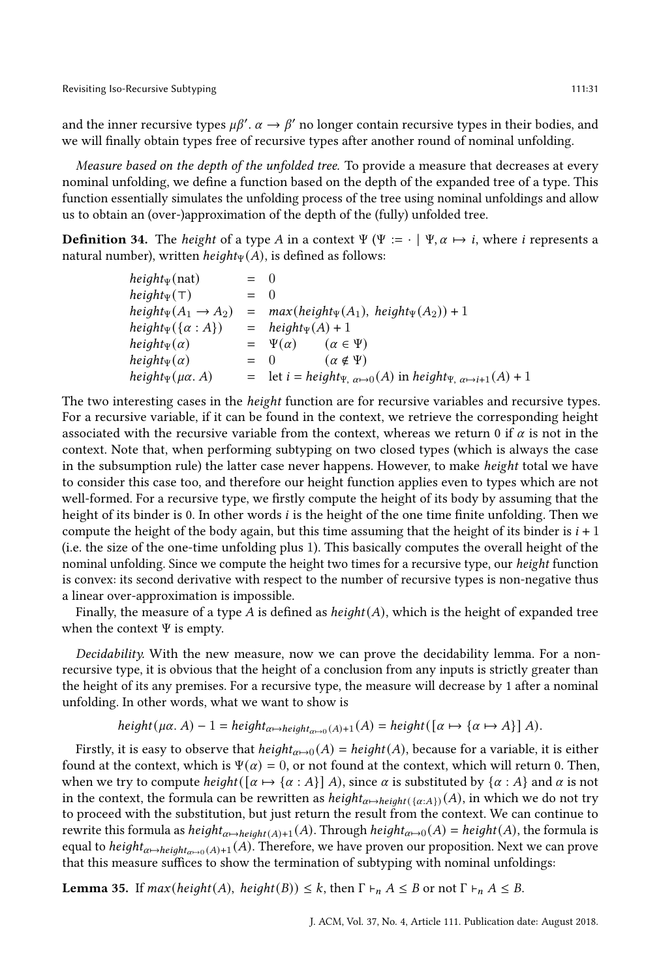and the inner recursive types  $\mu\beta'$ .  $\alpha \to \beta'$  no longer contain recursive types in their bodies, and we will finally obtain types free of recursive types after another round of nominal unfolding.

Measure based on the depth of the unfolded tree. To provide a measure that decreases at every nominal unfolding, we define a function based on the depth of the expanded tree of a type. This function essentially simulates the unfolding process of the tree using nominal unfoldings and allow us to obtain an (over-)approximation of the depth of the (fully) unfolded tree.

**Definition 34.** The *height* of a type A in a context  $\Psi$  ( $\Psi := \cdot | \Psi, \alpha \mapsto i$ , where *i* represents a natural number), written  $height_{\Psi}(A)$ , is defined as follows:

| $height_{\Psi}(\text{nat})$        | $=$ 0  |                                                                                                                    |
|------------------------------------|--------|--------------------------------------------------------------------------------------------------------------------|
| $height_{\Psi}(\top)$              | $= 0$  |                                                                                                                    |
| height $\psi(A_1 \rightarrow A_2)$ |        | $= max(height_{\Psi}(A_1), height_{\Psi}(A_2)) + 1$                                                                |
| $height_{\Psi}(\{\alpha : A\})$    |        | $=$ height <sub>y</sub> (A) + 1                                                                                    |
| $height_{\Psi}(\alpha)$            |        | $= \Psi(\alpha)$<br>$(\alpha \in \Psi)$                                                                            |
| $height_{\Psi}(\alpha)$            | $=$ () | $(\alpha \notin \Psi)$                                                                                             |
| height $\psi(\mu\alpha. A)$        |        | $=$ let $i = height_{\Psi, \alpha \mapsto 0}(A)$ in height <sub><math>\Psi, \alpha \mapsto i+1(A) + 1</math></sub> |

The two interesting cases in the height function are for recursive variables and recursive types. For a recursive variable, if it can be found in the context, we retrieve the corresponding height associated with the recursive variable from the context, whereas we return 0 if  $\alpha$  is not in the context. Note that, when performing subtyping on two closed types (which is always the case in the subsumption rule) the latter case never happens. However, to make height total we have to consider this case too, and therefore our height function applies even to types which are not well-formed. For a recursive type, we firstly compute the height of its body by assuming that the height of its binder is 0. In other words *i* is the height of the one time finite unfolding. Then we compute the height of the body again, but this time assuming that the height of its binder is  $i + 1$ (i.e. the size of the one-time unfolding plus 1). This basically computes the overall height of the nominal unfolding. Since we compute the height two times for a recursive type, our height function is convex: its second derivative with respect to the number of recursive types is non-negative thus a linear over-approximation is impossible.

Finally, the measure of a type A is defined as  $height(A)$ , which is the height of expanded tree when the context Ψ is empty.

Decidability. With the new measure, now we can prove the decidability lemma. For a nonrecursive type, it is obvious that the height of a conclusion from any inputs is strictly greater than the height of its any premises. For a recursive type, the measure will decrease by 1 after a nominal unfolding. In other words, what we want to show is

$$
height(\mu\alpha. A) - 1 = height_{\alpha \mapsto height_{\alpha \mapsto 0}(A) + 1}(A) = height([\alpha \mapsto {\alpha \mapsto A}]A).
$$

Firstly, it is easy to observe that  $height_{\alpha \to 0}(A) = height(A)$ , because for a variable, it is either found at the context, which is  $\Psi(\alpha) = 0$ , or not found at the context, which will return 0. Then, when we try to compute  $height([\alpha \mapsto {\alpha : A}] \, A)$ , since  $\alpha$  is substituted by  ${\alpha : A}$  and  $\alpha$  is not in the context, the formula can be rewritten as  $height_{\alpha \to height( {\alpha \to A} )} (A)$ , in which we do not try to proceed with the substitution, but just return the result from the context. We can continue to rewrite this formula as  $height_{\alpha \mapsto height(A)+1}(A)$ . Through  $height_{\alpha \mapsto 0}(A) = height(A)$ , the formula is equal to  $height_{\alpha \mapsto height_{\alpha \mapsto 0}(A)+1}(A)$ . Therefore, we have proven our proposition. Next we can prove that this measure suffices to show the termination of subtyping with nominal unfoldings:

**Lemma 35.** If  $max(height(A), height(B)) \le k$ , then  $\Gamma \vdash_n A \le B$  or not  $\Gamma \vdash_n A \le B$ .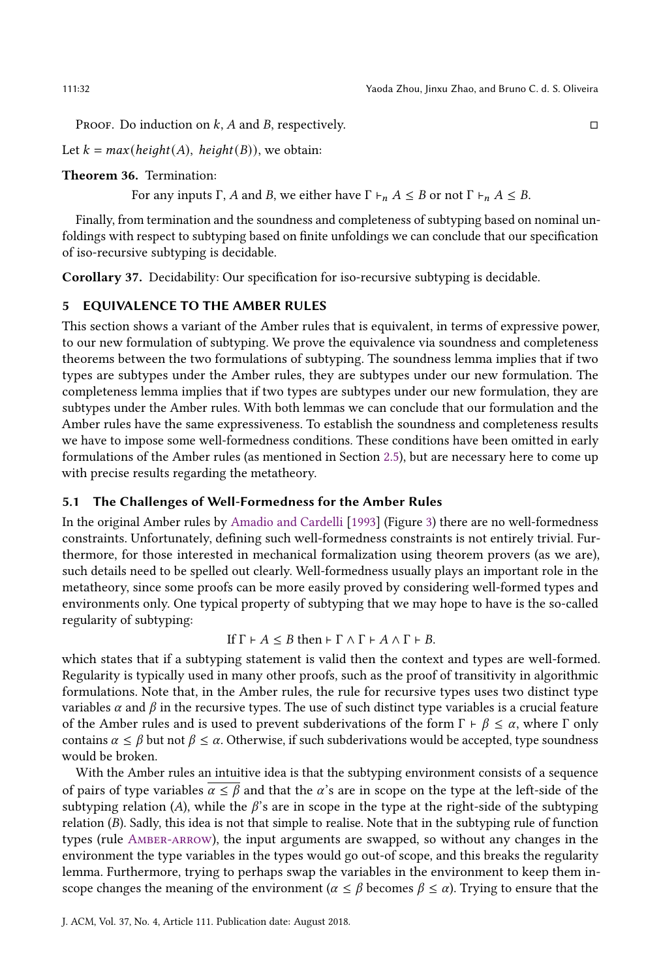PROOF. Do induction on  $k$ , A and B, respectively.  $\Box$ 

Let  $k = max(height(A), height(B))$ , we obtain:

<span id="page-31-1"></span>Theorem 36. Termination:

For any inputs Γ, A and B, we either have  $\Gamma \vdash_n A \leq B$  or not  $\Gamma \vdash_n A \leq B$ .

Finally, from termination and the soundness and completeness of subtyping based on nominal unfoldings with respect to subtyping based on finite unfoldings we can conclude that our specification of iso-recursive subtyping is decidable.

Corollary 37. Decidability: Our specification for iso-recursive subtyping is decidable.

## <span id="page-31-0"></span>5 EQUIVALENCE TO THE AMBER RULES

This section shows a variant of the Amber rules that is equivalent, in terms of expressive power, to our new formulation of subtyping. We prove the equivalence via soundness and completeness theorems between the two formulations of subtyping. The soundness lemma implies that if two types are subtypes under the Amber rules, they are subtypes under our new formulation. The completeness lemma implies that if two types are subtypes under our new formulation, they are subtypes under the Amber rules. With both lemmas we can conclude that our formulation and the Amber rules have the same expressiveness. To establish the soundness and completeness results we have to impose some well-formedness conditions. These conditions have been omitted in early formulations of the Amber rules (as mentioned in Section [2.5\)](#page-7-0), but are necessary here to come up with precise results regarding the metatheory.

#### 5.1 The Challenges of Well-Formedness for the Amber Rules

In the original Amber rules by [Amadio and Cardelli](#page-52-0) [\[1993\]](#page-52-0) (Figure [3\)](#page-8-0) there are no well-formedness constraints. Unfortunately, defining such well-formedness constraints is not entirely trivial. Furthermore, for those interested in mechanical formalization using theorem provers (as we are), such details need to be spelled out clearly. Well-formedness usually plays an important role in the metatheory, since some proofs can be more easily proved by considering well-formed types and environments only. One typical property of subtyping that we may hope to have is the so-called regularity of subtyping:

# If  $\Gamma \vdash A \leq B$  then  $\vdash \Gamma \land \Gamma \vdash A \land \Gamma \vdash B$ .

which states that if a subtyping statement is valid then the context and types are well-formed. Regularity is typically used in many other proofs, such as the proof of transitivity in algorithmic formulations. Note that, in the Amber rules, the rule for recursive types uses two distinct type variables  $\alpha$  and  $\beta$  in the recursive types. The use of such distinct type variables is a crucial feature of the Amber rules and is used to prevent subderivations of the form  $\Gamma \vdash \beta \leq \alpha$ , where  $\Gamma$  only contains  $\alpha \le \beta$  but not  $\beta \le \alpha$ . Otherwise, if such subderivations would be accepted, type soundness would be broken.

With the Amber rules an intuitive idea is that the subtyping environment consists of a sequence of pairs of type variables  $\alpha \leq \beta$  and that the  $\alpha$ 's are in scope on the type at the left-side of the subtyping relation (A), while the  $\beta$ 's are in scope in the type at the right-side of the subtyping relation  $(B)$ . Sadly, this idea is not that simple to realise. Note that in the subtyping rule of function types (rule [Amber-arrow\)](#page-33-1), the input arguments are swapped, so without any changes in the environment the type variables in the types would go out-of scope, and this breaks the regularity lemma. Furthermore, trying to perhaps swap the variables in the environment to keep them inscope changes the meaning of the environment ( $\alpha \le \beta$  becomes  $\beta \le \alpha$ ). Trying to ensure that the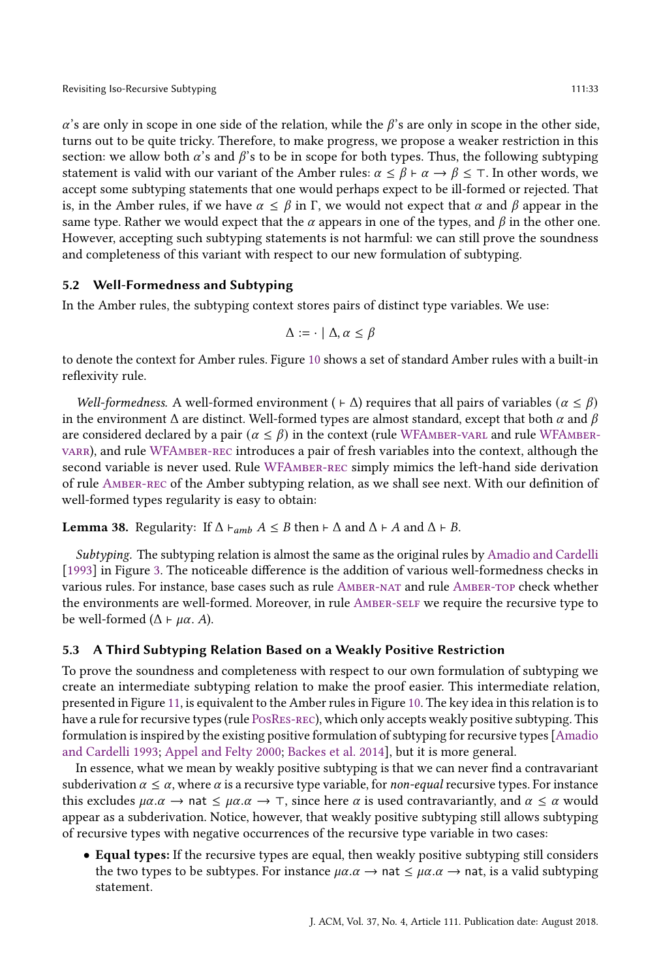$\alpha$ 's are only in scope in one side of the relation, while the  $\beta$ 's are only in scope in the other side, turns out to be quite tricky. Therefore, to make progress, we propose a weaker restriction in this section: we allow both  $\alpha$ 's and  $\beta$ 's to be in scope for both types. Thus, the following subtyping statement is valid with our variant of the Amber rules:  $\alpha \le \beta \vdash \alpha \rightarrow \beta \le \top$ . In other words, we accept some subtyping statements that one would perhaps expect to be ill-formed or rejected. That is, in the Amber rules, if we have  $\alpha \leq \beta$  in Γ, we would not expect that  $\alpha$  and  $\beta$  appear in the same type. Rather we would expect that the  $\alpha$  appears in one of the types, and  $\beta$  in the other one. However, accepting such subtyping statements is not harmful: we can still prove the soundness and completeness of this variant with respect to our new formulation of subtyping.

# 5.2 Well-Formedness and Subtyping

In the Amber rules, the subtyping context stores pairs of distinct type variables. We use:

$$
\Delta := \cdot \mid \Delta, \alpha \leq \beta
$$

to denote the context for Amber rules. Figure [10](#page-33-0) shows a set of standard Amber rules with a built-in reflexivity rule.

Well-formedness. A well-formed environment ( $\vdash \Delta$ ) requires that all pairs of variables ( $\alpha \leq \beta$ ) in the environment  $\Delta$  are distinct. Well-formed types are almost standard, except that both  $\alpha$  and  $\beta$ are considered declared by a pair ( $\alpha \leq \beta$ ) in the context (rule WFAMBER-VARL and rule WFAMBER[varr\)](#page-33-3), and rule [WFAmber-rec](#page-33-4) introduces a pair of fresh variables into the context, although the second variable is never used. Rule WFAMBER-REC simply mimics the left-hand side derivation of rule [Amber-rec](#page-33-5) of the Amber subtyping relation, as we shall see next. With our definition of well-formed types regularity is easy to obtain:

**Lemma 38.** Regularity: If  $\Delta \vdash_{amb} A \leq B$  then  $\vdash \Delta$  and  $\Delta \vdash A$  and  $\Delta \vdash B$ .

Subtyping. The subtyping relation is almost the same as the original rules by [Amadio and Cardelli](#page-52-0) [\[1993\]](#page-52-0) in Figure [3.](#page-8-0) The noticeable difference is the addition of various well-formedness checks in various rules. For instance, base cases such as rule [Amber-nat](#page-33-6) and rule [Amber-top](#page-33-7) check whether the environments are well-formed. Moreover, in rule [Amber-self](#page-33-8) we require the recursive type to be well-formed ( $\Delta \vdash \mu \alpha$ . A).

# 5.3 A Third Subtyping Relation Based on a Weakly Positive Restriction

To prove the soundness and completeness with respect to our own formulation of subtyping we create an intermediate subtyping relation to make the proof easier. This intermediate relation, presented in Figure [11,](#page-34-0) is equivalent to the Amber rules in Figure [10.](#page-33-0) The key idea in this relation is to have a rule for recursive types (rule [PosRes-rec\)](#page-34-1), which only accepts weakly positive subtyping. This formulation is inspired by the existing positive formulation of subtyping for recursive types [\[Amadio](#page-52-0) [and Cardelli](#page-52-0) [1993;](#page-52-0) [Appel and Felty](#page-52-3) [2000;](#page-52-3) [Backes et al.](#page-53-13) [2014\]](#page-53-13), but it is more general.

In essence, what we mean by weakly positive subtyping is that we can never find a contravariant subderivation  $\alpha \leq \alpha$ , where  $\alpha$  is a recursive type variable, for non-equal recursive types. For instance this excludes  $\mu\alpha.\alpha \rightarrow$  nat  $\leq \mu\alpha.\alpha \rightarrow \tau$ , since here  $\alpha$  is used contravariantly, and  $\alpha \leq \alpha$  would appear as a subderivation. Notice, however, that weakly positive subtyping still allows subtyping of recursive types with negative occurrences of the recursive type variable in two cases:

• Equal types: If the recursive types are equal, then weakly positive subtyping still considers the two types to be subtypes. For instance  $\mu\alpha \cdot \alpha \rightarrow \alpha$  at  $\leq \mu\alpha \cdot \alpha \rightarrow \alpha$  nat, is a valid subtyping statement.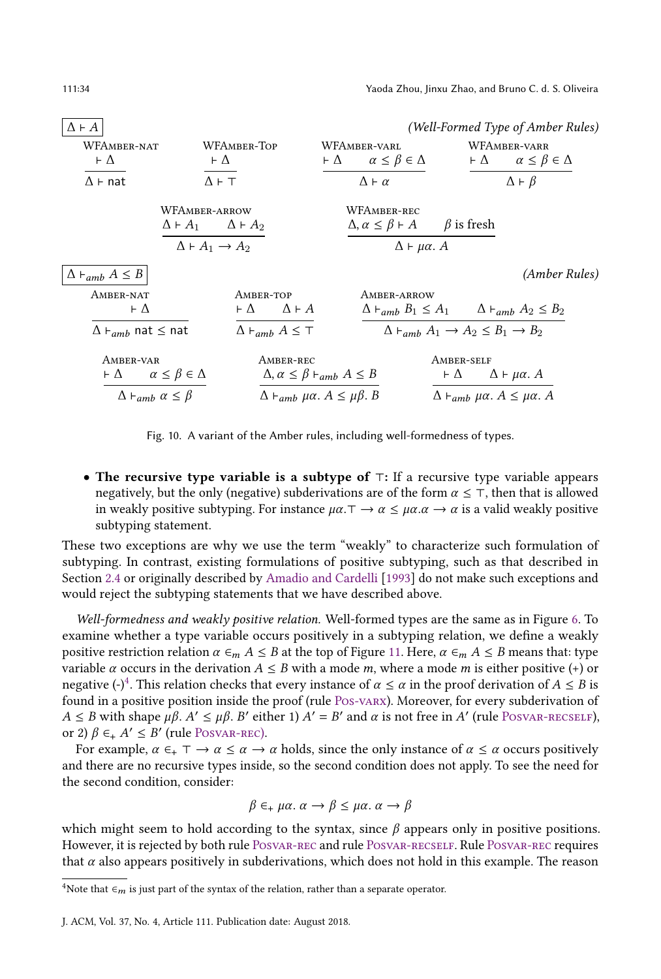<span id="page-33-3"></span><span id="page-33-2"></span><span id="page-33-0"></span>

| $\Delta \vdash A$                                   |                                         |                                                           |                                                                            |                                                                    | (Well-Formed Type of Amber Rules) |
|-----------------------------------------------------|-----------------------------------------|-----------------------------------------------------------|----------------------------------------------------------------------------|--------------------------------------------------------------------|-----------------------------------|
| WFAMBER-NAT                                         | WFAMBER-TOP                             |                                                           | WFAMBER-VARL                                                               |                                                                    | WFAMBER-VARR                      |
| $\vdash \Delta$                                     | $\vdash \Delta$                         |                                                           | $\vdash \Delta \qquad \alpha \leq \beta \in \Delta$                        | $\vdash \Delta$                                                    | $\alpha \leq \beta \in \Delta$    |
| $\Lambda \vdash$ nat                                | $\Lambda$ $\vdash$ $\top$               |                                                           | $\Lambda \vdash \alpha$                                                    |                                                                    | $\Delta \vdash \beta$             |
|                                                     | WFAMBER-ARROW                           |                                                           | WFAMBER-REC                                                                |                                                                    |                                   |
|                                                     | $\Delta \vdash A_1$ $\Delta \vdash A_2$ |                                                           | $\Delta, \alpha \leq \beta \vdash A$ $\beta$ is fresh                      |                                                                    |                                   |
|                                                     | $\Delta \vdash A_1 \rightarrow A_2$     |                                                           | $\Delta \vdash \mu \alpha$ . A                                             |                                                                    |                                   |
| $\Delta \vdash_{amb} A \leq B$                      |                                         |                                                           |                                                                            |                                                                    | (Amber Rules)                     |
| AMBER-NAT                                           |                                         | AMBER-TOP                                                 | AMBER-ARROW                                                                |                                                                    |                                   |
| ⊦Δ                                                  |                                         | $\vdash \Delta$ $\Delta \vdash A$                         | $\Delta \vdash_{amb} B_1 \leq A_1 \qquad \Delta \vdash_{amb} A_2 \leq B_2$ |                                                                    |                                   |
| $\Delta\vdash_{amb}$ nat $\leq$ nat                 |                                         | $\Delta \vdash_{amb} A \leq \top$                         |                                                                            | $\Delta \vdash_{amb} A_1 \rightarrow A_2 \leq B_1 \rightarrow B_2$ |                                   |
| AMBER-VAR                                           |                                         | AMBER-REC                                                 |                                                                            | AMBER-SELF                                                         |                                   |
| $\vdash \Delta \qquad \alpha \leq \beta \in \Delta$ |                                         | $\Delta, \alpha \leq \beta \vdash_{amb} A \leq B$         |                                                                            | $\vdash \Delta$                                                    | $\Delta \vdash \mu \alpha$ . A    |
| $\Delta \vdash_{amb} \alpha \leq \beta$             |                                         | $\Delta \vdash_{amb} \mu \alpha$ . $A \leq \mu \beta$ . B |                                                                            | $\Delta \vdash_{amb} \mu \alpha$ . $A \leq \mu \alpha$ . A         |                                   |

<span id="page-33-10"></span><span id="page-33-8"></span><span id="page-33-7"></span><span id="page-33-6"></span><span id="page-33-5"></span><span id="page-33-4"></span><span id="page-33-1"></span>Fig. 10. A variant of the Amber rules, including well-formedness of types.

• The recursive type variable is a subtype of ⊤: If a recursive type variable appears negatively, but the only (negative) subderivations are of the form  $\alpha \leq \tau$ , then that is allowed in weakly positive subtyping. For instance  $\mu\alpha.\tau \to \alpha \leq \mu\alpha.\alpha \to \alpha$  is a valid weakly positive subtyping statement.

These two exceptions are why we use the term "weakly" to characterize such formulation of subtyping. In contrast, existing formulations of positive subtyping, such as that described in Section [2.4](#page-6-1) or originally described by [Amadio and Cardelli](#page-52-0) [\[1993\]](#page-52-0) do not make such exceptions and would reject the subtyping statements that we have described above.

Well-formedness and weakly positive relation. Well-formed types are the same as in Figure [6.](#page-17-0) To examine whether a type variable occurs positively in a subtyping relation, we define a weakly positive restriction relation  $\alpha \in M A \leq B$  at the top of Figure [11.](#page-34-0) Here,  $\alpha \in M A \leq B$  means that: type variable  $\alpha$  occurs in the derivation  $A \leq B$  with a mode m, where a mode m is either positive (+) or negative (-)<sup>[4](#page-33-9)</sup>. This relation checks that every instance of  $\alpha \leq \alpha$  in the proof derivation of  $A \leq B$  is found in a positive position inside the proof (rule [Pos-varx\)](#page-0-0). Moreover, for every subderivation of  $A \leq B$  with shape  $\mu\beta$ .  $A' \leq \mu\beta$ . B' either 1)  $A' = B'$  and  $\alpha$  is not free in A' (rule POSVAR-RECSELF), or 2)  $\beta \in A' \leq B'$  (rule POSVAR-REC).

For example,  $\alpha \in + \top \to \alpha \leq \alpha \to \alpha$  holds, since the only instance of  $\alpha \leq \alpha$  occurs positively and there are no recursive types inside, so the second condition does not apply. To see the need for the second condition, consider:

$$
\beta \in_+ \mu\alpha \ldotp \alpha \to \beta \leq \mu\alpha \ldotp \alpha \to \beta
$$

which might seem to hold according to the syntax, since  $\beta$  appears only in positive positions. However, it is rejected by both rule [Posvar-rec](#page-34-3) and rule [Posvar-recself.](#page-34-2) Rule [Posvar-rec](#page-34-3) requires that  $\alpha$  also appears positively in subderivations, which does not hold in this example. The reason

<span id="page-33-9"></span><sup>&</sup>lt;sup>4</sup>Note that  $\epsilon_m$  is just part of the syntax of the relation, rather than a separate operator.

J. ACM, Vol. 37, No. 4, Article 111. Publication date: August 2018.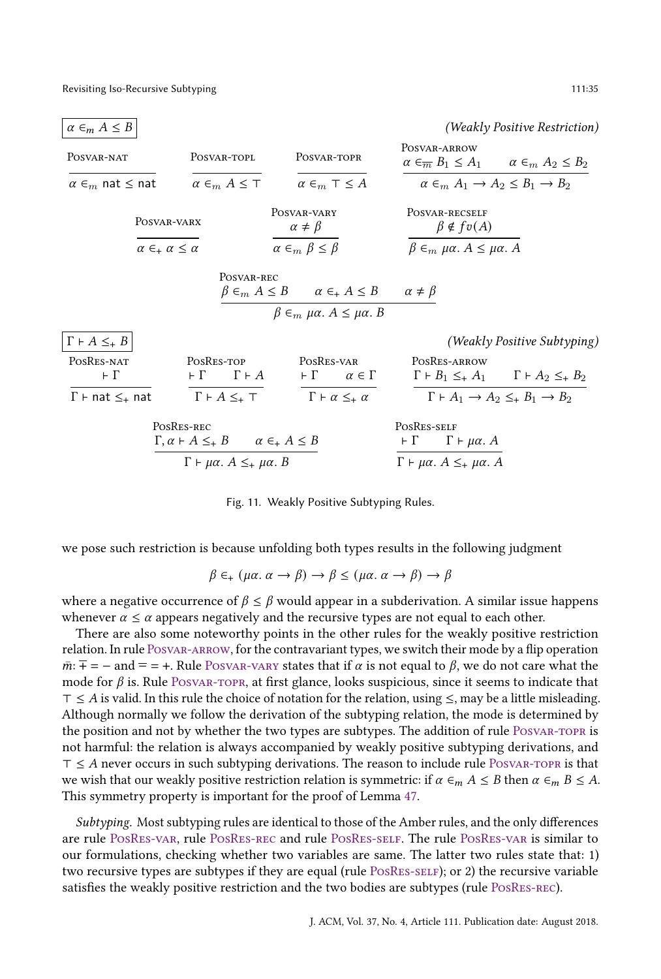<span id="page-34-6"></span><span id="page-34-5"></span><span id="page-34-4"></span><span id="page-34-0"></span>

| $\alpha \in_m A \leq B$            |                                   |                                                                                                                                 |                                                    |                                                                  |                                                                                            |                                | (Weakly Positive Restriction)                                                      |
|------------------------------------|-----------------------------------|---------------------------------------------------------------------------------------------------------------------------------|----------------------------------------------------|------------------------------------------------------------------|--------------------------------------------------------------------------------------------|--------------------------------|------------------------------------------------------------------------------------|
| POSVAR-NAT                         |                                   | POSVAR-TOPL                                                                                                                     | POSVAR-TOPR                                        |                                                                  | POSVAR-ARROW                                                                               |                                | $\alpha \in_{\overline{m}} B_1 \leq A_1 \qquad \alpha \in_m A_2 \leq B_2$          |
| $\alpha \in_m$ nat $\leq$ nat      |                                   | $\alpha \in_m A \leq \top$                                                                                                      | $\alpha \in_m \top \leq A$                         |                                                                  |                                                                                            |                                | $\alpha \in_m A_1 \to A_2 \leq B_1 \to B_2$                                        |
|                                    | POSVAR-VARX                       |                                                                                                                                 | POSVAR-VARY<br>$\alpha \neq \beta$                 |                                                                  | POSVAR-RECSELF                                                                             | $\beta \notin f \circ (A)$     |                                                                                    |
|                                    | $\alpha \in A \alpha \leq \alpha$ |                                                                                                                                 | $\alpha \in_m \beta \leq \beta$                    |                                                                  | $\beta \in_m \mu\alpha$ . $A \leq \mu\alpha$ . A                                           |                                |                                                                                    |
|                                    |                                   | POSVAR-REC                                                                                                                      | $\beta \in_m \mu \alpha$ . $A \leq \mu \alpha$ . B | $\beta \in_m A \leq B$ $\alpha \in A \leq B$ $\alpha \neq \beta$ |                                                                                            |                                |                                                                                    |
| $\Gamma \vdash A \leq_{+} B$       |                                   |                                                                                                                                 |                                                    |                                                                  |                                                                                            |                                | (Weakly Positive Subtyping)                                                        |
| POSRES-NAT                         |                                   | POSRES-TOP                                                                                                                      | POSRES-VAR                                         |                                                                  | POSRES-ARROW                                                                               |                                |                                                                                    |
| $\vdash \Gamma$                    |                                   | $\vdash \Gamma$ $\Gamma \vdash A$                                                                                               | $\vdash \Gamma$                                    | $\alpha \in \Gamma$                                              |                                                                                            |                                | $\Gamma \vdash B_1 \leq_{\dagger} A_1 \qquad \Gamma \vdash A_2 \leq_{\dagger} B_2$ |
| $\Gamma \vdash$ nat $\leq_{+}$ nat |                                   | $\Gamma \vdash A \leq_{+} \top$                                                                                                 | $\Gamma \vdash \alpha \leq_{+} \alpha$             |                                                                  |                                                                                            |                                | $\Gamma \vdash A_1 \rightarrow A_2 \leq_{\pm} B_1 \rightarrow B_2$                 |
|                                    | POSRES-REC                        | $\Gamma, \alpha \vdash A \leq_{+} B \qquad \alpha \in_{+} A \leq B$<br>$\Gamma \vdash \mu \alpha$ . $A \leq_{+} \mu \alpha$ . B |                                                    |                                                                  | POSRES-SELF<br>$\vdash \Gamma$<br>$\Gamma \vdash \mu \alpha$ . $A \leq_{+} \mu \alpha$ . A | $\Gamma \vdash \mu \alpha$ . A |                                                                                    |

<span id="page-34-8"></span><span id="page-34-7"></span><span id="page-34-3"></span><span id="page-34-2"></span><span id="page-34-1"></span>Fig. 11. Weakly Positive Subtyping Rules.

we pose such restriction is because unfolding both types results in the following judgment

$$
\beta \in _{+} (\mu \alpha. \ \alpha \to \beta) \to \beta \leq (\mu \alpha. \ \alpha \to \beta) \to \beta
$$

where a negative occurrence of  $\beta \leq \beta$  would appear in a subderivation. A similar issue happens whenever  $\alpha \leq \alpha$  appears negatively and the recursive types are not equal to each other.

There are also some noteworthy points in the other rules for the weakly positive restriction relation. In rule [Posvar-arrow,](#page-34-4) for the contravariant types, we switch their mode by a flip operation  $\overline{m}$ :  $\overline{+}$  = – and = = +. Rule [Posvar-vary](#page-34-5) states that if  $\alpha$  is not equal to  $\beta$ , we do not care what the mode for  $\beta$  is. Rule POSVAR-TOPR, at first glance, looks suspicious, since it seems to indicate that  $\tau \leq A$  is valid. In this rule the choice of notation for the relation, using  $\leq$ , may be a little misleading. Although normally we follow the derivation of the subtyping relation, the mode is determined by the position and not by whether the two types are subtypes. The addition of rule [Posvar-topr](#page-34-6) is not harmful: the relation is always accompanied by weakly positive subtyping derivations, and  $T \leq A$  never occurs in such subtyping derivations. The reason to include rule POSVAR-TOPR is that we wish that our weakly positive restriction relation is symmetric: if  $\alpha \in M$   $A \leq B$  then  $\alpha \in M$   $B \leq A$ . This symmetry property is important for the proof of Lemma [47.](#page-37-2)

Subtyping. Most subtyping rules are identical to those of the Amber rules, and the only differences are rule [PosRes-var,](#page-34-7) rule [PosRes-rec](#page-34-1) and rule [PosRes-self.](#page-34-8) The rule [PosRes-var](#page-34-7) is similar to our formulations, checking whether two variables are same. The latter two rules state that: 1) two recursive types are subtypes if they are equal (rule POSRES-SELF); or 2) the recursive variable satisfies the weakly positive restriction and the two bodies are subtypes (rule [PosRes-rec\)](#page-34-1).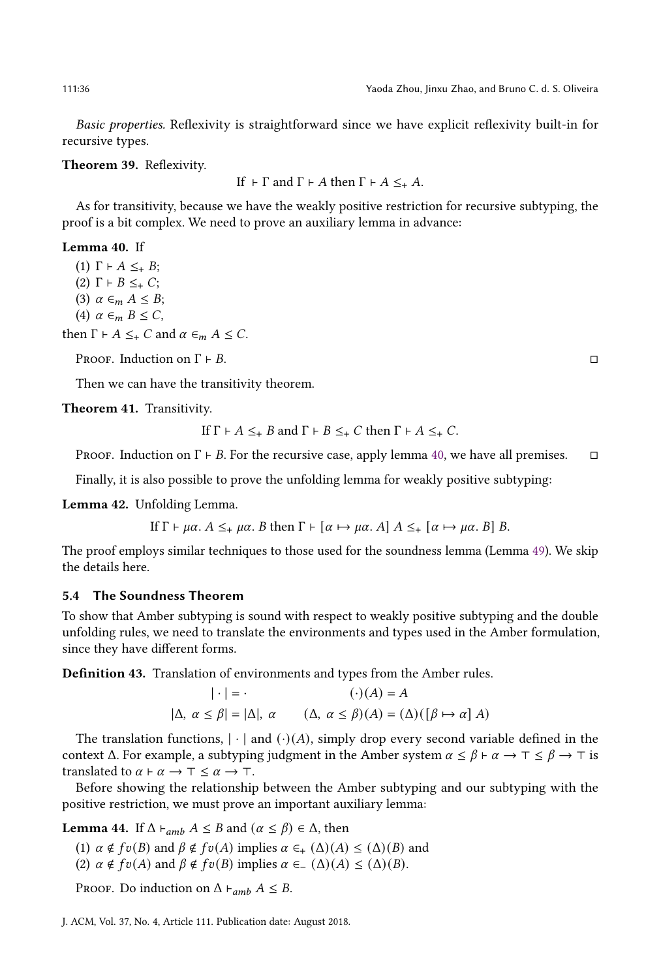Basic properties. Reflexivity is straightforward since we have explicit reflexivity built-in for recursive types.

#### <span id="page-35-0"></span>Theorem 39. Reflexivity.

If 
$$
\vdash \Gamma
$$
 and  $\Gamma \vdash A$  then  $\Gamma \vdash A \leq_{+} A$ .

As for transitivity, because we have the weakly positive restriction for recursive subtyping, the proof is a bit complex. We need to prove an auxiliary lemma in advance:

## <span id="page-35-3"></span>Lemma 40. If

(1)  $\Gamma \vdash A \leq_{+} B$ ; (2)  $\Gamma$  ⊢  $B \leq_+ C$ ; (3)  $\alpha \in_m A \leq B;$ (4)  $\alpha \in_m B \leq C$ ,

then  $\Gamma \vdash A \leq_{+} C$  and  $\alpha \in_{m} A \leq C$ .

PROOF. Induction on  $\Gamma \vdash B$ .

Then we can have the transitivity theorem.

<span id="page-35-1"></span>Theorem 41. Transitivity.

If 
$$
\Gamma \vdash A \leq_{+} B
$$
 and  $\Gamma \vdash B \leq_{+} C$  then  $\Gamma \vdash A \leq_{+} C$ .

PROOF. Induction on  $\Gamma \vdash B$ . For the recursive case, apply lemma [40,](#page-35-3) we have all premises.  $\Box$ 

Finally, it is also possible to prove the unfolding lemma for weakly positive subtyping:

<span id="page-35-2"></span>Lemma 42. Unfolding Lemma.

If  $\Gamma \vdash \mu \alpha$ .  $A \leq_{+} \mu \alpha$ . B then  $\Gamma \vdash [\alpha \mapsto \mu \alpha]$ .  $A \leq_{+} [\alpha \mapsto \mu \alpha]$ . B  $B$ .

The proof employs similar techniques to those used for the soundness lemma (Lemma [49\)](#page-37-0). We skip the details here.

# 5.4 The Soundness Theorem

To show that Amber subtyping is sound with respect to weakly positive subtyping and the double unfolding rules, we need to translate the environments and types used in the Amber formulation, since they have different forms.

Definition 43. Translation of environments and types from the Amber rules.

$$
|\cdot| = \cdot \qquad (\cdot)(A) = A
$$
  

$$
|\Delta, \alpha \le \beta| = |\Delta|, \alpha \qquad (\Delta, \alpha \le \beta)(A) = (\Delta)([\beta \mapsto \alpha] A)
$$

The translation functions,  $|\cdot|$  and  $(\cdot)(A)$ , simply drop every second variable defined in the context  $\Delta$ . For example, a subtyping judgment in the Amber system  $\alpha \leq \beta \vdash \alpha \rightarrow \tau \leq \beta \rightarrow \tau$  is translated to  $\alpha \vdash \alpha \rightarrow \top \leq \alpha \rightarrow \top$ .

Before showing the relationship between the Amber subtyping and our subtyping with the positive restriction, we must prove an important auxiliary lemma:

<span id="page-35-4"></span>**Lemma 44.** If  $\Delta \vdash_{amb} A \leq B$  and  $(\alpha \leq \beta) \in \Delta$ , then

(1)  $\alpha \notin f\mathfrak{v}(B)$  and  $\beta \notin f\mathfrak{v}(A)$  implies  $\alpha \in (\Delta)(A) \leq (\Delta)(B)$  and

(2)  $\alpha \notin f\mathfrak{v}(A)$  and  $\beta \notin f\mathfrak{v}(B)$  implies  $\alpha \in (\Delta)(A) \leq (\Delta)(B)$ .

PROOF. Do induction on  $\Delta \vdash_{amb} A \leq B$ .

J. ACM, Vol. 37, No. 4, Article 111. Publication date: August 2018.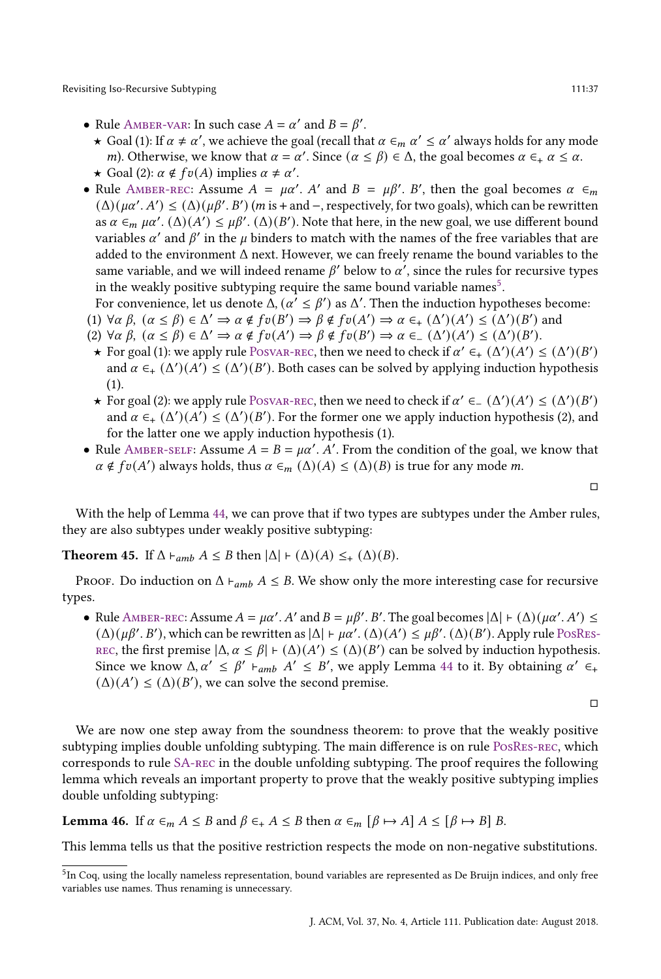- Rule AMBER-VAR: In such case  $A = \alpha'$  and  $B = \beta'$ .
	- ★ Goal (1): If  $\alpha \neq \alpha'$ , we achieve the goal (recall that  $\alpha \in_m \alpha' \leq \alpha'$  always holds for any mode *m*). Otherwise, we know that  $\alpha = \alpha'$ . Since  $(\alpha \le \beta) \in \Delta$ , the goal becomes  $\alpha \in A$   $\alpha \le \alpha$ .
	- $\star$  Goal (2):  $\alpha \notin f v(A)$  implies  $\alpha \neq \alpha'$ .
- Rule AMBER-REC: Assume  $A = \mu \alpha'$ . A' and  $B = \mu \beta'$ . B', then the goal becomes  $\alpha \in_m$  $(\Delta)(\mu\alpha'. A') \leq (\Delta)(\mu\beta'. B')$  (*m* is + and –, respectively, for two goals), which can be rewritten as  $\alpha \in_m \mu\alpha'$ .  $(\Delta)(A') \leq \mu\beta'$ .  $(\Delta)(B')$ . Note that here, in the new goal, we use different bound variables  $\alpha'$  and  $\beta'$  in the *u* binders to match with the names of the free variables that are added to the environment Δ next. However, we can freely rename the bound variables to the same variable, and we will indeed rename  $\beta'$  below to  $\alpha'$ , since the rules for recursive types in the weakly positive subtyping require the same bound variable names<sup>[5](#page-36-1)</sup>.
- For convenience, let us denote  $\Delta$ ,  $(\alpha' \leq \beta')$  as  $\Delta'$ . Then the induction hypotheses become:
- (1)  $\forall \alpha \beta, \ (\alpha \leq \beta) \in \Delta' \Rightarrow \alpha \notin f\mathfrak{v}(B') \Rightarrow \beta \notin f\mathfrak{v}(A') \Rightarrow \alpha \in_{+} (\Delta')(A') \leq (\Delta')(B')$  and
- (2)  $\forall \alpha \beta, (\alpha \le \beta) \in \Delta' \Rightarrow \alpha \notin fv(A') \Rightarrow \beta \notin fv(B') \Rightarrow \alpha \in (\Delta')(A') \le (\Delta')(B').$
- **★** For goal (1): we apply rule POSVAR-REC, then we need to check if  $\alpha' \in _{+} (\Delta') (A') \leq (\Delta') (B')$ and  $\alpha \in_{+} (\Delta')(\Delta') \leq (\Delta')(\Delta')$ . Both cases can be solved by applying induction hypothesis (1).
- ★ For goal (2): we apply rule POSVAR-REC, then we need to check if  $\alpha' \in (\Delta')(A') \leq (\Delta')(B')$ and  $\alpha \in_{+} (\Delta')(\overline{A'}) \leq (\Delta')(\overline{B'})$ . For the former one we apply induction hypothesis (2), and for the latter one we apply induction hypothesis (1).
- Rule AMBER-SELF: Assume  $A = B = \mu \alpha'$ . A'. From the condition of the goal, we know that  $\alpha \notin f\mathfrak{v}(A')$  always holds, thus  $\alpha \in_m (\Delta)(A) \leq (\Delta)(B)$  is true for any mode m.

□

With the help of Lemma [44,](#page-35-4) we can prove that if two types are subtypes under the Amber rules, they are also subtypes under weakly positive subtyping:

<span id="page-36-0"></span>**Theorem 45.** If  $\Delta \vdash_{amb} A \leq B$  then  $|\Delta| \vdash (\Delta)(A) \leq_{+} (\Delta)(B)$ .

PROOF. Do induction on  $\Delta \vdash_{amb} A \leq B$ . We show only the more interesting case for recursive types.

• Rule AMBER-REC: Assume  $A = \mu \alpha'$ . A' and  $B = \mu \beta'$ . B'. The goal becomes  $|\Delta| + (\Delta)(\mu \alpha'$ . A')  $\leq$ (Δ)( $\mu\beta'$ . B'), which can be rewritten as  $|\Delta|$  ⊢  $\mu\alpha'$ . (Δ)(A') ≤  $\mu\beta'$ . (Δ)(B'). Apply rule PosREs-REC, the first premise  $|\Delta, \alpha \leq \beta| + (\Delta)(A') \leq (\Delta)(B')$  can be solved by induction hypothesis. Since we know  $\Delta, \alpha' \leq \beta' +_{amb} A' \leq B'$ , we apply Lemma [44](#page-35-4) to it. By obtaining  $\alpha' \in A$  $(\Delta)(A') \leq (\Delta)(B')$ , we can solve the second premise.

□

We are now one step away from the soundness theorem: to prove that the weakly positive subtyping implies double unfolding subtyping. The main difference is on rule [PosRes-rec,](#page-34-1) which corresponds to rule [SA-rec](#page-22-3) in the double unfolding subtyping. The proof requires the following lemma which reveals an important property to prove that the weakly positive subtyping implies double unfolding subtyping:

<span id="page-36-2"></span>**Lemma 46.** If  $\alpha \in M$   $A \leq B$  and  $\beta \in A$ ,  $A \leq B$  then  $\alpha \in M$   $[\beta \mapsto A]$   $A \leq [\beta \mapsto B]$  B.

This lemma tells us that the positive restriction respects the mode on non-negative substitutions.

<span id="page-36-1"></span> $5$ In Coq, using the locally nameless representation, bound variables are represented as De Bruijn indices, and only free variables use names. Thus renaming is unnecessary.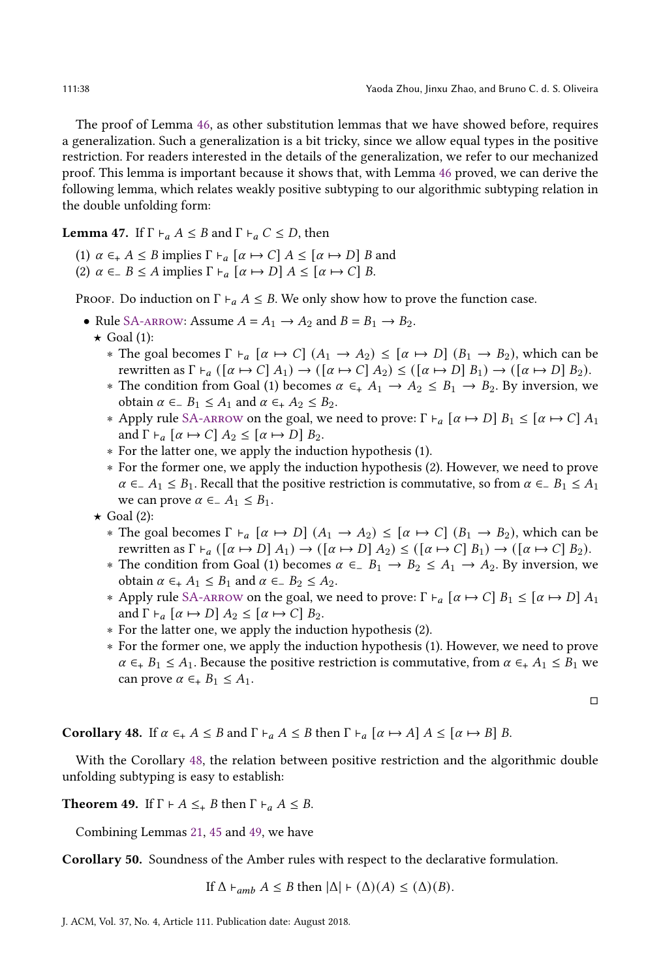The proof of Lemma [46,](#page-36-2) as other substitution lemmas that we have showed before, requires a generalization. Such a generalization is a bit tricky, since we allow equal types in the positive restriction. For readers interested in the details of the generalization, we refer to our mechanized proof. This lemma is important because it shows that, with Lemma [46](#page-36-2) proved, we can derive the following lemma, which relates weakly positive subtyping to our algorithmic subtyping relation in the double unfolding form:

<span id="page-37-2"></span>**Lemma 47.** If  $\Gamma \vdash_a A \leq B$  and  $\Gamma \vdash_a C \leq D$ , then

- (1)  $\alpha \in A \leq B$  implies  $\Gamma \vdash_{\alpha} [\alpha \mapsto C]$   $A \leq [\alpha \mapsto D]$  B and
- (2)  $\alpha \in B \le A$  implies  $\Gamma \vdash_{a} [\alpha \mapsto D] A \le [\alpha \mapsto C] B$ .

PROOF. Do induction on  $\Gamma \vdash_a A \leq B$ . We only show how to prove the function case.

- Rule SA-ARROW: Assume  $A = A_1 \rightarrow A_2$  and  $B = B_1 \rightarrow B_2$ .
	- $\star$  Goal (1):
		- ∗ The goal becomes Γ ⊦<sub>a</sub> [α  $\mapsto$  C] (A<sub>1</sub> → A<sub>2</sub>) ≤ [α  $\mapsto$  D] (B<sub>1</sub> → B<sub>2</sub>), which can be rewritten as  $\Gamma \vdash_{a} ([\alpha \mapsto C] A_1) \rightarrow ([\alpha \mapsto C] A_2) \leq ([\alpha \mapsto D] B_1) \rightarrow ([\alpha \mapsto D] B_2).$
		- $∗$  The condition from Goal (1) becomes  $α ∈<sub>+</sub> A<sub>1</sub> → A<sub>2</sub> ≤ B<sub>1</sub> → B<sub>2</sub>$ . By inversion, we obtain  $\alpha \in B_1$  ≤  $A_1$  and  $\alpha \in A_2$  ≤  $B_2$ .
		- ∗ Apply rule SA-ARROW on the goal, we need to prove: Γ ⊦<sub>a</sub> [ $\alpha$  ↔ D]  $B_1 \leq [\alpha \mapsto C] A_1$ and  $\Gamma \vdash_{a} [\alpha \mapsto C] A_{2} \leq [\alpha \mapsto D] B_{2}.$
		- ∗ For the latter one, we apply the induction hypothesis (1).
		- ∗ For the former one, we apply the induction hypothesis (2). However, we need to prove  $\alpha \in A_1 \leq B_1$ . Recall that the positive restriction is commutative, so from  $\alpha \in B_1 \leq A_1$ we can prove  $\alpha \in A_1 \leq B_1$ .
	- $\star$  Goal (2):
		- $\ast$  The goal becomes Γ ⊦<sub>α</sub> [α  $\mapsto D$ ] ( $A_1 \to A_2$ ) ≤ [α  $\mapsto C$ ] ( $B_1 \to B_2$ ), which can be rewritten as  $\Gamma \vdash_{\alpha} (\lceil \alpha \mapsto D \rceil A_1) \rightarrow (\lceil \alpha \mapsto D \rceil A_2) \leq (\lceil \alpha \mapsto C \rceil B_1) \rightarrow (\lceil \alpha \mapsto C \rceil B_2).$
		- $\ast$  The condition from Goal (1) becomes  $\alpha \in B_1 \rightarrow B_2 \leq A_1 \rightarrow A_2$ . By inversion, we obtain  $\alpha \in A_1$  ≤  $B_1$  and  $\alpha \in B_2$  ≤  $A_2$ .
		- ∗ Apply rule [SA-arrow](#page-22-5) on the goal, we need to prove: Γ  $\vdash_{a} [\alpha \mapsto C] B_1 \leq [\alpha \mapsto D] A_1$ and  $\Gamma \vdash_{a} [\alpha \mapsto D] A_{2} \leq [\alpha \mapsto C] B_{2}$ .
		- ∗ For the latter one, we apply the induction hypothesis (2).
		- ∗ For the former one, we apply the induction hypothesis (1). However, we need to prove  $\alpha \in B_1 \leq A_1$ . Because the positive restriction is commutative, from  $\alpha \in A_1 \leq B_1$  we can prove  $\alpha \in B_1 \leq A_1$ .

□

<span id="page-37-3"></span>**Corollary 48.** If  $\alpha \in A \leq B$  and  $\Gamma \vdash_{\alpha} A \leq B$  then  $\Gamma \vdash_{\alpha} [\alpha \mapsto A]$   $A \leq [\alpha \mapsto B]$  B.

With the Corollary [48,](#page-37-3) the relation between positive restriction and the algorithmic double unfolding subtyping is easy to establish:

<span id="page-37-0"></span>**Theorem 49.** If  $\Gamma \vdash A \leq_{+} B$  then  $\Gamma \vdash_{a} A \leq B$ .

Combining Lemmas [21,](#page-25-0) [45](#page-36-0) and [49,](#page-37-0) we have

<span id="page-37-1"></span>Corollary 50. Soundness of the Amber rules with respect to the declarative formulation.

If  $\Delta \vdash_{amb} A \leq B$  then  $|\Delta| \vdash (\Delta)(A) \leq (\Delta)(B)$ .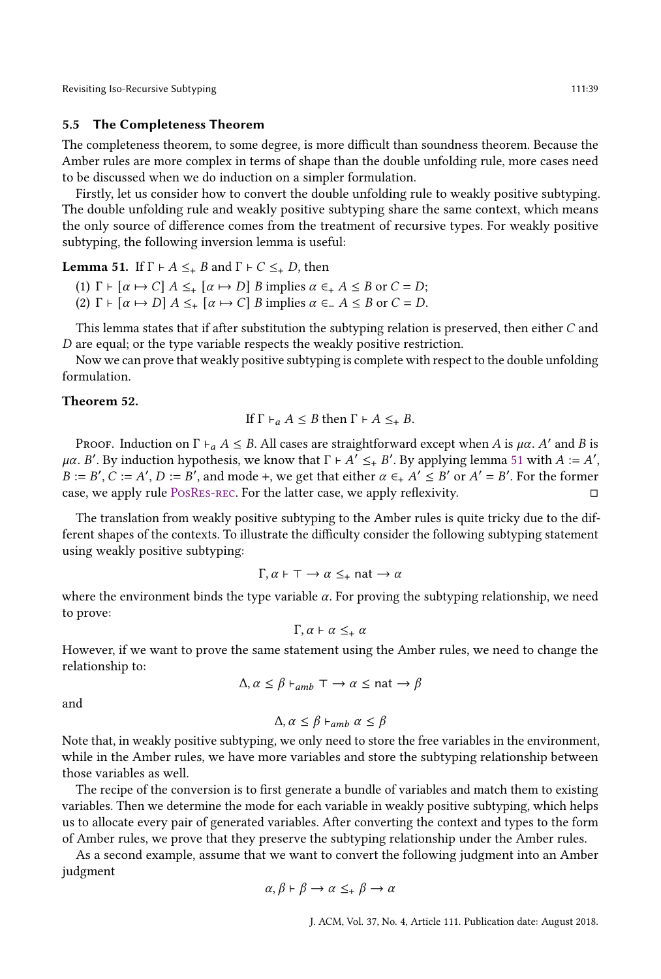## 5.5 The Completeness Theorem

The completeness theorem, to some degree, is more difficult than soundness theorem. Because the Amber rules are more complex in terms of shape than the double unfolding rule, more cases need to be discussed when we do induction on a simpler formulation.

Firstly, let us consider how to convert the double unfolding rule to weakly positive subtyping. The double unfolding rule and weakly positive subtyping share the same context, which means the only source of difference comes from the treatment of recursive types. For weakly positive subtyping, the following inversion lemma is useful:

<span id="page-38-1"></span>**Lemma 51.** If  $\Gamma \vdash A \leq_{+} B$  and  $\Gamma \vdash C \leq_{+} D$ , then

- (1)  $\Gamma$   $\vdash$  [ $\alpha$   $\mapsto$   $C$ ]  $A \leq_{+}$  [ $\alpha$   $\mapsto$   $D$ ]  $B$  implies  $\alpha \in_{+}$   $A \leq B$  or  $C = D$ ;
- (2)  $\Gamma$  ⊢  $\lbrack \alpha \mapsto D \rbrack$   $A \leq_{+} \lbrack \alpha \mapsto C \rbrack$  B implies  $\alpha \in A \leq B$  or  $C = D$ .

This lemma states that if after substitution the subtyping relation is preserved, then either  $C$  and  $D$  are equal; or the type variable respects the weakly positive restriction.

Now we can prove that weakly positive subtyping is complete with respect to the double unfolding formulation.

## <span id="page-38-0"></span>Theorem 52.

If 
$$
\Gamma \vdash_a A \leq B
$$
 then  $\Gamma \vdash A \leq_{+} B$ .

PROOF. Induction on  $\Gamma \vdash_a A \leq B$ . All cases are straightforward except when A is  $\mu\alpha$ . A' and B is μα. B'. By induction hypothesis, we know that  $\Gamma$  ⊢ A' ≤<sub>+</sub> B'. By applying lemma [51](#page-38-1) with A := A',  $B := B', C := A', D := B'$ , and mode +, we get that either  $\alpha \in A' \leq B'$  or  $A' = B'$ . For the former case, we apply rule [PosRes-rec.](#page-34-1) For the latter case, we apply reflexivity. □

The translation from weakly positive subtyping to the Amber rules is quite tricky due to the different shapes of the contexts. To illustrate the difficulty consider the following subtyping statement using weakly positive subtyping:

$$
\Gamma, \alpha \vdash \top \rightarrow \alpha \leq_{+} \text{nat} \rightarrow \alpha
$$

where the environment binds the type variable  $\alpha$ . For proving the subtyping relationship, we need to prove:

$$
\Gamma, \alpha \vdash \alpha \leq_+ \alpha
$$

However, if we want to prove the same statement using the Amber rules, we need to change the relationship to:

$$
\Delta, \alpha \le \beta \vdash_{amb} \top \rightarrow \alpha \le \text{nat} \rightarrow \beta
$$

and

$$
\Delta, \alpha \leq \beta \vdash_{amb} \alpha \leq \beta
$$

Note that, in weakly positive subtyping, we only need to store the free variables in the environment, while in the Amber rules, we have more variables and store the subtyping relationship between those variables as well.

The recipe of the conversion is to first generate a bundle of variables and match them to existing variables. Then we determine the mode for each variable in weakly positive subtyping, which helps us to allocate every pair of generated variables. After converting the context and types to the form of Amber rules, we prove that they preserve the subtyping relationship under the Amber rules.

As a second example, assume that we want to convert the following judgment into an Amber judgment

$$
\alpha,\beta \vdash \beta \rightarrow \alpha \leq_{+} \beta \rightarrow \alpha
$$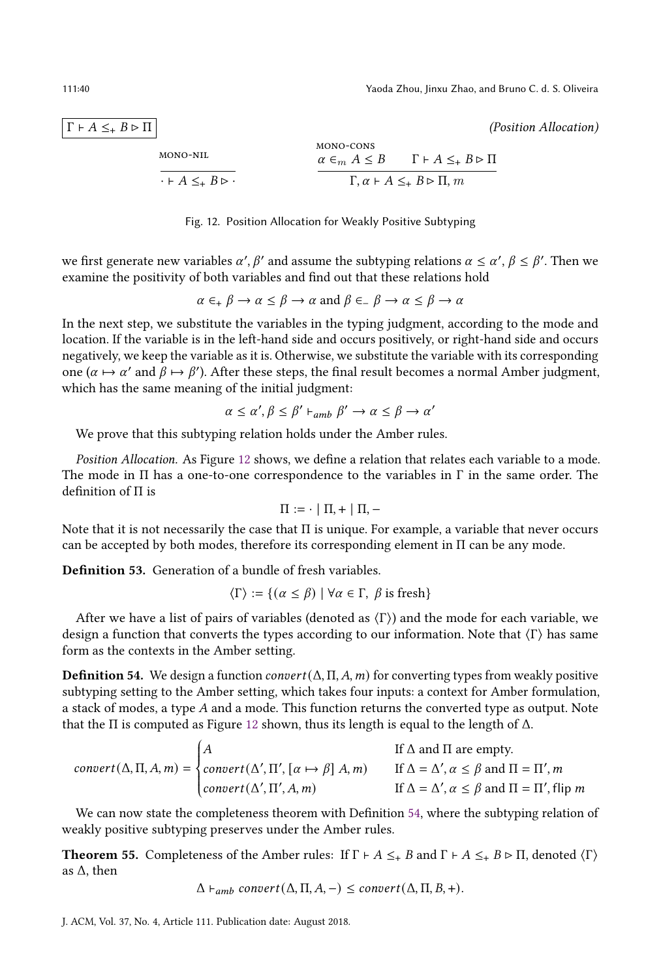<span id="page-39-1"></span> $\Gamma \vdash A \leq_{+} B \rhd \Pi$  (Position Allocation)

$$
\frac{\text{MONO-NIL}}{\cdot + A \leq_{+} B \rhd \cdot} \qquad \qquad \frac{\text{MONO-CONS}}{\alpha \in_{m} A \leq B \qquad \Gamma + A \leq_{+} B \rhd \Pi}
$$
\n
$$
\frac{\alpha \in_{m} A \leq B \qquad \Gamma + A \leq_{+} B \rhd \Pi}{\Gamma, \alpha + A \leq_{+} B \rhd \Pi, m}
$$



we first generate new variables  $\alpha', \beta'$  and assume the subtyping relations  $\alpha \leq \alpha', \beta \leq \beta'$ . Then we examine the positivity of both variables and find out that these relations hold

$$
\alpha \in_{+} \beta \to \alpha \le \beta \to \alpha
$$
 and  $\beta \in_{-} \beta \to \alpha \le \beta \to \alpha$ 

In the next step, we substitute the variables in the typing judgment, according to the mode and location. If the variable is in the left-hand side and occurs positively, or right-hand side and occurs negatively, we keep the variable as it is. Otherwise, we substitute the variable with its corresponding one  $(\alpha \mapsto \alpha'$  and  $\beta \mapsto \beta'$ ). After these steps, the final result becomes a normal Amber judgment, which has the same meaning of the initial judgment:

$$
\alpha \le \alpha', \beta \le \beta' \vdash_{amb} \beta' \to \alpha \le \beta \to \alpha'
$$

We prove that this subtyping relation holds under the Amber rules.

Position Allocation. As Figure [12](#page-39-1) shows, we define a relation that relates each variable to a mode. The mode in  $\Pi$  has a one-to-one correspondence to the variables in  $\Gamma$  in the same order. The definition of Π is

$$
\Pi := \cdot \mid \Pi, + \mid \Pi, -
$$

Note that it is not necessarily the case that Π is unique. For example, a variable that never occurs can be accepted by both modes, therefore its corresponding element in  $\Pi$  can be any mode.

<span id="page-39-3"></span>Definition 53. Generation of a bundle of fresh variables.

$$
\langle \Gamma \rangle := \{ (\alpha \le \beta) \mid \forall \alpha \in \Gamma, \ \beta \text{ is fresh} \}
$$

After we have a list of pairs of variables (denoted as  $\langle \Gamma \rangle$ ) and the mode for each variable, we design a function that converts the types according to our information. Note that  $\langle \Gamma \rangle$  has same form as the contexts in the Amber setting.

<span id="page-39-2"></span>**Definition 54.** We design a function *convert* ( $\Delta$ ,  $\Pi$ ,  $A$ ,  $m$ ) for converting types from weakly positive subtyping setting to the Amber setting, which takes four inputs: a context for Amber formulation, a stack of modes, a type  $A$  and a mode. This function returns the converted type as output. Note that the Π is computed as Figure [12](#page-39-1) shown, thus its length is equal to the length of Δ.

$$
convert(\Delta, \Pi, A, m) = \begin{cases} A & \text{If } \Delta \text{ and } \Pi \text{ are empty.} \\ convert(\Delta', \Pi', [\alpha \mapsto \beta] A, m) & \text{If } \Delta = \Delta', \alpha \le \beta \text{ and } \Pi = \Pi', m \\ convert(\Delta', \Pi', A, m) & \text{If } \Delta = \Delta', \alpha \le \beta \text{ and } \Pi = \Pi', \text{flip } m \end{cases}
$$

 We can now state the completeness theorem with Definition [54,](#page-39-2) where the subtyping relation of weakly positive subtyping preserves under the Amber rules.

<span id="page-39-0"></span>**Theorem 55.** Completeness of the Amber rules: If  $\Gamma \vdash A \leq_{+} B$  and  $\Gamma \vdash A \leq_{+} B \rhd \Pi$ , denoted  $\langle \Gamma \rangle$ as Δ, then

 $\Delta \vdash_{amb} convert(\Delta, \Pi, A, -) \leq convert(\Delta, \Pi, B, +).$ 

J. ACM, Vol. 37, No. 4, Article 111. Publication date: August 2018.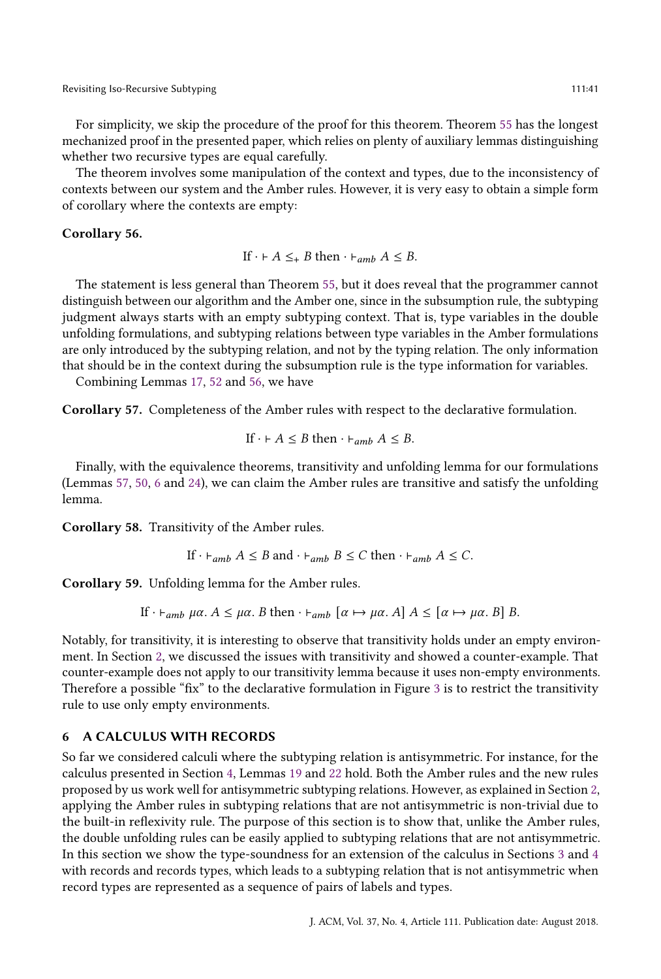For simplicity, we skip the procedure of the proof for this theorem. Theorem [55](#page-39-0) has the longest mechanized proof in the presented paper, which relies on plenty of auxiliary lemmas distinguishing whether two recursive types are equal carefully.

The theorem involves some manipulation of the context and types, due to the inconsistency of contexts between our system and the Amber rules. However, it is very easy to obtain a simple form of corollary where the contexts are empty:

## <span id="page-40-4"></span>Corollary 56.

If  $\cdot \vdash A \leq_{+} B$  then  $\cdot \vdash_{amb} A \leq B$ .

The statement is less general than Theorem [55,](#page-39-0) but it does reveal that the programmer cannot distinguish between our algorithm and the Amber one, since in the subsumption rule, the subtyping judgment always starts with an empty subtyping context. That is, type variables in the double unfolding formulations, and subtyping relations between type variables in the Amber formulations are only introduced by the subtyping relation, and not by the typing relation. The only information that should be in the context during the subsumption rule is the type information for variables.

Combining Lemmas [17,](#page-23-2) [52](#page-38-0) and [56,](#page-40-4) we have

<span id="page-40-3"></span>Corollary 57. Completeness of the Amber rules with respect to the declarative formulation.

If 
$$
\cdot \vdash A \leq B
$$
 then  $\cdot \vdash_{amb} A \leq B$ .

Finally, with the equivalence theorems, transitivity and unfolding lemma for our formulations (Lemmas [57,](#page-40-3) [50,](#page-37-1) [6](#page-18-1) and [24\)](#page-27-0), we can claim the Amber rules are transitive and satisfy the unfolding lemma.

<span id="page-40-0"></span>Corollary 58. Transitivity of the Amber rules.

If 
$$
\cdot \vdash_{amb} A \leq B
$$
 and  $\cdot \vdash_{amb} B \leq C$  then  $\cdot \vdash_{amb} A \leq C$ .

<span id="page-40-1"></span>Corollary 59. Unfolding lemma for the Amber rules.

If  $\cdot \vdash_{amb} \mu\alpha$ .  $A \leq \mu\alpha$ . B then  $\cdot \vdash_{amb} [\alpha \mapsto \mu\alpha]$ .  $A \leq [\alpha \mapsto \mu\alpha]$ . B B.

Notably, for transitivity, it is interesting to observe that transitivity holds under an empty environment. In Section [2,](#page-4-1) we discussed the issues with transitivity and showed a counter-example. That counter-example does not apply to our transitivity lemma because it uses non-empty environments. Therefore a possible "fix" to the declarative formulation in Figure [3](#page-8-0) is to restrict the transitivity rule to use only empty environments.

## <span id="page-40-2"></span>6 A CALCULUS WITH RECORDS

So far we considered calculi where the subtyping relation is antisymmetric. For instance, for the calculus presented in Section [4,](#page-22-0) Lemmas [19](#page-25-1) and [22](#page-25-3) hold. Both the Amber rules and the new rules proposed by us work well for antisymmetric subtyping relations. However, as explained in Section [2,](#page-4-1) applying the Amber rules in subtyping relations that are not antisymmetric is non-trivial due to the built-in reflexivity rule. The purpose of this section is to show that, unlike the Amber rules, the double unfolding rules can be easily applied to subtyping relations that are not antisymmetric. In this section we show the type-soundness for an extension of the calculus in Sections [3](#page-16-0) and [4](#page-22-0) with records and records types, which leads to a subtyping relation that is not antisymmetric when record types are represented as a sequence of pairs of labels and types.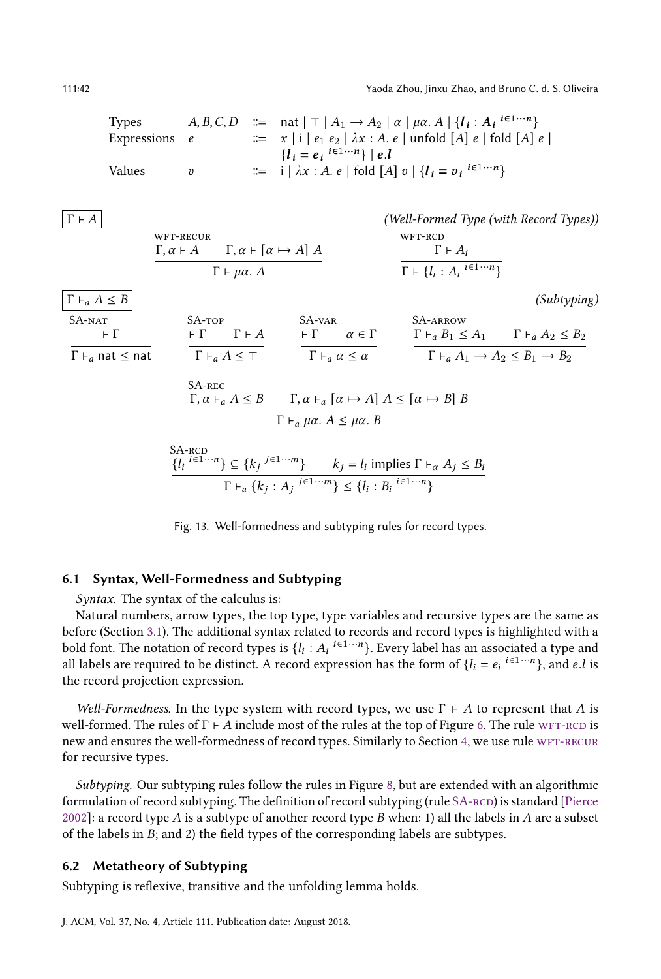111:42 Yaoda Zhou, Jinxu Zhao, and Bruno C. d. S. Oliveira

<span id="page-41-0"></span>

| Types       | $A, B, C, D$ | $\therefore$ | $\text{nat }  T  A_1 \rightarrow A_2   \alpha   \mu \alpha A   \{I_i : A_i \stackrel{\text{ie1}\cdots n}{\text{ex}}\}$ |
|-------------|--------------|--------------|------------------------------------------------------------------------------------------------------------------------|
| Expressions | $e$          | $\therefore$ | $x  i  e_1 e_2   \lambda x : A, e   \text{unfold } [A] e   \text{fold } [A] e  $                                       |
| Values      | $v$          | $\therefore$ | $i   \lambda x : A, e   \text{fold } [A] v   \{I_i = v_i \stackrel{\text{ie1}\cdots n}{\text{ex}}\}$                   |

<span id="page-41-2"></span>

| $\Gamma \vdash A$               |                                                                                                                                                                    |                                                                                                                                             | (Well-Formed Type (with Record Types))                                   |             |
|---------------------------------|--------------------------------------------------------------------------------------------------------------------------------------------------------------------|---------------------------------------------------------------------------------------------------------------------------------------------|--------------------------------------------------------------------------|-------------|
|                                 | WFT-RECUR<br>$\Gamma, \alpha \vdash A \qquad \Gamma, \alpha \vdash [\alpha \mapsto A] A$                                                                           |                                                                                                                                             | WFT-RCD<br>$\Gamma \vdash A_i$                                           |             |
|                                 | $\Gamma \vdash \mu \alpha$ . A                                                                                                                                     |                                                                                                                                             | $\Gamma \vdash \{l_i : A_i \stackrel{i \in 1 \cdots n}{\longrightarrow}$ |             |
| $\Gamma \vdash_a A \leq B$      |                                                                                                                                                                    |                                                                                                                                             |                                                                          | (Subtyping) |
| SA-NAT                          | $S$ A-TOP                                                                                                                                                          | $SA-VAR$                                                                                                                                    | <b>SA-ARROW</b>                                                          |             |
| $\vdash \Gamma$                 | $\vdash \Gamma$ $\Gamma \vdash A$                                                                                                                                  | $\vdash \Gamma$ $\alpha \in \Gamma$                                                                                                         | $\Gamma \vdash_a B_1 \leq A_1$ $\Gamma \vdash_a A_2 \leq B_2$            |             |
| $\Gamma\vdash_a$ nat $\leq$ nat | $\Gamma \vdash_a A \leq \top$                                                                                                                                      | $\Gamma \vdash_a \alpha \leq \alpha$                                                                                                        | $\Gamma \vdash_a A_1 \rightarrow A_2 \leq B_1 \rightarrow B_2$           |             |
|                                 | SA-REC                                                                                                                                                             |                                                                                                                                             |                                                                          |             |
|                                 |                                                                                                                                                                    | $\Gamma, \alpha \vdash_{\alpha} A \leq B$ $\Gamma, \alpha \vdash_{\alpha} [\alpha \mapsto A] A \leq [\alpha \mapsto B] B$                   |                                                                          |             |
|                                 |                                                                                                                                                                    | $\Gamma \vdash_a \mu \alpha$ . $A \leq \mu \alpha$ . B                                                                                      |                                                                          |             |
|                                 | SA-RCD<br>$\{l_i \stackrel{i \in 1 \cdots n}{\sim} \subseteq \{k_j \stackrel{j \in 1 \cdots m}{\sim} \}$ $k_j = l_i$ implies $\Gamma \vdash_{\alpha} A_j \leq B_i$ |                                                                                                                                             |                                                                          |             |
|                                 |                                                                                                                                                                    | $\Gamma \vdash_a \{k_i : A_i \stackrel{j \in 1 \cdots m}{\longrightarrow} \leq \{l_i : B_i \stackrel{i \in 1 \cdots n}{\longrightarrow} \}$ |                                                                          |             |

<span id="page-41-1"></span>Fig. 13. Well-formedness and subtyping rules for record types.

# 6.1 Syntax, Well-Formedness and Subtyping

Syntax. The syntax of the calculus is:

Natural numbers, arrow types, the top type, type variables and recursive types are the same as before (Section [3.1\)](#page-16-1). The additional syntax related to records and record types is highlighted with a bold font. The notation of record types is  $\{l_i : A_i \stackrel{i \in 1 \cdots n}{\ldots} \}$ . Every label has an associated a type and all labels are required to be distinct. A record expression has the form of  $\{l_i = e_i \neq 1 \cdots n\}$ , and e.l is the record projection expression.

Well-Formedness. In the type system with record types, we use  $\Gamma \vdash A$  to represent that A is well-formed. The rules of  $\Gamma \vdash A$  include most of the rules at the top of Figure [6.](#page-17-0) The rule wFT-RCD is new and ensures the well-formedness of record types. Similarly to Section [4,](#page-22-0) we use rule WFT-RECUR for recursive types.

Subtyping. Our subtyping rules follow the rules in Figure [8,](#page-22-1) but are extended with an algorithmic formulation of record subtyping. The definition of record subtyping (rule SA-RCD) is standard [\[Pierce](#page-53-12) [2002\]](#page-53-12): a record type A is a subtype of another record type B when: 1) all the labels in A are a subset of the labels in  $B$ ; and 2) the field types of the corresponding labels are subtypes.

## 6.2 Metatheory of Subtyping

Subtyping is reflexive, transitive and the unfolding lemma holds.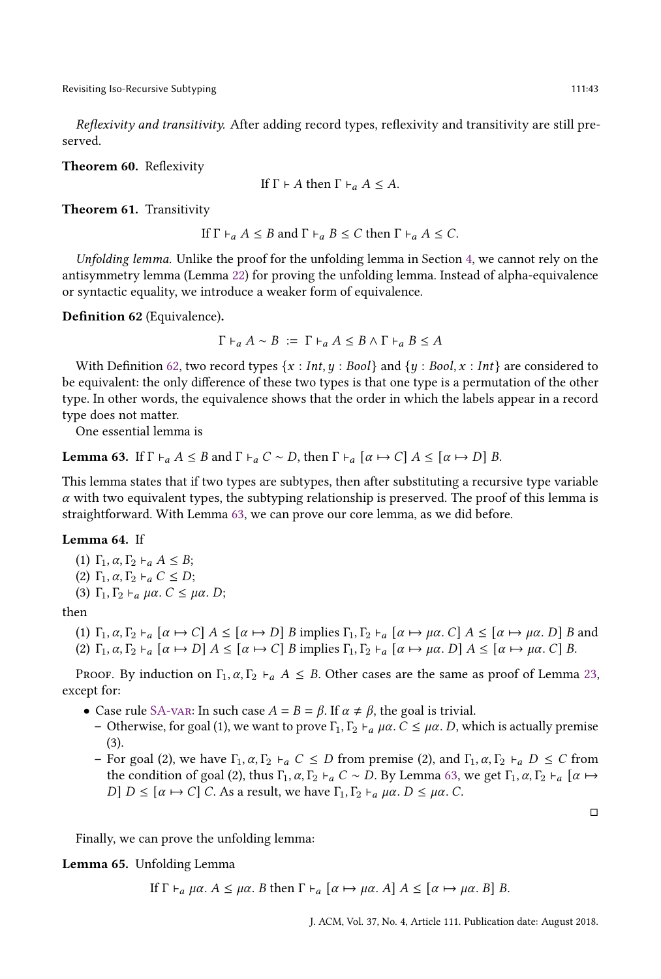Reflexivity and transitivity. After adding record types, reflexivity and transitivity are still preserved.

<span id="page-42-2"></span>Theorem 60. Reflexivity

If 
$$
\Gamma \vdash A
$$
 then  $\Gamma \vdash_a A \leq A$ .

<span id="page-42-3"></span>Theorem 61. Transitivity

If 
$$
\Gamma \vdash_a A \leq B
$$
 and  $\Gamma \vdash_a B \leq C$  then  $\Gamma \vdash_a A \leq C$ .

Unfolding lemma. Unlike the proof for the unfolding lemma in Section [4,](#page-22-0) we cannot rely on the antisymmetry lemma (Lemma [22\)](#page-25-3) for proving the unfolding lemma. Instead of alpha-equivalence or syntactic equality, we introduce a weaker form of equivalence.

<span id="page-42-0"></span>Definition 62 (Equivalence).

$$
\Gamma \vdash_a A \sim B := \Gamma \vdash_a A \leq B \wedge \Gamma \vdash_a B \leq A
$$

With Definition [62,](#page-42-0) two record types  $\{x : Int, y : Bool\}$  and  $\{y : Bool, x : Int\}$  are considered to be equivalent: the only difference of these two types is that one type is a permutation of the other type. In other words, the equivalence shows that the order in which the labels appear in a record type does not matter.

One essential lemma is

<span id="page-42-1"></span>**Lemma 63.** If  $\Gamma \vdash_a A \leq B$  and  $\Gamma \vdash_a C \sim D$ , then  $\Gamma \vdash_a [\alpha \mapsto C]$   $A \leq [\alpha \mapsto D]$  B.

This lemma states that if two types are subtypes, then after substituting a recursive type variable  $\alpha$  with two equivalent types, the subtyping relationship is preserved. The proof of this lemma is straightforward. With Lemma [63,](#page-42-1) we can prove our core lemma, as we did before.

#### <span id="page-42-4"></span>Lemma 64. If

(1)  $\Gamma_1, \alpha, \Gamma_2 \vdash_{\alpha} A \leq B;$ (2) Γ<sub>1</sub>,  $\alpha$ , Γ<sub>2</sub>  $\vdash$ <sub>a</sub>  $C \leq D$ ; (3)  $\Gamma_1, \Gamma_2 \vdash_a \mu \alpha$ .  $C \leq \mu \alpha$ . D;

then

(1) 
$$
\Gamma_1, \alpha, \Gamma_2 \vdash_a [\alpha \mapsto C] A \leq [\alpha \mapsto D]
$$
 *B* implies  $\Gamma_1, \Gamma_2 \vdash_a [\alpha \mapsto \mu \alpha, C] A \leq [\alpha \mapsto \mu \alpha, D]$  *B* and  
(2)  $\Gamma_1, \alpha, \Gamma_2 \vdash_a [\alpha \mapsto D] A \leq [\alpha \mapsto C]$  *B* implies  $\Gamma_1, \Gamma_2 \vdash_a [\alpha \mapsto \mu \alpha, D] A \leq [\alpha \mapsto \mu \alpha, C]$  *B*.

PROOF. By induction on  $\Gamma_1$ ,  $\alpha$ ,  $\Gamma_2$   $\vdash_{\alpha}$  A  $\leq$  B. Other cases are the same as proof of Lemma [23,](#page-25-4) except for:

- Case rule [SA-var:](#page-22-4) In such case  $A = B = \beta$ . If  $\alpha \neq \beta$ , the goal is trivial.
	- Otherwise, for goal (1), we want to prove  $\Gamma_1, \Gamma_2 \vdash_{a} \mu \alpha$ .  $C \leq \mu \alpha$ . D, which is actually premise (3).
	- For goal (2), we have  $\Gamma_1$ ,  $\alpha$ ,  $\Gamma_2$   $\vdash_{\alpha} C \leq D$  from premise (2), and  $\Gamma_1$ ,  $\alpha$ ,  $\Gamma_2$   $\vdash_{\alpha} D \leq C$  from the condition of goal (2), thus  $\Gamma_1$ ,  $\alpha$ ,  $\Gamma_2$  +  $\alpha$  C ~ D. By Lemma [63,](#page-42-1) we get  $\Gamma_1$ ,  $\alpha$ ,  $\Gamma_2$  +  $\alpha$  [α  $\mapsto$  $[D]$   $D$  ≤ [α  $\mapsto$  C] C. As a result, we have  $\Gamma_1$ ,  $\Gamma_2$   $\vdash$ <sub>a</sub> μα. D ≤ μα. C.

Finally, we can prove the unfolding lemma:

Lemma 65. Unfolding Lemma

If  $\Gamma \vdash_{\alpha} \mu \alpha$ .  $A \leq \mu \alpha$ . B then  $\Gamma \vdash_{\alpha} [\alpha \mapsto \mu \alpha]$ .  $A \leq [\alpha \mapsto \mu \alpha]$ . B B.

□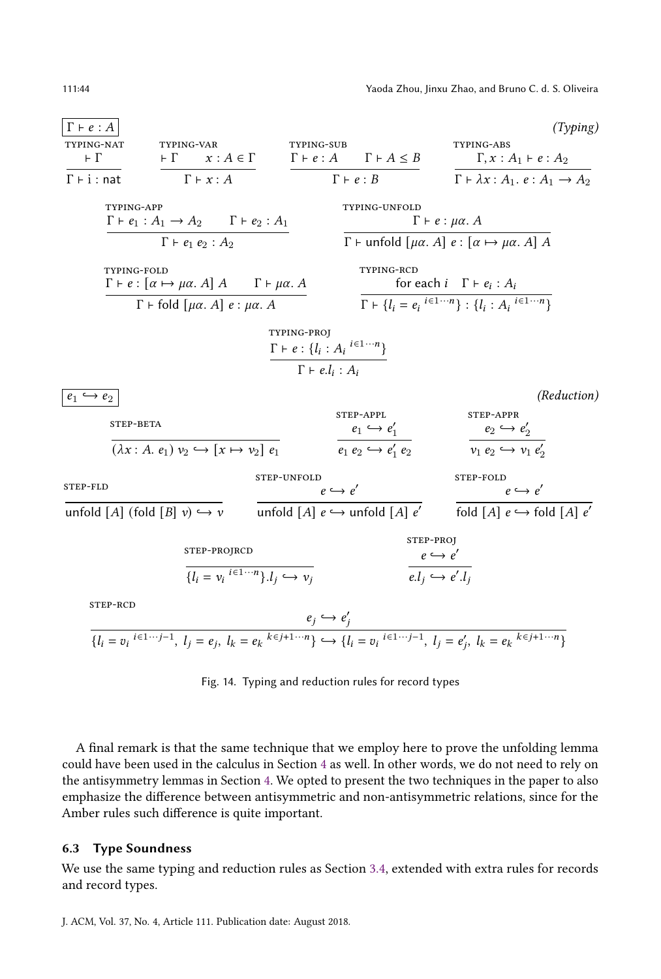<span id="page-43-0"></span>

<span id="page-43-5"></span><span id="page-43-4"></span><span id="page-43-3"></span>Fig. 14. Typing and reduction rules for record types

A final remark is that the same technique that we employ here to prove the unfolding lemma could have been used in the calculus in Section [4](#page-22-0) as well. In other words, we do not need to rely on the antisymmetry lemmas in Section [4.](#page-22-0) We opted to present the two techniques in the paper to also emphasize the difference between antisymmetric and non-antisymmetric relations, since for the Amber rules such difference is quite important.

#### 6.3 Type Soundness

We use the same typing and reduction rules as Section [3.4,](#page-20-3) extended with extra rules for records and record types.

<span id="page-43-2"></span><span id="page-43-1"></span>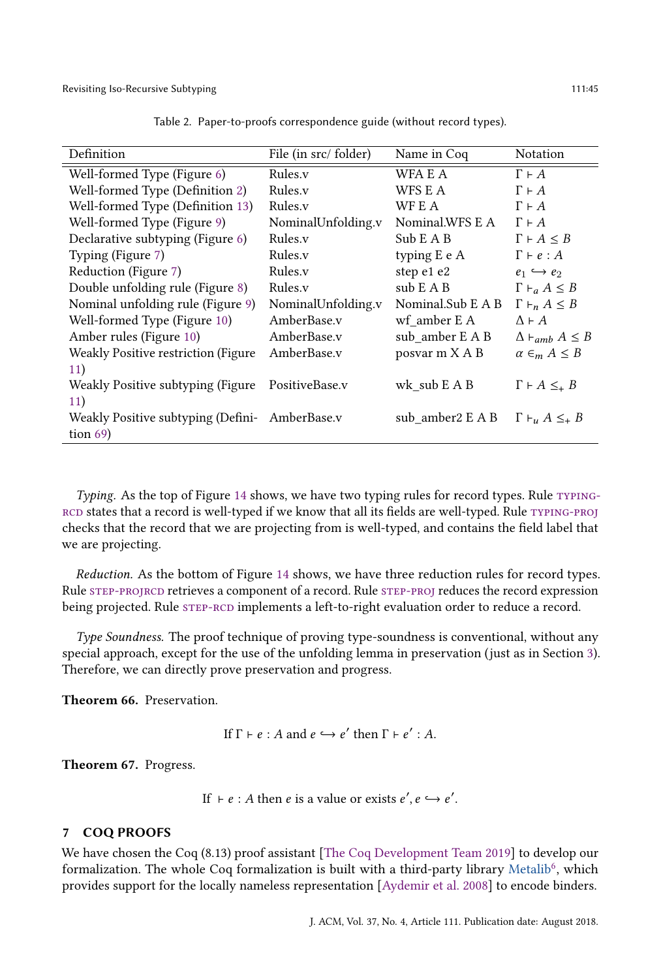<span id="page-44-0"></span>

| Definition                                     | File (in src/folder) | Name in Coq       | <b>Notation</b>                            |
|------------------------------------------------|----------------------|-------------------|--------------------------------------------|
| Well-formed Type (Figure 6)                    | Rules.v              | WFA E A           | $\Gamma \vdash A$                          |
| Well-formed Type (Definition 2)                | Rules.v              | WFS E A           | $\Gamma \vdash A$                          |
| Well-formed Type (Definition 13)               | Rules.v              | WF E A            | $\Gamma \vdash A$                          |
| Well-formed Type (Figure 9)                    | NominalUnfolding.v   | Nominal.WFS E A   | $\Gamma \vdash A$                          |
| Declarative subtyping (Figure 6)               | Rules.v              | Sub E A B         | $\Gamma \vdash A \leq B$                   |
| Typing (Figure 7)                              | Rules.v              | typing E e A      | $\Gamma \vdash e : A$                      |
| Reduction (Figure 7)                           | Rules.v              | step e1 e2        | $e_1 \hookrightarrow e_2$                  |
| Double unfolding rule (Figure 8)               | Rules.y              | sub E A B         | $\Gamma \vdash_a A \leq B$                 |
| Nominal unfolding rule (Figure 9)              | NominalUnfolding.v   | Nominal.Sub E A B | $\Gamma \vdash_n A \leq B$                 |
| Well-formed Type (Figure 10)                   | AmberBase.y          | wf amber E A      | $\Lambda \vdash A$                         |
| Amber rules (Figure 10)                        | AmberBase.v          | sub amber E A B   | $\Delta \vdash_{amb} A \leq B$             |
| Weakly Positive restriction (Figure)           | AmberBase.v          | posvar m X A B    | $\alpha \in_m A \leq B$                    |
| 11)                                            |                      |                   |                                            |
| Weakly Positive subtyping (Figure              | PositiveBase.v       | wk sub E A B      | $\Gamma \vdash A \leq_{+} B$               |
| 11)                                            |                      |                   |                                            |
| Weakly Positive subtyping (Defini- AmberBase.v |                      | sub amber2 E A B  | $\Gamma \vdash_{\mathcal{U}} A \leq_{+} B$ |
| tion $69$ )                                    |                      |                   |                                            |

Table 2. Paper-to-proofs correspondence guide (without record types).

Typing. As the top of Figure [14](#page-43-0) shows, we have two typing rules for record types. Rule TYPING[rcd](#page-43-1) states that a record is well-typed if we know that all its fields are well-typed. Rule [typing-proj](#page-43-2) checks that the record that we are projecting from is well-typed, and contains the field label that we are projecting.

Reduction. As the bottom of Figure [14](#page-43-0) shows, we have three reduction rules for record types. Rule [step-projrcd](#page-43-3) retrieves a component of a record. Rule [step-proj](#page-43-4) reduces the record expression being projected. Rule  $STEP-RCD$  implements a left-to-right evaluation order to reduce a record.

Type Soundness. The proof technique of proving type-soundness is conventional, without any special approach, except for the use of the unfolding lemma in preservation (just as in Section [3\)](#page-16-0). Therefore, we can directly prove preservation and progress.

<span id="page-44-1"></span>Theorem 66. Preservation.

If  $\Gamma \vdash e : A$  and  $e \hookrightarrow e'$  then  $\Gamma \vdash e' : A$ .

<span id="page-44-2"></span>Theorem 67. Progress.

If  $\vdash e : A$  then  $e$  is a value or exists  $e', e \hookrightarrow e'$ .

# 7 COQ PROOFS

We have chosen the Coq (8.13) proof assistant [\[The Coq Development Team](#page-54-7) [2019\]](#page-54-7) to develop our formalization. The whole Coq formalization is built with a third-party library [Metalib](https://github.com/plclub/metalib)<sup>[6](#page-45-0)</sup>, which provides support for the locally nameless representation [\[Aydemir et al.](#page-52-4) [2008\]](#page-52-4) to encode binders.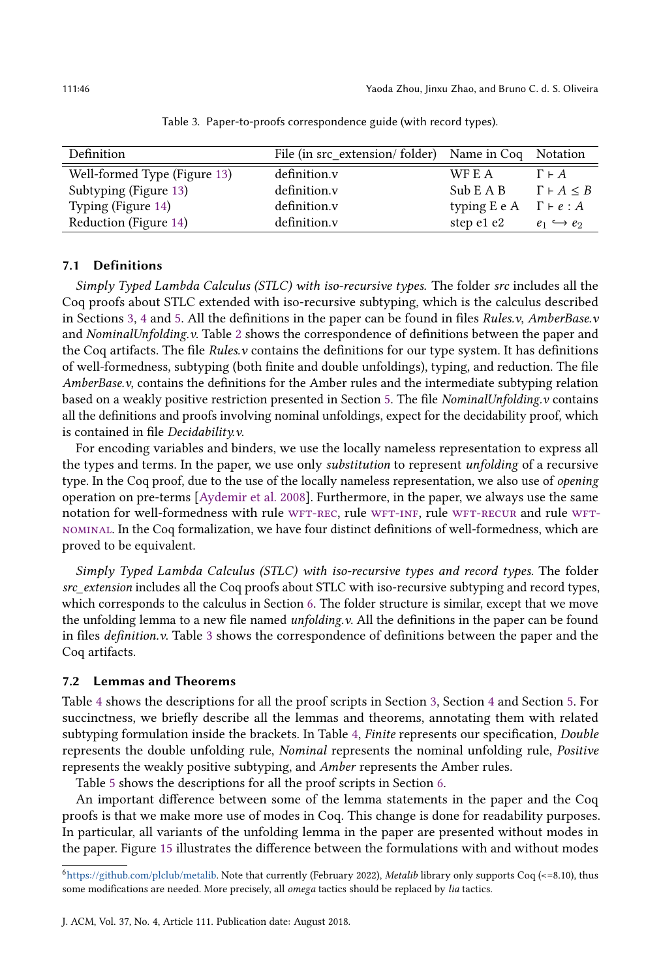<span id="page-45-1"></span>

| Definition                   | File (in src extension/folder) Name in Coq Notation |                               |                           |
|------------------------------|-----------------------------------------------------|-------------------------------|---------------------------|
| Well-formed Type (Figure 13) | definition.v                                        | WF E A                        | $\Gamma \vdash A$         |
| Subtyping (Figure 13)        | definition.v                                        | Sub E A B                     | $\Gamma \vdash A \leq B$  |
| Typing (Figure 14)           | definition.v                                        | typing E e A $\Gamma$ + e : A |                           |
| Reduction (Figure 14)        | definition.y                                        | step e1 e2                    | $e_1 \hookrightarrow e_2$ |

Table 3. Paper-to-proofs correspondence guide (with record types).

# 7.1 Definitions

Simply Typed Lambda Calculus (STLC) with iso-recursive types. The folder src includes all the Coq proofs about STLC extended with iso-recursive subtyping, which is the calculus described in Sections [3,](#page-16-0) [4](#page-22-0) and [5.](#page-31-0) All the definitions in the paper can be found in files Rules.v, AmberBase.v and NominalUnfolding.v. Table [2](#page-44-0) shows the correspondence of definitions between the paper and the Coq artifacts. The file  $Rules.v$  contains the definitions for our type system. It has definitions of well-formedness, subtyping (both finite and double unfoldings), typing, and reduction. The file AmberBase.v, contains the definitions for the Amber rules and the intermediate subtyping relation based on a weakly positive restriction presented in Section [5.](#page-31-0) The file NominalUnfolding.v contains all the definitions and proofs involving nominal unfoldings, expect for the decidability proof, which is contained in file Decidability.v.

For encoding variables and binders, we use the locally nameless representation to express all the types and terms. In the paper, we use only substitution to represent unfolding of a recursive type. In the Coq proof, due to the use of the locally nameless representation, we also use of opening operation on pre-terms [\[Aydemir et al.](#page-52-4) [2008\]](#page-52-4). Furthermore, in the paper, we always use the same notation for well-formedness with rule WFT-REC, rule WFT-INF, rule WFT-RECUR and rule WFT[nominal.](#page-28-4) In the Coq formalization, we have four distinct definitions of well-formedness, which are proved to be equivalent.

Simply Typed Lambda Calculus (STLC) with iso-recursive types and record types. The folder src\_extension includes all the Coq proofs about STLC with iso-recursive subtyping and record types, which corresponds to the calculus in Section [6.](#page-40-2) The folder structure is similar, except that we move the unfolding lemma to a new file named *unfolding.v.* All the definitions in the paper can be found in files definition.v. Table [3](#page-45-1) shows the correspondence of definitions between the paper and the Coq artifacts.

#### 7.2 Lemmas and Theorems

Table [4](#page-46-0) shows the descriptions for all the proof scripts in Section [3,](#page-16-0) Section [4](#page-22-0) and Section [5.](#page-31-0) For succinctness, we briefly describe all the lemmas and theorems, annotating them with related subtyping formulation inside the brackets. In Table [4,](#page-46-0) Finite represents our specification, Double represents the double unfolding rule, Nominal represents the nominal unfolding rule, Positive represents the weakly positive subtyping, and Amber represents the Amber rules.

Table [5](#page-47-1) shows the descriptions for all the proof scripts in Section [6.](#page-40-2)

An important difference between some of the lemma statements in the paper and the Coq proofs is that we make more use of modes in Coq. This change is done for readability purposes. In particular, all variants of the unfolding lemma in the paper are presented without modes in the paper. Figure [15](#page-47-2) illustrates the difference between the formulations with and without modes

<span id="page-45-0"></span><sup>6</sup>[https://github.com/plclub/metalib.](https://github.com/plclub/metalib) Note that currently (February 2022), Metalib library only supports Coq (<=8.10), thus some modifications are needed. More precisely, all omega tactics should be replaced by lia tactics.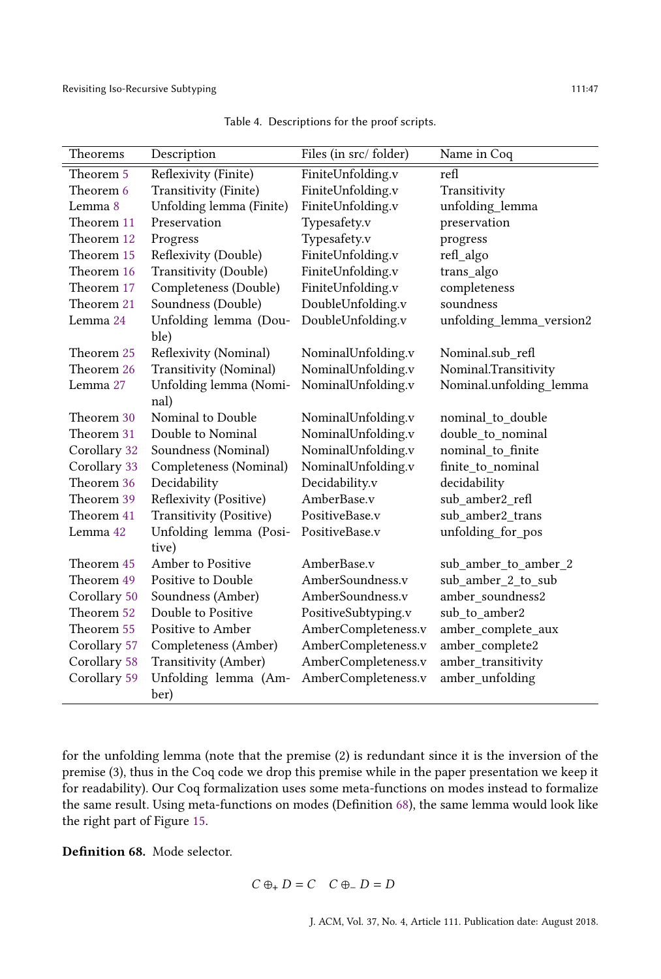<span id="page-46-0"></span>

| Theorems     | Description              | Files (in src/folder) | Name in Coq              |
|--------------|--------------------------|-----------------------|--------------------------|
| Theorem 5    | Reflexivity (Finite)     | FiniteUnfolding.v     | refl                     |
| Theorem 6    | Transitivity (Finite)    | FiniteUnfolding.v     | Transitivity             |
| Lemma 8      | Unfolding lemma (Finite) | FiniteUnfolding.v     | unfolding_lemma          |
| Theorem 11   | Preservation             | Typesafety.v          | preservation             |
| Theorem 12   | Progress                 | Typesafety.v          | progress                 |
| Theorem 15   | Reflexivity (Double)     | FiniteUnfolding.v     | refl_algo                |
| Theorem 16   | Transitivity (Double)    | FiniteUnfolding.v     | trans_algo               |
| Theorem 17   | Completeness (Double)    | FiniteUnfolding.v     | completeness             |
| Theorem 21   | Soundness (Double)       | DoubleUnfolding.v     | soundness                |
| Lemma 24     | Unfolding lemma (Dou-    | DoubleUnfolding.v     | unfolding_lemma_version2 |
|              | ble)                     |                       |                          |
| Theorem 25   | Reflexivity (Nominal)    | NominalUnfolding.v    | Nominal.sub refl         |
| Theorem 26   | Transitivity (Nominal)   | NominalUnfolding.v    | Nominal.Transitivity     |
| Lemma 27     | Unfolding lemma (Nomi-   | NominalUnfolding.v    | Nominal.unfolding_lemma  |
|              | nal)                     |                       |                          |
| Theorem 30   | Nominal to Double        | NominalUnfolding.v    | nominal to double        |
| Theorem 31   | Double to Nominal        | NominalUnfolding.v    | double to nominal        |
| Corollary 32 | Soundness (Nominal)      | NominalUnfolding.v    | nominal to finite        |
| Corollary 33 | Completeness (Nominal)   | NominalUnfolding.v    | finite_to_nominal        |
| Theorem 36   | Decidability             | Decidability.v        | decidability             |
| Theorem 39   | Reflexivity (Positive)   | AmberBase.v           | sub amber2 refl          |
| Theorem 41   | Transitivity (Positive)  | PositiveBase.v        | sub amber2 trans         |
| Lemma 42     | Unfolding lemma (Posi-   | PositiveBase.v        | unfolding_for_pos        |
|              | tive)                    |                       |                          |
| Theorem 45   | Amber to Positive        | AmberBase.v           | sub_amber_to_amber_2     |
| Theorem 49   | Positive to Double       | AmberSoundness.v      | sub_amber_2_to_sub       |
| Corollary 50 | Soundness (Amber)        | AmberSoundness.v      | amber_soundness2         |
| Theorem 52   | Double to Positive       | PositiveSubtyping.v   | sub_to_amber2            |
| Theorem 55   | Positive to Amber        | AmberCompleteness.v   | amber_complete_aux       |
| Corollary 57 | Completeness (Amber)     | AmberCompleteness.v   | amber_complete2          |
| Corollary 58 | Transitivity (Amber)     | AmberCompleteness.v   | amber_transitivity       |
| Corollary 59 | Unfolding lemma (Am-     | AmberCompleteness.v   | amber_unfolding          |
|              | ber)                     |                       |                          |

Table 4. Descriptions for the proof scripts.

for the unfolding lemma (note that the premise (2) is redundant since it is the inversion of the premise (3), thus in the Coq code we drop this premise while in the paper presentation we keep it for readability). Our Coq formalization uses some meta-functions on modes instead to formalize the same result. Using meta-functions on modes (Definition [68\)](#page-46-1), the same lemma would look like the right part of Figure [15.](#page-47-2)

<span id="page-46-1"></span>Definition 68. Mode selector.

$$
C \oplus_{+} D = C \quad C \oplus_{-} D = D
$$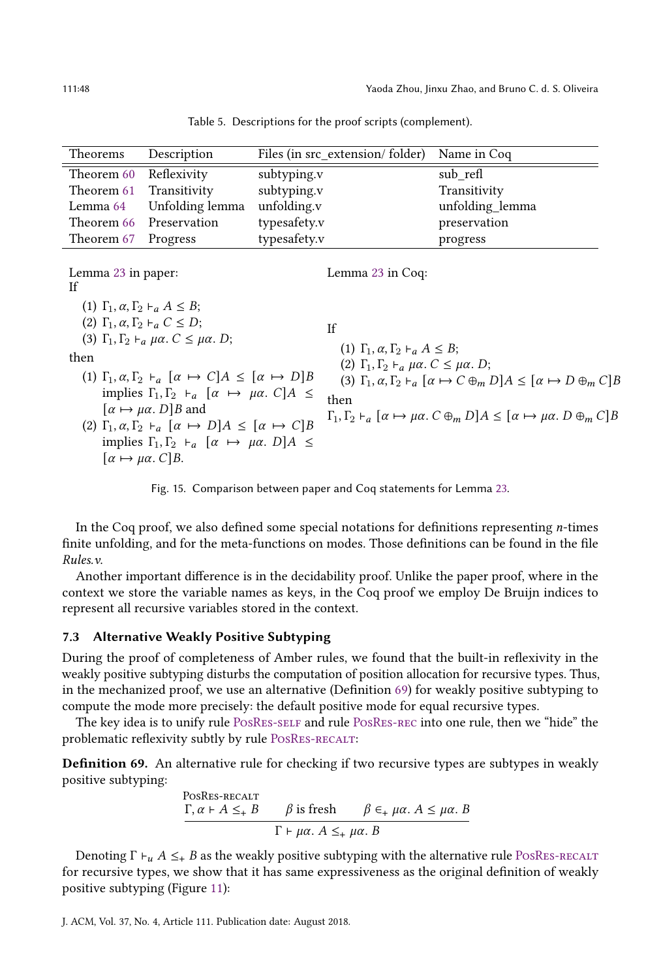<span id="page-47-1"></span>

| Theorems   | Description             | Files (in src_extension/folder) | Name in Coq     |
|------------|-------------------------|---------------------------------|-----------------|
| Theorem 60 | Reflexivity             | subtyping.v                     | sub refl        |
| Theorem 61 | Transitivity            | subtyping.v                     | Transitivity    |
| Lemma 64   | Unfolding lemma         | unfolding.v                     | unfolding_lemma |
|            | Theorem 66 Preservation | typesafety.v                    | preservation    |
| Theorem 67 | Progress                | typesafety.v                    | progress        |
|            |                         |                                 |                 |

Table 5. Descriptions for the proof scripts (complement).

<span id="page-47-2"></span>

| Lemma 23 in paper:<br>If                                                                                                                                                                                                                                                                                                                                                                                                                                                                                                                                                                                                                                                             | Lemma 23 in Coq:                                                                                                                                                                                                                                                                                                                                                                                                                            |
|--------------------------------------------------------------------------------------------------------------------------------------------------------------------------------------------------------------------------------------------------------------------------------------------------------------------------------------------------------------------------------------------------------------------------------------------------------------------------------------------------------------------------------------------------------------------------------------------------------------------------------------------------------------------------------------|---------------------------------------------------------------------------------------------------------------------------------------------------------------------------------------------------------------------------------------------------------------------------------------------------------------------------------------------------------------------------------------------------------------------------------------------|
| (1) $\Gamma_1, \alpha, \Gamma_2 \vdash_{\alpha} A \leq B$ ;<br>(2) $\Gamma_1, \alpha, \Gamma_2 \vdash_{a} C \leq D$ ;<br>(3) $\Gamma_1, \Gamma_2 \vdash_a \mu \alpha$ . $C \leq \mu \alpha$ . D;<br>then<br>(1) $\Gamma_1, \alpha, \Gamma_2 \vdash_{\alpha} [\alpha \mapsto C] A \leq [\alpha \mapsto D] B$<br>implies $\Gamma_1, \Gamma_2 \vdash_{\alpha} [\alpha \mapsto \mu \alpha, C]A \leq$<br>$\lbrack \alpha \mapsto \mu \alpha. D \rbrack B$ and<br>(2) $\Gamma_1, \alpha, \Gamma_2 \vdash_{\alpha} [\alpha \mapsto D]A \leq [\alpha \mapsto C]B$<br>implies $\Gamma_1, \Gamma_2 \vdash_{\alpha} [\alpha \mapsto \mu \alpha, D]A \leq$<br>$\alpha \mapsto \mu \alpha$ . C B. | Ιf<br>(1) $\Gamma_1$ , $\alpha$ , $\Gamma_2$ $\vdash$ <sub>a</sub> $A \leq B$ ;<br>(2) $\Gamma_1, \Gamma_2 \vdash_a \mu \alpha$ . $C \leq \mu \alpha$ . D;<br>(3) $\Gamma_1, \alpha, \Gamma_2 \vdash_{\alpha} [\alpha \mapsto C \oplus_m D] A \leq [\alpha \mapsto D \oplus_m C] B$<br>then<br>$\Gamma_1, \Gamma_2 \vdash_{a} [\alpha \mapsto \mu \alpha \ldotp C \oplus_{m} D] A \leq [\alpha \mapsto \mu \alpha \ldotp D \oplus_{m} C] B$ |

Fig. 15. Comparison between paper and Coq statements for Lemma [23.](#page-25-4)

In the Coq proof, we also defined some special notations for definitions representing  $n$ -times finite unfolding, and for the meta-functions on modes. Those definitions can be found in the file Rules.v.

Another important difference is in the decidability proof. Unlike the paper proof, where in the context we store the variable names as keys, in the Coq proof we employ De Bruijn indices to represent all recursive variables stored in the context.

## 7.3 Alternative Weakly Positive Subtyping

During the proof of completeness of Amber rules, we found that the built-in reflexivity in the weakly positive subtyping disturbs the computation of position allocation for recursive types. Thus, in the mechanized proof, we use an alternative (Definition [69\)](#page-47-0) for weakly positive subtyping to compute the mode more precisely: the default positive mode for equal recursive types.

The key idea is to unify rule [PosRes-self](#page-34-8) and rule [PosRes-rec](#page-34-1) into one rule, then we "hide" the problematic reflexivity subtly by rule POSRES-RECALT:

<span id="page-47-0"></span>Definition 69. An alternative rule for checking if two recursive types are subtypes in weakly positive subtyping:

> <span id="page-47-3"></span>PosRes-recalt  $\Gamma, \alpha \vdash A \leq_{+} B$   $\beta$  is fresh  $\beta \in_{+} \mu\alpha$ .  $A \leq \mu\alpha$ . B  $\Gamma \vdash \mu \alpha$ .  $A \leq_{+} \mu \alpha$ . B

Denoting  $\Gamma \vdash_u A \leq_{\pm} B$  as the weakly positive subtyping with the alternative rule POSRES-RECALT for recursive types, we show that it has same expressiveness as the original definition of weakly positive subtyping (Figure [11\)](#page-34-0):

J. ACM, Vol. 37, No. 4, Article 111. Publication date: August 2018.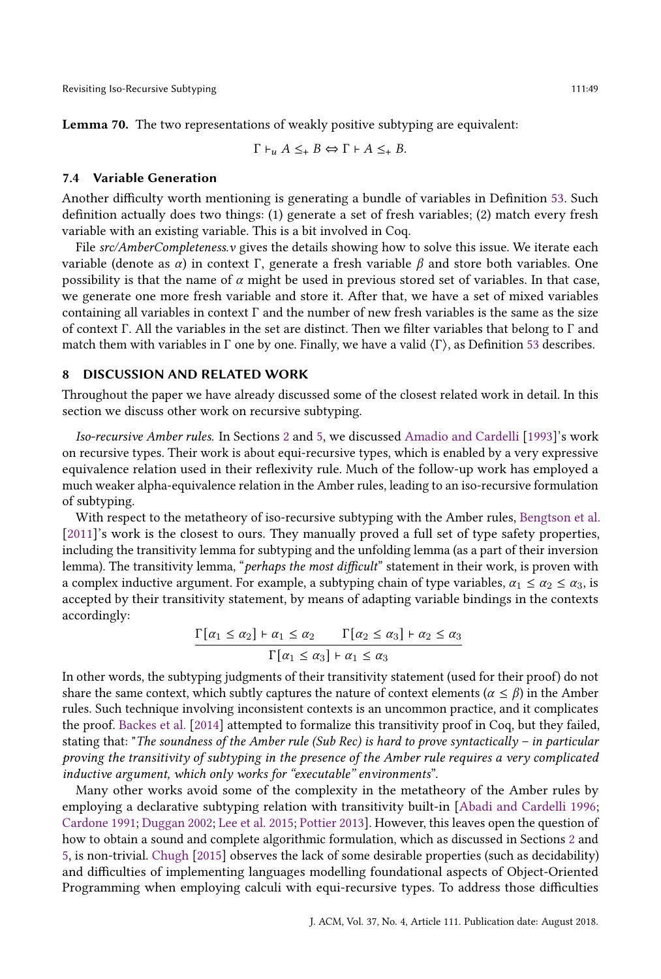$$
\Gamma \vdash_u A \leq_+ B \Leftrightarrow \Gamma \vdash A \leq_+ B.
$$

#### 7.4 Variable Generation

Another difficulty worth mentioning is generating a bundle of variables in Definition [53.](#page-39-3) Such definition actually does two things: (1) generate a set of fresh variables; (2) match every fresh variable with an existing variable. This is a bit involved in Coq.

File  $src/AmberComplexs$ .  $v$  gives the details showing how to solve this issue. We iterate each variable (denote as  $\alpha$ ) in context Γ, generate a fresh variable  $\beta$  and store both variables. One possibility is that the name of  $\alpha$  might be used in previous stored set of variables. In that case, we generate one more fresh variable and store it. After that, we have a set of mixed variables containing all variables in context  $\Gamma$  and the number of new fresh variables is the same as the size of context Γ. All the variables in the set are distinct. Then we filter variables that belong to Γ and match them with variables in  $\Gamma$  one by one. Finally, we have a valid  $\langle \Gamma \rangle$ , as Definition [53](#page-39-3) describes.

# <span id="page-48-0"></span>8 DISCUSSION AND RELATED WORK

Throughout the paper we have already discussed some of the closest related work in detail. In this section we discuss other work on recursive subtyping.

Iso-recursive Amber rules. In Sections [2](#page-4-1) and [5,](#page-31-0) we discussed [Amadio and Cardelli](#page-52-0) [\[1993\]](#page-52-0)'s work on recursive types. Their work is about equi-recursive types, which is enabled by a very expressive equivalence relation used in their reflexivity rule. Much of the follow-up work has employed a much weaker alpha-equivalence relation in the Amber rules, leading to an iso-recursive formulation of subtyping.

With respect to the metatheory of iso-recursive subtyping with the Amber rules, [Bengtson et al.](#page-53-6) [\[2011\]](#page-53-6)'s work is the closest to ours. They manually proved a full set of type safety properties, including the transitivity lemma for subtyping and the unfolding lemma (as a part of their inversion lemma). The transitivity lemma, "perhaps the most difficult" statement in their work, is proven with a complex inductive argument. For example, a subtyping chain of type variables,  $\alpha_1 \leq \alpha_2 \leq \alpha_3$ , is accepted by their transitivity statement, by means of adapting variable bindings in the contexts accordingly:

$$
\frac{\Gamma[\alpha_1 \leq \alpha_2] + \alpha_1 \leq \alpha_2 \qquad \Gamma[\alpha_2 \leq \alpha_3] + \alpha_2 \leq \alpha_3}{\Gamma[\alpha_1 \leq \alpha_3] + \alpha_1 \leq \alpha_3}
$$

In other words, the subtyping judgments of their transitivity statement (used for their proof) do not share the same context, which subtly captures the nature of context elements ( $\alpha \le \beta$ ) in the Amber rules. Such technique involving inconsistent contexts is an uncommon practice, and it complicates the proof. [Backes et al.](#page-53-13) [\[2014\]](#page-53-13) attempted to formalize this transitivity proof in Coq, but they failed, stating that: "The soundness of the Amber rule (Sub Rec) is hard to prove syntactically – in particular proving the transitivity of subtyping in the presence of the Amber rule requires a very complicated inductive argument, which only works for "executable" environments".

Many other works avoid some of the complexity in the metatheory of the Amber rules by employing a declarative subtyping relation with transitivity built-in [\[Abadi and Cardelli](#page-52-1) [1996;](#page-52-1) [Cardone](#page-53-17) [1991;](#page-53-17) [Duggan](#page-53-8) [2002;](#page-53-8) [Lee et al.](#page-53-9) [2015;](#page-53-9) [Pottier](#page-53-18) [2013\]](#page-53-18). However, this leaves open the question of how to obtain a sound and complete algorithmic formulation, which as discussed in Sections [2](#page-4-1) and [5,](#page-31-0) is non-trivial. [Chugh](#page-53-7) [\[2015\]](#page-53-7) observes the lack of some desirable properties (such as decidability) and difficulties of implementing languages modelling foundational aspects of Object-Oriented Programming when employing calculi with equi-recursive types. To address those difficulties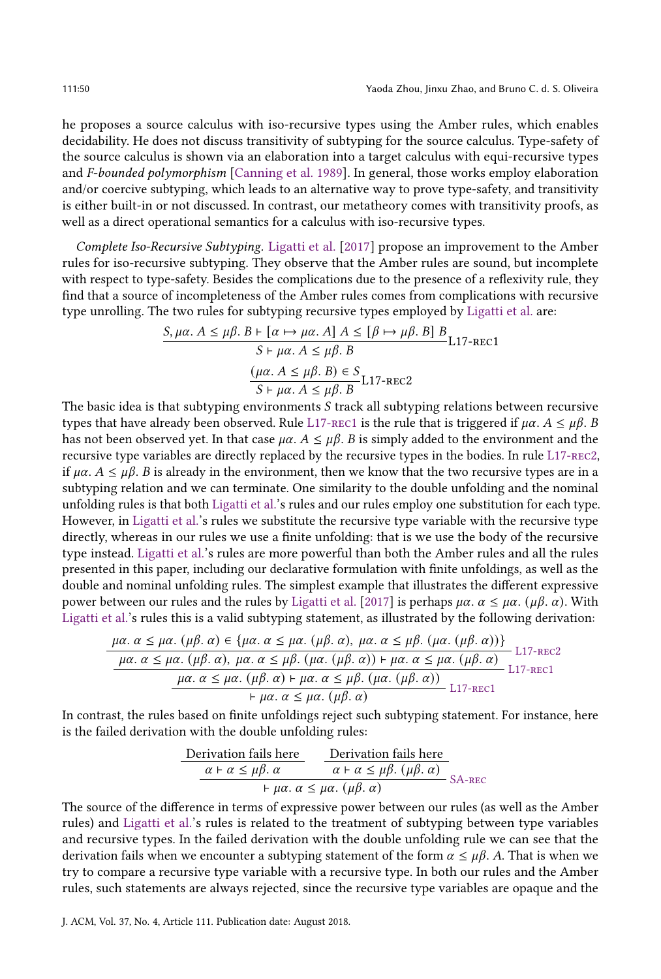he proposes a source calculus with iso-recursive types using the Amber rules, which enables decidability. He does not discuss transitivity of subtyping for the source calculus. Type-safety of the source calculus is shown via an elaboration into a target calculus with equi-recursive types and F-bounded polymorphism [\[Canning et al.](#page-53-20) [1989\]](#page-53-20). In general, those works employ elaboration and/or coercive subtyping, which leads to an alternative way to prove type-safety, and transitivity is either built-in or not discussed. In contrast, our metatheory comes with transitivity proofs, as well as a direct operational semantics for a calculus with iso-recursive types.

Complete Iso-Recursive Subtyping. [Ligatti et al.](#page-53-11) [\[2017\]](#page-53-11) propose an improvement to the Amber rules for iso-recursive subtyping. They observe that the Amber rules are sound, but incomplete with respect to type-safety. Besides the complications due to the presence of a reflexivity rule, they find that a source of incompleteness of the Amber rules comes from complications with recursive type unrolling. The two rules for subtyping recursive types employed by [Ligatti et al.](#page-53-11) are:

$$
S, \mu\alpha. A \le \mu\beta. B \vdash [\alpha \mapsto \mu\alpha. A] A \le [\beta \mapsto \mu\beta. B] B
$$
  

$$
S \vdash \mu\alpha. A \le \mu\beta. B
$$
  

$$
(\mu\alpha. A \le \mu\beta. B) \in S
$$
  

$$
S \vdash \mu\alpha. A \le \mu\beta. B
$$
L17-rec2

The basic idea is that subtyping environments  $S$  track all subtyping relations between recursive types that have already been observed. Rule L17-REC1 is the rule that is triggered if  $\mu\alpha$ .  $A \leq \mu\beta$ . B has not been observed yet. In that case  $\mu\alpha$ .  $A \leq \mu\beta$ . B is simply added to the environment and the recursive type variables are directly replaced by the recursive types in the bodies. In rule L17-REC2, if  $\mu\alpha$ .  $A \leq \mu\beta$ . B is already in the environment, then we know that the two recursive types are in a subtyping relation and we can terminate. One similarity to the double unfolding and the nominal unfolding rules is that both [Ligatti et al.'](#page-53-11)s rules and our rules employ one substitution for each type. However, in [Ligatti et al.'](#page-53-11)s rules we substitute the recursive type variable with the recursive type directly, whereas in our rules we use a finite unfolding: that is we use the body of the recursive type instead. [Ligatti et al.'](#page-53-11)s rules are more powerful than both the Amber rules and all the rules presented in this paper, including our declarative formulation with finite unfoldings, as well as the double and nominal unfolding rules. The simplest example that illustrates the different expressive power between our rules and the rules by [Ligatti et al.](#page-53-11) [\[2017\]](#page-53-11) is perhaps  $\mu\alpha$ .  $\alpha \leq \mu\alpha$ . ( $\mu\beta$ .  $\alpha$ ). With [Ligatti et al.'](#page-53-11)s rules this is a valid subtyping statement, as illustrated by the following derivation:

$$
\mu\alpha.\ \alpha \leq \mu\alpha.\ (\mu\beta.\ \alpha) \in \{\mu\alpha.\ \alpha \leq \mu\alpha.\ (\mu\beta.\ \alpha),\ \mu\alpha.\ \alpha \leq \mu\beta.\ (\mu\alpha.\ (\mu\beta.\ \alpha))\}\n\frac{\mu\alpha.\ \alpha \leq \mu\alpha.\ (\mu\beta.\ \alpha),\ \mu\alpha.\ \alpha \leq \mu\beta.\ (\mu\alpha.\ (\mu\beta.\ \alpha)) + \mu\alpha.\ \alpha \leq \mu\alpha.\ (\mu\beta.\ \alpha)\}\n\frac{\mu\alpha.\ \alpha \leq \mu\alpha.\ (\mu\beta.\ \alpha),\ \mu\alpha.\ \alpha \leq \mu\beta.\ (\mu\alpha.\ (\mu\beta.\ \alpha)) + \mu\alpha.\ \alpha \leq \mu\beta.\ (\mu\alpha.\ (\mu\beta.\ \alpha))}{+\mu\alpha.\ \alpha \leq \mu\alpha.\ (\mu\beta.\ \alpha)}\n\frac{\mu\alpha.\ \alpha \leq \mu\alpha.\ (\mu\beta.\ \alpha)}{\alpha.\ \alpha \leq \mu\alpha.\ (\mu\beta.\ \alpha)}\n\frac{\mu\alpha.\ \alpha \leq \mu\alpha.\ (\mu\beta.\ \alpha)}{\alpha.\ \alpha \leq \mu\alpha.\ (\mu\beta.\ \alpha)}\n\frac{\mu\alpha.\ \alpha \leq \mu\alpha.\ (\mu\beta.\ \alpha)}{\alpha.\ \alpha \leq \mu\alpha.\ (\mu\beta.\ \alpha)}\n\frac{\mu\alpha.\ \alpha \leq \mu\alpha.\ (\mu\beta.\ \alpha)}{\alpha.\ \alpha \leq \mu\alpha.\ (\mu\beta.\ \alpha)}\n\frac{\mu\alpha.\ \alpha \leq \mu\alpha.\ (\mu\beta.\ \alpha)}{\alpha.\ \alpha \leq \mu\alpha.\ (\mu\beta.\ \alpha)}\n\frac{\alpha.\ \alpha \leq \mu\alpha.\ (\mu\beta.\ \alpha)}{\alpha.\ \alpha \leq \mu\alpha.\ (\mu\beta.\ \alpha)}\n\frac{\alpha.\ \alpha \leq \mu\alpha.\ (\mu\beta.\ \alpha)}{\alpha.\ \alpha \leq \mu\alpha.\ (\mu\beta.\ \alpha)}\n\frac{\alpha.\ \alpha \leq \mu\alpha.\ (\mu\beta.\ \alpha)}{\alpha.\ \alpha \leq \mu\alpha.\ (\mu\beta.\ \alpha)}\n\frac{\alpha.\ \alpha \leq \mu\alpha.\ (\mu\beta.\ \alpha)}{\alpha.\ \alpha \leq \mu\alpha.\ (\mu\beta.\ \alpha)}\n\frac{\alpha.\ \alpha \leq \mu\alpha.\ (\mu\beta.\ \alpha)}{\alpha.\ \alpha \leq \mu\alpha.\ (\mu\beta.\ \alpha)}\n\frac{\alpha.\ \alpha \leq \mu\alpha.\ (\mu\beta.\
$$

In contrast, the rules based on finite unfoldings reject such subtyping statement. For instance, here is the failed derivation with the double unfolding rules:

Derivation fails here

\n
$$
\begin{array}{c|c}\n\text{Derivation fails here} & \text{Derivation fails here} \\
\hline\n\alpha + \alpha \leq \mu\beta. \alpha & \alpha + \alpha \leq \mu\beta. \ (\mu\beta. \ \alpha) \\
\hline\n& \qquad + \mu\alpha. \ \alpha \leq \mu\alpha. \ (\mu\beta. \ \alpha)\n\end{array}
$$
\n
$$
\text{SA-REC}
$$

The source of the difference in terms of expressive power between our rules (as well as the Amber rules) and [Ligatti et al.'](#page-53-11)s rules is related to the treatment of subtyping between type variables and recursive types. In the failed derivation with the double unfolding rule we can see that the derivation fails when we encounter a subtyping statement of the form  $\alpha \leq \mu\beta$ . A. That is when we try to compare a recursive type variable with a recursive type. In both our rules and the Amber rules, such statements are always rejected, since the recursive type variables are opaque and the

J. ACM, Vol. 37, No. 4, Article 111. Publication date: August 2018.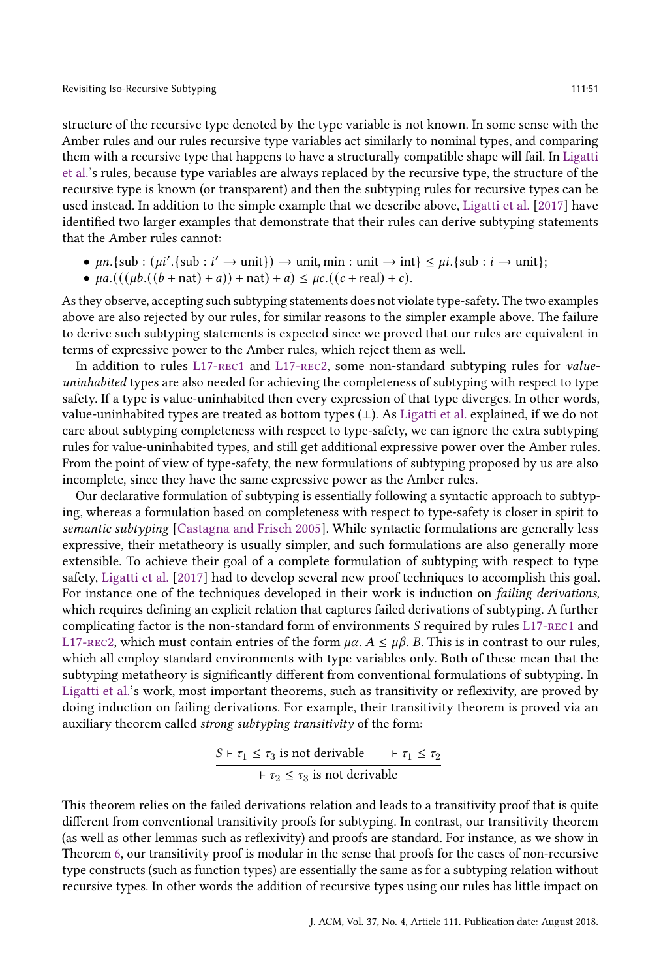structure of the recursive type denoted by the type variable is not known. In some sense with the Amber rules and our rules recursive type variables act similarly to nominal types, and comparing them with a recursive type that happens to have a structurally compatible shape will fail. In [Ligatti](#page-53-11) [et al.'](#page-53-11)s rules, because type variables are always replaced by the recursive type, the structure of the recursive type is known (or transparent) and then the subtyping rules for recursive types can be used instead. In addition to the simple example that we describe above, [Ligatti et al.](#page-53-11) [\[2017\]](#page-53-11) have identified two larger examples that demonstrate that their rules can derive subtyping statements that the Amber rules cannot:

- $\mu n$ . {sub :  $(\mu i'.$  {sub :  $i' \rightarrow \text{unit}$ })  $\rightarrow$  unit, min : unit  $\rightarrow$  int}  $\leq \mu i$ . {sub :  $i \rightarrow \text{unit}$ };
- $\mu a.(((\mu b.((b + \text{nat}) + a)) + \text{nat}) + a) \leq \mu c.((c + \text{real}) + c).$

As they observe, accepting such subtyping statements does not violate type-safety. The two examples above are also rejected by our rules, for similar reasons to the simpler example above. The failure to derive such subtyping statements is expected since we proved that our rules are equivalent in terms of expressive power to the Amber rules, which reject them as well.

In addition to rules L17-REC1 and L17-REC2, some non-standard subtyping rules for valueuninhabited types are also needed for achieving the completeness of subtyping with respect to type safety. If a type is value-uninhabited then every expression of that type diverges. In other words, value-uninhabited types are treated as bottom types (⊥). As [Ligatti et al.](#page-53-11) explained, if we do not care about subtyping completeness with respect to type-safety, we can ignore the extra subtyping rules for value-uninhabited types, and still get additional expressive power over the Amber rules. From the point of view of type-safety, the new formulations of subtyping proposed by us are also incomplete, since they have the same expressive power as the Amber rules.

Our declarative formulation of subtyping is essentially following a syntactic approach to subtyping, whereas a formulation based on completeness with respect to type-safety is closer in spirit to semantic subtyping [\[Castagna and Frisch](#page-53-21) [2005\]](#page-53-21). While syntactic formulations are generally less expressive, their metatheory is usually simpler, and such formulations are also generally more extensible. To achieve their goal of a complete formulation of subtyping with respect to type safety, [Ligatti et al.](#page-53-11) [\[2017\]](#page-53-11) had to develop several new proof techniques to accomplish this goal. For instance one of the techniques developed in their work is induction on failing derivations, which requires defining an explicit relation that captures failed derivations of subtyping. A further complicating factor is the non-standard form of environments  $S$  required by rules L17-REC1 and L17-REC2, which must contain entries of the form  $\mu\alpha$ .  $A \leq \mu\beta$ . B. This is in contrast to our rules, which all employ standard environments with type variables only. Both of these mean that the subtyping metatheory is significantly different from conventional formulations of subtyping. In [Ligatti et al.'](#page-53-11)s work, most important theorems, such as transitivity or reflexivity, are proved by doing induction on failing derivations. For example, their transitivity theorem is proved via an auxiliary theorem called strong subtyping transitivity of the form:

$$
\frac{S \vdash \tau_1 \leq \tau_3 \text{ is not derivable } \vdash \tau_1 \leq \tau_2}{\vdash \tau_2 \leq \tau_3 \text{ is not derivable}}
$$

This theorem relies on the failed derivations relation and leads to a transitivity proof that is quite different from conventional transitivity proofs for subtyping. In contrast, our transitivity theorem (as well as other lemmas such as reflexivity) and proofs are standard. For instance, as we show in Theorem [6,](#page-18-1) our transitivity proof is modular in the sense that proofs for the cases of non-recursive type constructs (such as function types) are essentially the same as for a subtyping relation without recursive types. In other words the addition of recursive types using our rules has little impact on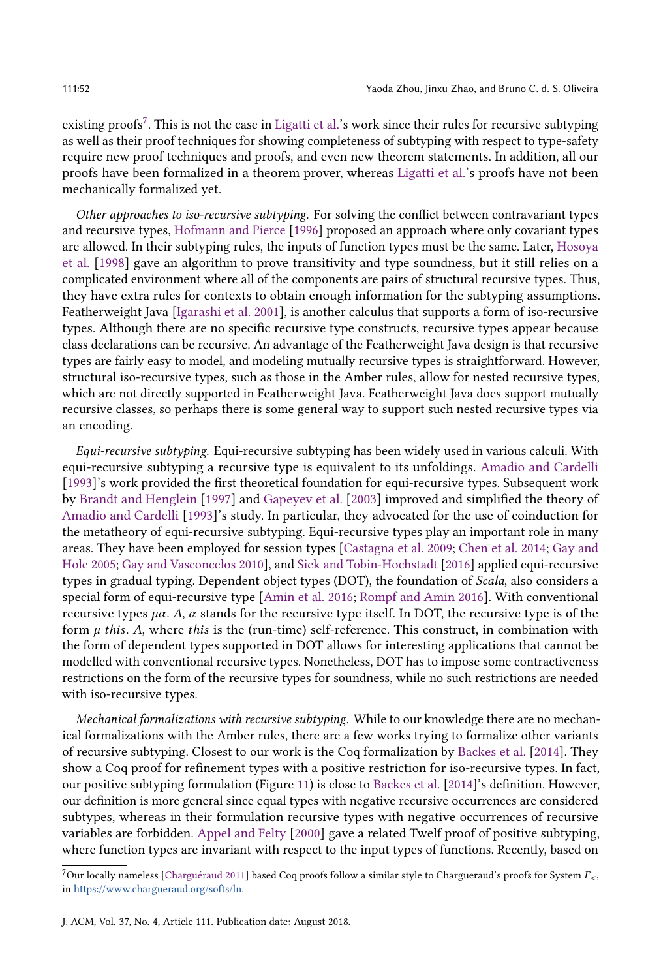existing proofs<sup>[7](#page-51-0)</sup>. This is not the case in [Ligatti et al.'](#page-53-11)s work since their rules for recursive subtyping as well as their proof techniques for showing completeness of subtyping with respect to type-safety require new proof techniques and proofs, and even new theorem statements. In addition, all our proofs have been formalized in a theorem prover, whereas [Ligatti et al.'](#page-53-11)s proofs have not been mechanically formalized yet.

Other approaches to iso-recursive subtyping. For solving the conflict between contravariant types and recursive types, [Hofmann and Pierce](#page-53-10) [\[1996\]](#page-53-10) proposed an approach where only covariant types are allowed. In their subtyping rules, the inputs of function types must be the same. Later, [Hosoya](#page-53-22) [et al.](#page-53-22) [\[1998\]](#page-53-22) gave an algorithm to prove transitivity and type soundness, but it still relies on a complicated environment where all of the components are pairs of structural recursive types. Thus, they have extra rules for contexts to obtain enough information for the subtyping assumptions. Featherweight Java [\[Igarashi et al.](#page-53-23) [2001\]](#page-53-23), is another calculus that supports a form of iso-recursive types. Although there are no specific recursive type constructs, recursive types appear because class declarations can be recursive. An advantage of the Featherweight Java design is that recursive types are fairly easy to model, and modeling mutually recursive types is straightforward. However, structural iso-recursive types, such as those in the Amber rules, allow for nested recursive types, which are not directly supported in Featherweight Java. Featherweight Java does support mutually recursive classes, so perhaps there is some general way to support such nested recursive types via an encoding.

Equi-recursive subtyping. Equi-recursive subtyping has been widely used in various calculi. With equi-recursive subtyping a recursive type is equivalent to its unfoldings. [Amadio and Cardelli](#page-52-0) [\[1993\]](#page-52-0)'s work provided the first theoretical foundation for equi-recursive types. Subsequent work by [Brandt and Henglein](#page-53-4) [\[1997\]](#page-53-4) and [Gapeyev et al.](#page-53-5) [\[2003\]](#page-53-5) improved and simplified the theory of [Amadio and Cardelli](#page-52-0) [\[1993\]](#page-52-0)'s study. In particular, they advocated for the use of coinduction for the metatheory of equi-recursive subtyping. Equi-recursive types play an important role in many areas. They have been employed for session types [\[Castagna et al.](#page-53-24) [2009;](#page-53-24) [Chen et al.](#page-53-25) [2014;](#page-53-25) [Gay and](#page-53-26) [Hole](#page-53-26) [2005;](#page-53-26) [Gay and Vasconcelos](#page-53-27) [2010\]](#page-53-27), and [Siek and Tobin-Hochstadt](#page-54-8) [\[2016\]](#page-54-8) applied equi-recursive types in gradual typing. Dependent object types (DOT), the foundation of Scala, also considers a special form of equi-recursive type [\[Amin et al.](#page-52-5) [2016;](#page-52-5) [Rompf and Amin](#page-53-28) [2016\]](#page-53-28). With conventional recursive types  $\mu\alpha$ . A,  $\alpha$  stands for the recursive type itself. In DOT, the recursive type is of the form  $\mu$  this. A, where this is the (run-time) self-reference. This construct, in combination with the form of dependent types supported in DOT allows for interesting applications that cannot be modelled with conventional recursive types. Nonetheless, DOT has to impose some contractiveness restrictions on the form of the recursive types for soundness, while no such restrictions are needed with iso-recursive types.

Mechanical formalizations with recursive subtyping. While to our knowledge there are no mechanical formalizations with the Amber rules, there are a few works trying to formalize other variants of recursive subtyping. Closest to our work is the Coq formalization by [Backes et al.](#page-53-13) [\[2014\]](#page-53-13). They show a Coq proof for refinement types with a positive restriction for iso-recursive types. In fact, our positive subtyping formulation (Figure [11\)](#page-34-0) is close to [Backes et al.](#page-53-13) [\[2014\]](#page-53-13)'s definition. However, our definition is more general since equal types with negative recursive occurrences are considered subtypes, whereas in their formulation recursive types with negative occurrences of recursive variables are forbidden. [Appel and Felty](#page-52-3) [\[2000\]](#page-52-3) gave a related Twelf proof of positive subtyping, where function types are invariant with respect to the input types of functions. Recently, based on

<span id="page-51-0"></span><sup>&</sup>lt;sup>7</sup>Our locally nameless [\[Charguéraud](#page-53-19) [2011\]](#page-53-19) based Coq proofs follow a similar style to Chargueraud's proofs for System  $F_{\leq}$ : in [https://www.chargueraud.org/softs/ln.](https://www.chargueraud.org/softs/ln)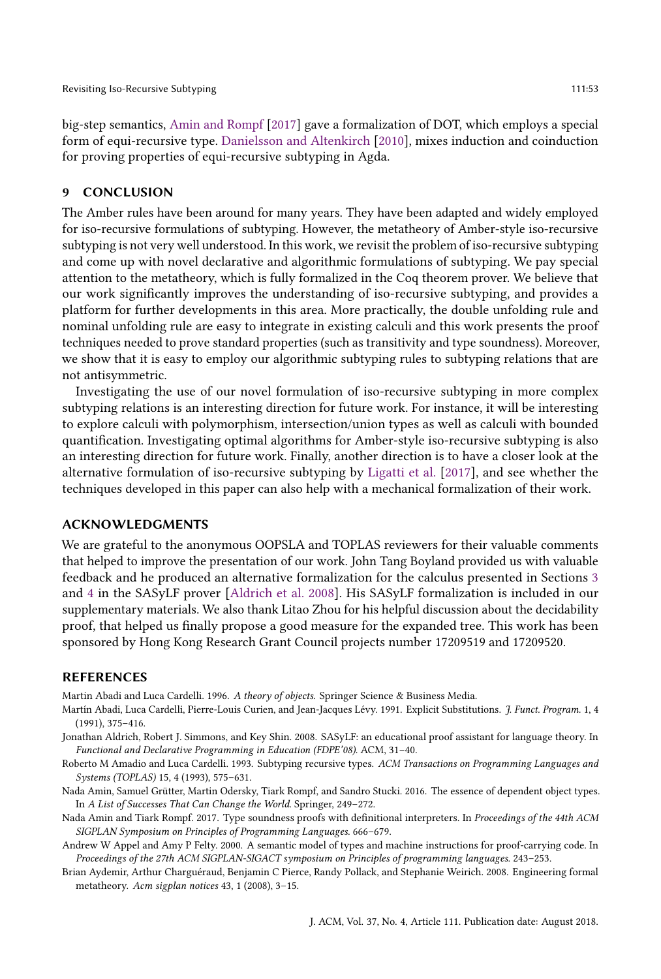big-step semantics, [Amin and Rompf](#page-52-6) [\[2017\]](#page-52-6) gave a formalization of DOT, which employs a special form of equi-recursive type. [Danielsson and Altenkirch](#page-53-29) [\[2010\]](#page-53-29), mixes induction and coinduction for proving properties of equi-recursive subtyping in Agda.

#### 9 CONCLUSION

The Amber rules have been around for many years. They have been adapted and widely employed for iso-recursive formulations of subtyping. However, the metatheory of Amber-style iso-recursive subtyping is not very well understood. In this work, we revisit the problem of iso-recursive subtyping and come up with novel declarative and algorithmic formulations of subtyping. We pay special attention to the metatheory, which is fully formalized in the Coq theorem prover. We believe that our work significantly improves the understanding of iso-recursive subtyping, and provides a platform for further developments in this area. More practically, the double unfolding rule and nominal unfolding rule are easy to integrate in existing calculi and this work presents the proof techniques needed to prove standard properties (such as transitivity and type soundness). Moreover, we show that it is easy to employ our algorithmic subtyping rules to subtyping relations that are not antisymmetric.

Investigating the use of our novel formulation of iso-recursive subtyping in more complex subtyping relations is an interesting direction for future work. For instance, it will be interesting to explore calculi with polymorphism, intersection/union types as well as calculi with bounded quantification. Investigating optimal algorithms for Amber-style iso-recursive subtyping is also an interesting direction for future work. Finally, another direction is to have a closer look at the alternative formulation of iso-recursive subtyping by [Ligatti et al.](#page-53-11) [\[2017\]](#page-53-11), and see whether the techniques developed in this paper can also help with a mechanical formalization of their work.

## ACKNOWLEDGMENTS

We are grateful to the anonymous OOPSLA and TOPLAS reviewers for their valuable comments that helped to improve the presentation of our work. John Tang Boyland provided us with valuable feedback and he produced an alternative formalization for the calculus presented in Sections [3](#page-16-0) and [4](#page-22-0) in the SASyLF prover [\[Aldrich et al.](#page-52-7) [2008\]](#page-52-7). His SASyLF formalization is included in our supplementary materials. We also thank Litao Zhou for his helpful discussion about the decidability proof, that helped us finally propose a good measure for the expanded tree. This work has been sponsored by Hong Kong Research Grant Council projects number 17209519 and 17209520.

#### REFERENCES

<span id="page-52-1"></span>Martin Abadi and Luca Cardelli. 1996. A theory of objects. Springer Science & Business Media.

- <span id="page-52-2"></span>Martín Abadi, Luca Cardelli, Pierre-Louis Curien, and Jean-Jacques Lévy. 1991. Explicit Substitutions. J. Funct. Program. 1, 4 (1991), 375–416.
- <span id="page-52-7"></span>Jonathan Aldrich, Robert J. Simmons, and Key Shin. 2008. SASyLF: an educational proof assistant for language theory. In Functional and Declarative Programming in Education (FDPE'08). ACM, 31–40.
- <span id="page-52-0"></span>Roberto M Amadio and Luca Cardelli. 1993. Subtyping recursive types. ACM Transactions on Programming Languages and Systems (TOPLAS) 15, 4 (1993), 575–631.
- <span id="page-52-5"></span>Nada Amin, Samuel Grütter, Martin Odersky, Tiark Rompf, and Sandro Stucki. 2016. The essence of dependent object types. In A List of Successes That Can Change the World. Springer, 249–272.
- <span id="page-52-6"></span>Nada Amin and Tiark Rompf. 2017. Type soundness proofs with definitional interpreters. In Proceedings of the 44th ACM SIGPLAN Symposium on Principles of Programming Languages. 666–679.
- <span id="page-52-3"></span>Andrew W Appel and Amy P Felty. 2000. A semantic model of types and machine instructions for proof-carrying code. In Proceedings of the 27th ACM SIGPLAN-SIGACT symposium on Principles of programming languages. 243–253.
- <span id="page-52-4"></span>Brian Aydemir, Arthur Charguéraud, Benjamin C Pierce, Randy Pollack, and Stephanie Weirich. 2008. Engineering formal metatheory. Acm sigplan notices 43, 1 (2008), 3–15.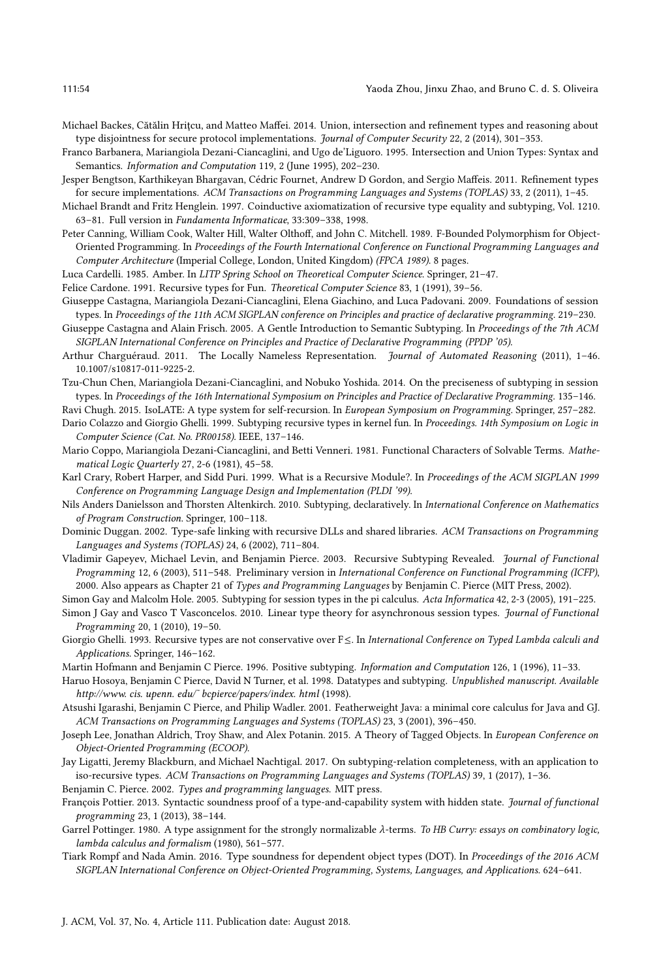- <span id="page-53-13"></span>Michael Backes, Cătălin Hriţcu, and Matteo Maffei. 2014. Union, intersection and refinement types and reasoning about type disjointness for secure protocol implementations. Journal of Computer Security 22, 2 (2014), 301-353.
- <span id="page-53-14"></span>Franco Barbanera, Mariangiola Dezani-Ciancaglini, and Ugo de'Liguoro. 1995. Intersection and Union Types: Syntax and Semantics. Information and Computation 119, 2 (June 1995), 202–230.
- <span id="page-53-6"></span>Jesper Bengtson, Karthikeyan Bhargavan, Cédric Fournet, Andrew D Gordon, and Sergio Maffeis. 2011. Refinement types for secure implementations. ACM Transactions on Programming Languages and Systems (TOPLAS) 33, 2 (2011), 1–45.
- <span id="page-53-4"></span>Michael Brandt and Fritz Henglein. 1997. Coinductive axiomatization of recursive type equality and subtyping, Vol. 1210. 63–81. Full version in Fundamenta Informaticae, 33:309–338, 1998.
- <span id="page-53-20"></span>Peter Canning, William Cook, Walter Hill, Walter Olthoff, and John C. Mitchell. 1989. F-Bounded Polymorphism for Object-Oriented Programming. In Proceedings of the Fourth International Conference on Functional Programming Languages and Computer Architecture (Imperial College, London, United Kingdom) (FPCA 1989). 8 pages.
- <span id="page-53-3"></span>Luca Cardelli. 1985. Amber. In LITP Spring School on Theoretical Computer Science. Springer, 21–47.
- <span id="page-53-17"></span>Felice Cardone. 1991. Recursive types for Fun. Theoretical Computer Science 83, 1 (1991), 39–56.
- <span id="page-53-24"></span>Giuseppe Castagna, Mariangiola Dezani-Ciancaglini, Elena Giachino, and Luca Padovani. 2009. Foundations of session types. In Proceedings of the 11th ACM SIGPLAN conference on Principles and practice of declarative programming. 219–230.
- <span id="page-53-21"></span>Giuseppe Castagna and Alain Frisch. 2005. A Gentle Introduction to Semantic Subtyping. In Proceedings of the 7th ACM SIGPLAN International Conference on Principles and Practice of Declarative Programming (PPDP '05).
- <span id="page-53-19"></span>Arthur Charguéraud. 2011. The Locally Nameless Representation. Journal of Automated Reasoning (2011), 1-46. 10.1007/s10817-011-9225-2.
- <span id="page-53-25"></span>Tzu-Chun Chen, Mariangiola Dezani-Ciancaglini, and Nobuko Yoshida. 2014. On the preciseness of subtyping in session types. In Proceedings of the 16th International Symposium on Principles and Practice of Declarative Programming. 135–146.

<span id="page-53-7"></span>Ravi Chugh. 2015. IsoLATE: A type system for self-recursion. In European Symposium on Programming. Springer, 257–282.

- <span id="page-53-1"></span>Dario Colazzo and Giorgio Ghelli. 1999. Subtyping recursive types in kernel fun. In Proceedings. 14th Symposium on Logic in Computer Science (Cat. No. PR00158). IEEE, 137–146.
- <span id="page-53-15"></span>Mario Coppo, Mariangiola Dezani-Ciancaglini, and Betti Venneri. 1981. Functional Characters of Solvable Terms. Mathematical Logic Quarterly 27, 2-6 (1981), 45–58.
- <span id="page-53-0"></span>Karl Crary, Robert Harper, and Sidd Puri. 1999. What is a Recursive Module?. In Proceedings of the ACM SIGPLAN 1999 Conference on Programming Language Design and Implementation (PLDI '99).
- <span id="page-53-29"></span>Nils Anders Danielsson and Thorsten Altenkirch. 2010. Subtyping, declaratively. In International Conference on Mathematics of Program Construction. Springer, 100–118.
- <span id="page-53-8"></span>Dominic Duggan. 2002. Type-safe linking with recursive DLLs and shared libraries. ACM Transactions on Programming Languages and Systems (TOPLAS) 24, 6 (2002), 711–804.
- <span id="page-53-5"></span>Vladimir Gapeyev, Michael Levin, and Benjamin Pierce. 2003. Recursive Subtyping Revealed. Journal of Functional Programming 12, 6 (2003), 511–548. Preliminary version in International Conference on Functional Programming (ICFP), 2000. Also appears as Chapter 21 of Types and Programming Languages by Benjamin C. Pierce (MIT Press, 2002).
- <span id="page-53-26"></span>Simon Gay and Malcolm Hole. 2005. Subtyping for session types in the pi calculus. Acta Informatica 42, 2-3 (2005), 191–225.
- <span id="page-53-27"></span>Simon J Gay and Vasco T Vasconcelos. 2010. Linear type theory for asynchronous session types. Journal of Functional Programming 20, 1 (2010), 19–50.
- <span id="page-53-2"></span>Giorgio Ghelli. 1993. Recursive types are not conservative over F≤. In International Conference on Typed Lambda calculi and Applications. Springer, 146–162.

<span id="page-53-22"></span><span id="page-53-10"></span>Martin Hofmann and Benjamin C Pierce. 1996. Positive subtyping. Information and Computation 126, 1 (1996), 11–33.

- Haruo Hosoya, Benjamin C Pierce, David N Turner, et al. 1998. Datatypes and subtyping. Unpublished manuscript. Available http://www. cis. upenn. edu/˜ bcpierce/papers/index. html (1998).
- <span id="page-53-23"></span>Atsushi Igarashi, Benjamin C Pierce, and Philip Wadler. 2001. Featherweight Java: a minimal core calculus for Java and GJ. ACM Transactions on Programming Languages and Systems (TOPLAS) 23, 3 (2001), 396–450.
- <span id="page-53-9"></span>Joseph Lee, Jonathan Aldrich, Troy Shaw, and Alex Potanin. 2015. A Theory of Tagged Objects. In European Conference on Object-Oriented Programming (ECOOP).
- <span id="page-53-11"></span>Jay Ligatti, Jeremy Blackburn, and Michael Nachtigal. 2017. On subtyping-relation completeness, with an application to iso-recursive types. ACM Transactions on Programming Languages and Systems (TOPLAS) 39, 1 (2017), 1–36.
- <span id="page-53-12"></span>Benjamin C. Pierce. 2002. Types and programming languages. MIT press.
- <span id="page-53-18"></span>François Pottier. 2013. Syntactic soundness proof of a type-and-capability system with hidden state. Journal of functional programming 23, 1 (2013), 38–144.
- <span id="page-53-16"></span>Garrel Pottinger. 1980. A type assignment for the strongly normalizable  $\lambda$ -terms. To HB Curry: essays on combinatory logic, lambda calculus and formalism (1980), 561–577.
- <span id="page-53-28"></span>Tiark Rompf and Nada Amin. 2016. Type soundness for dependent object types (DOT). In Proceedings of the 2016 ACM SIGPLAN International Conference on Object-Oriented Programming, Systems, Languages, and Applications. 624–641.